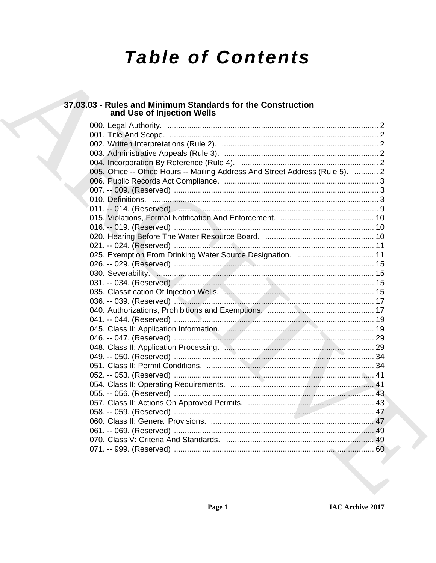# **Table of Contents**

## 37.03.03 - Rules and Minimum Standards for the Construction<br>and Use of Injection Wells

| 005. Office -- Office Hours -- Mailing Address And Street Address (Rule 5).  2 |  |
|--------------------------------------------------------------------------------|--|
|                                                                                |  |
|                                                                                |  |
|                                                                                |  |
|                                                                                |  |
|                                                                                |  |
|                                                                                |  |
|                                                                                |  |
|                                                                                |  |
| 025. Exemption From Drinking Water Source Designation.  11                     |  |
|                                                                                |  |
|                                                                                |  |
|                                                                                |  |
|                                                                                |  |
|                                                                                |  |
|                                                                                |  |
|                                                                                |  |
|                                                                                |  |
|                                                                                |  |
|                                                                                |  |
|                                                                                |  |
|                                                                                |  |
|                                                                                |  |
|                                                                                |  |
|                                                                                |  |
|                                                                                |  |
|                                                                                |  |
|                                                                                |  |
|                                                                                |  |
|                                                                                |  |
|                                                                                |  |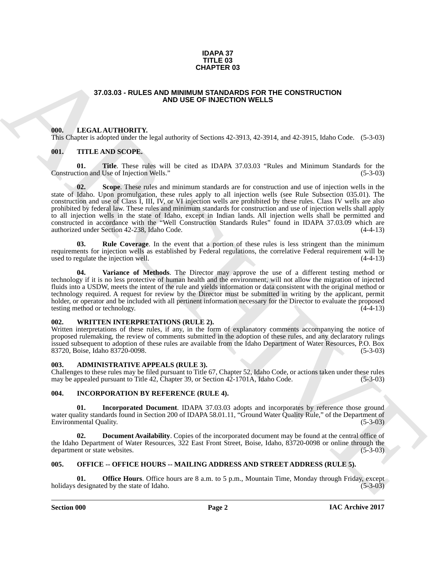#### **IDAPA 37 TITLE 03 CHAPTER 03**

### **37.03.03 - RULES AND MINIMUM STANDARDS FOR THE CONSTRUCTION AND USE OF INJECTION WELLS**

#### <span id="page-1-1"></span><span id="page-1-0"></span>**000. LEGAL AUTHORITY.**

This Chapter is adopted under the legal authority of Sections 42-3913, 42-3914, and 42-3915, Idaho Code. (5-3-03)

### <span id="page-1-7"></span><span id="page-1-2"></span>**001. TITLE AND SCOPE.**

<span id="page-1-10"></span><span id="page-1-9"></span>**01. Title**. These rules will be cited as IDAPA 37.03.03 "Rules and Minimum Standards for the tion and Use of Injection Wells." (5-3-03) Construction and Use of Injection Wells."

**37.03.03 - RULES AND MINIMUM STANDORF FOR CONSTRUCTION**<br> **ARCHIVE CONSTRUCTION**<br> **ARCHIVE CONSTRUCTION**<br> **ARCHIVE CONSTRUCTION**<br> **ARCHIVE CONSTRUCTION**<br> **ARCHIVE CONSTRUCTION**<br> **ARCHIVE CONSTRUCTION**<br> **ARCHIVE CONSTRUCTS 02. Scope**. These rules and minimum standards are for construction and use of injection wells in the state of Idaho. Upon promulgation, these rules apply to all injection wells (see Rule Subsection 035.01). The construction and use of Class I, III, IV, or VI injection wells are prohibited by these rules. Class IV wells are also prohibited by federal law. These rules and minimum standards for construction and use of injection wells shall apply to all injection wells in the state of Idaho, except in Indian lands. All injection wells shall be permitted and constructed in accordance with the "Well Construction Standards Rules" found in IDAPA 37.03.09 which are authorized under Section 42-238, Idaho Code. (4-4-13)

<span id="page-1-8"></span>**03. Rule Coverage**. In the event that a portion of these rules is less stringent than the minimum requirements for injection wells as established by Federal regulations, the correlative Federal requirement will be used to regulate the injection well. (4-4-13)

<span id="page-1-11"></span>**04. Variance of Methods**. The Director may approve the use of a different testing method or technology if it is no less protective of human health and the environment, will not allow the migration of injected fluids into a USDW, meets the intent of the rule and yields information or data consistent with the original method or technology required. A request for review by the Director must be submitted in writing by the applicant, permit holder, or operator and be included with all pertinent information necessary for the Director to evaluate the proposed testing method or technology. testing method or technology.

#### <span id="page-1-3"></span>**002. WRITTEN INTERPRETATIONS (RULE 2).**

Written interpretations of these rules, if any, in the form of explanatory comments accompanying the notice of proposed rulemaking, the review of comments submitted in the adoption of these rules, and any declaratory rulings issued subsequent to adoption of these rules are available from the Idaho Department of Water Resources, P.O. Box 83720, Boise, Idaho 83720-0098. (5-3-03)

<span id="page-1-4"></span>**003. ADMINISTRATIVE APPEALS (RULE 3).**

Challenges to these rules may be filed pursuant to Title 67, Chapter 52, Idaho Code, or actions taken under these rules may be appealed pursuant to Title 42. Chapter 39, or Section 42-1701A, Idaho Code. (5-3-03) may be appealed pursuant to Title 42, Chapter 39, or Section 42-1701A, Idaho Code.

### <span id="page-1-5"></span>**004. INCORPORATION BY REFERENCE (RULE 4).**

**01. Incorporated Document**. IDAPA 37.03.03 adopts and incorporates by reference those ground water quality standards found in Section 200 of IDAPA 58.01.11, "Ground Water Quality Rule," of the Department of Environmental Quality. (5-3-03) Environmental Quality.

**02. Document Availability**. Copies of the incorporated document may be found at the central office of the Idaho Department of Water Resources, 322 East Front Street, Boise, Idaho, 83720-0098 or online through the department or state websites. (5-3-03) department or state websites.

### <span id="page-1-6"></span>**005. OFFICE -- OFFICE HOURS -- MAILING ADDRESS AND STREET ADDRESS (RULE 5).**

**Office Hours**. Office hours are 8 a.m. to 5 p.m., Mountain Time, Monday through Friday, except ed by the state of Idaho. (5-3-03) holidays designated by the state of Idaho.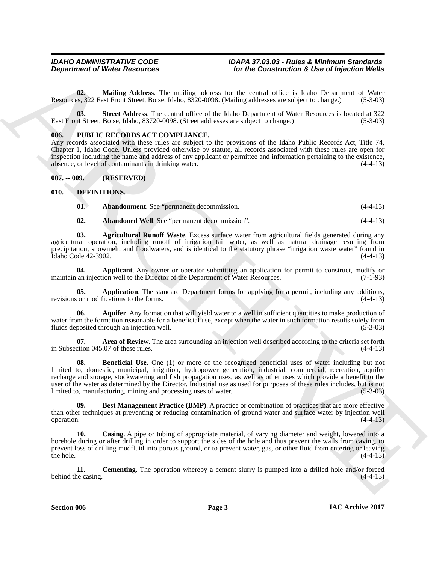**02. Mailing Address**. The mailing address for the central office is Idaho Department of Water Resources, 322 East Front Street, Boise, Idaho, 8320-0098. (Mailing addresses are subject to change.) (5-3-03)

**03. Street Address**. The central office of the Idaho Department of Water Resources is located at 322 East Front Street, Boise, Idaho, 83720-0098. (Street addresses are subject to change.) (5-3-03)

### <span id="page-2-15"></span><span id="page-2-0"></span>**006. PUBLIC RECORDS ACT COMPLIANCE.**

Any records associated with these rules are subject to the provisions of the Idaho Public Records Act, Title 74, Chapter 1, Idaho Code. Unless provided otherwise by statute, all records associated with these rules are open for inspection including the name and address of any applicant or permittee and information pertaining to the existence, absence, or level of contaminants in drinking water. (4-4-13)

<span id="page-2-1"></span>**007. -- 009. (RESERVED)**

#### <span id="page-2-2"></span>**010. DEFINITIONS.**

<span id="page-2-5"></span><span id="page-2-3"></span>**01. Abandonment**. See "permanent decommission. (4-4-13)

<span id="page-2-7"></span><span id="page-2-6"></span><span id="page-2-4"></span>**02. Abandoned Well**. See "permanent decommission". (4-4-13)

**03. Agricultural Runoff Waste**. Excess surface water from agricultural fields generated during any agricultural operation, including runoff of irrigation tail water, as well as natural drainage resulting from precipitation, snowmelt, and floodwaters, and is identical to the statutory phrase "irrigation waste water" found in Idaho Code 42-3902. (4-4-13)

**04.** Applicant. Any owner or operator submitting an application for permit to construct, modify or an injection well to the Director of the Department of Water Resources. (7-1-93) maintain an injection well to the Director of the Department of Water Resources.

<span id="page-2-8"></span>**05. Application**. The standard Department forms for applying for a permit, including any additions, or modifications to the forms. (4-4-13) revisions or modifications to the forms.

<span id="page-2-9"></span>**06. Aquifer**. Any formation that will yield water to a well in sufficient quantities to make production of water from the formation reasonable for a beneficial use, except when the water in such formation results solely from fluids deposited through an injection well. (5-3-03) fluids deposited through an injection well.

<span id="page-2-11"></span><span id="page-2-10"></span>**07. Area of Review**. The area surrounding an injection well described according to the criteria set forth ction 045.07 of these rules. (4-4-13) in Subsection 045.07 of these rules.

**Department of Niese Resources**<br>
Variation Addiness The mainting and the construction & the or friedrich Weight<br>
Nonconce The Transformation The mainting and the term countries in the biastic Department of Niese Construct **08. Beneficial Use**. One (1) or more of the recognized beneficial uses of water including but not limited to, domestic, municipal, irrigation, hydropower generation, industrial, commercial, recreation, aquifer recharge and storage, stockwatering and fish propagation uses, as well as other uses which provide a benefit to the user of the water as determined by the Director. Industrial use as used for purposes of these rules includes, but is not limited to, manufacturing, mining and processing uses of water. (5-3-03)

<span id="page-2-12"></span>**Best Management Practice (BMP).** A practice or combination of practices that are more effective than other techniques at preventing or reducing contamination of ground water and surface water by injection well  $\omega$  operation.  $(4-4-13)$ 

<span id="page-2-13"></span>**10. Casing**. A pipe or tubing of appropriate material, of varying diameter and weight, lowered into a borehole during or after drilling in order to support the sides of the hole and thus prevent the walls from caving, to prevent loss of drilling mudfluid into porous ground, or to prevent water, gas, or other fluid from entering or leaving the hole.  $(4-4-13)$ 

<span id="page-2-14"></span>**11. Cementing**. The operation whereby a cement slurry is pumped into a drilled hole and/or forced integration. (4-4-13) behind the casing.

**Section 006 Page 3**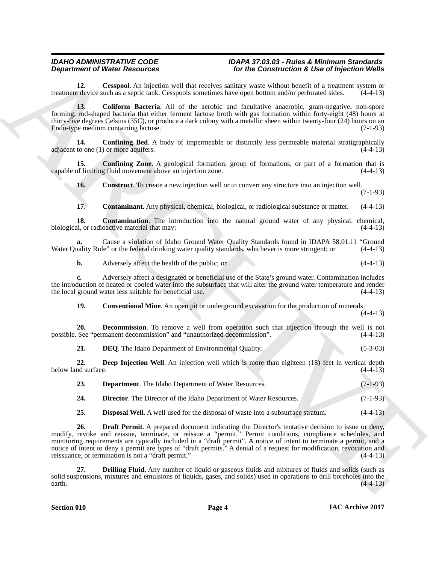<span id="page-3-0"></span>**12. Cesspool**. An injection well that receives sanitary waste without benefit of a treatment system or t device such as a septic tank. Cesspools sometimes have open bottom and/or perforated sides. (4-4-13) treatment device such as a septic tank. Cesspools sometimes have open bottom and/or perforated sides.

<span id="page-3-1"></span>**13. Coliform Bacteria**. All of the aerobic and facultative anaerobic, gram-negative, non-spore forming, rod-shaped bacteria that either ferment lactose broth with gas formation within forty-eight (48) hours at thirty-five degrees Celsius (35C), or produce a dark colony with a metallic sheen within twenty-four (24) hours on an Endo-type medium containing lactose. (7-1-93) Endo-type medium containing lactose.

<span id="page-3-2"></span>**14. Confining Bed**. A body of impermeable or distinctly less permeable material stratigraphically adjacent to one (1) or more aquifers.  $(4-4-13)$ 

**15.** Confining Zone. A geological formation, group of formations, or part of a formation that is of limiting fluid movement above an injection zone. (4-4-13) capable of limiting fluid movement above an injection zone.

<span id="page-3-4"></span><span id="page-3-3"></span>**16. Construct**. To create a new injection well or to convert any structure into an injection well.

(7-1-93)

<span id="page-3-6"></span><span id="page-3-5"></span>**17. Contaminant**. Any physical, chemical, biological, or radiological substance or matter. (4-4-13)

**18. Contamination**. The introduction into the natural ground water of any physical, chemical, d, or radioactive material that may: (4-4-13) biological, or radioactive material that may:

**a.** Cause a violation of Idaho Ground Water Quality Standards found in IDAPA 58.01.11 "Ground uality Rule" or the federal drinking water quality standards, whichever is more stringent; or  $(4-4-13)$ Water Quality Rule" or the federal drinking water quality standards, whichever is more stringent; or

**b.** Adversely affect the health of the public; or (4-4-13)

**c.** Adversely affect a designated or beneficial use of the State's ground water. Contamination includes the introduction of heated or cooled water into the subsurface that will alter the ground water temperature and render<br>the local ground water less suitable for beneficial use. (4-4-13) the local ground water less suitable for beneficial use.

<span id="page-3-8"></span><span id="page-3-7"></span>**19.** Conventional Mine. An open pit or underground excavation for the production of minerals.

(4-4-13)

**20. Decommission**. To remove a well from operation such that injection through the well is not See "permanent decommission" and "unauthorized decommission". (4-4-13) possible. See "permanent decommission" and "unauthorized decommission".

<span id="page-3-11"></span><span id="page-3-9"></span>**21. DEQ**. The Idaho Department of Environmental Quality. (5-3-03)

**22. Deep Injection Well**. An injection well which is more than eighteen (18) feet in vertical depth nd surface. (4-4-13) below land surface.

<span id="page-3-12"></span><span id="page-3-10"></span>

| 23. | <b>Department.</b> The Idaho Department of Water Resources.               |  | $(7-1-93)$ |
|-----|---------------------------------------------------------------------------|--|------------|
| 24. | <b>Director.</b> The Director of the Idaho Department of Water Resources. |  | $(7-1-93)$ |

<span id="page-3-14"></span><span id="page-3-13"></span>**25. Disposal Well**. A well used for the disposal of waste into a subsurface stratum. (4-4-13)

**Department of Neurolean Construction and the section with Construction's Alternative Construction (Alternative Construction Construction Construction Construction (Alternative Construction Construction Construction (Alte 26. Draft Permit**. A prepared document indicating the Director's tentative decision to issue or deny, modify, revoke and reissue, terminate, or reissue a "permit." Permit conditions, compliance schedules, and monitoring requirements are typically included in a "draft permit". A notice of intent to terminate a permit, and a notice of intent to deny a permit are types of "draft permits." A denial of a request for modification, revocation and reissuance, or termination is not a "draft permit." (4-4-13) reissuance, or termination is not a "draft permit."

<span id="page-3-15"></span>**27. Drilling Fluid**. Any number of liquid or gaseous fluids and mixtures of fluids and solids (such as solid suspensions, mixtures and emulsions of liquids, gases, and solids) used in operations to drill boreholes into the earth.  $\epsilon$  earth. (4-4-13)

**Section 010 Page 4**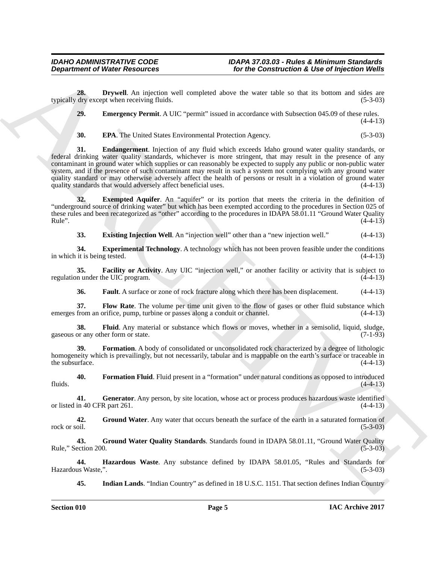**28. Drywell**. An injection well completed above the water table so that its bottom and sides are dry except when receiving fluids. (5-3-03) typically dry except when receiving fluids.

<span id="page-4-1"></span><span id="page-4-0"></span>**29. Emergency Permit**. A UIC "permit" issued in accordance with Subsection 045.09 of these rules.

 $(4-4-13)$ 

<span id="page-4-3"></span><span id="page-4-2"></span>**30. EPA**. The United States Environmental Protection Agency. (5-3-03)

**Department of Weiter Resources For the Construction's Live of hyperical Weiler**<br>
20. **Department of Weiter Section 2nd**<br>
29. **Depression Periodic Section 2nd**<br>
29. **Depression Periodic Section 2nd Completed above the w 31. Endangerment**. Injection of any fluid which exceeds Idaho ground water quality standards, or federal drinking water quality standards, whichever is more stringent, that may result in the presence of any contaminant in ground water which supplies or can reasonably be expected to supply any public or non-public water system, and if the presence of such contaminant may result in such a system not complying with any ground water quality standard or may otherwise adversely affect the health of persons or result in a violation of ground water quality standards that would adversely affect beneficial uses. (4-4-13)

**32. Exempted Aquifer**. An "aquifer" or its portion that meets the criteria in the definition of "underground source of drinking water" but which has been exempted according to the procedures in Section 025 of these rules and been recategorized as "other" according to the procedures in IDAPA 58.01.11 "Ground Water Quality  $Rule"$ .  $(4-4-13)$ 

<span id="page-4-6"></span><span id="page-4-5"></span><span id="page-4-4"></span>**33. Existing Injection Well**. An "injection well" other than a "new injection well." (4-4-13)

**34. Experimental Technology**. A technology which has not been proven feasible under the conditions in which it is being tested. (4-4-13)

**35. Facility or Activity**. Any UIC "injection well," or another facility or activity that is subject to n under the UIC program.  $(4-4-13)$ regulation under the UIC program.

<span id="page-4-10"></span><span id="page-4-9"></span><span id="page-4-8"></span><span id="page-4-7"></span>**36. Fault**. A surface or zone of rock fracture along which there has been displacement. (4-4-13)

**37.** Flow Rate. The volume per time unit given to the flow of gases or other fluid substance which from an orifice, pump, turbine or passes along a conduit or channel.  $(4-4-13)$ emerges from an orifice, pump, turbine or passes along a conduit or channel.

**38.** Fluid. Any material or substance which flows or moves, whether in a semisolid, liquid, sludge, or any other form or state. (7-1-93) gaseous or any other form or state.

<span id="page-4-11"></span>**39. Formation**. A body of consolidated or unconsolidated rock characterized by a degree of lithologic homogeneity which is prevailingly, but not necessarily, tabular and is mappable on the earth's surface or traceable in the subsurface. (4-4-13) the subsurface.

<span id="page-4-12"></span>**40. Formation Fluid**. Fluid present in a "formation" under natural conditions as opposed to introduced fluids.  $(4-4-13)$ 

<span id="page-4-13"></span>**41.** Generator. Any person, by site location, whose act or process produces hazardous waste identified in 40 CFR part 261. (4-4-13) or listed in 40 CFR part 261.

<span id="page-4-14"></span>42. Ground Water. Any water that occurs beneath the surface of the earth in a saturated formation of rock or soil. (5-3-03) rock or soil.  $(5-3-03)$ 

<span id="page-4-15"></span>**43. Ground Water Quality Standards**. Standards found in IDAPA 58.01.11, "Ground Water Quality Rule," Section 200.  $(5-3-03)$ 

**44. Hazardous Waste**. Any substance defined by IDAPA 58.01.05, "Rules and Standards for Hazardous Waste,".

<span id="page-4-17"></span><span id="page-4-16"></span>**45. Indian Lands**. "Indian Country" as defined in 18 U.S.C. 1151. That section defines Indian Country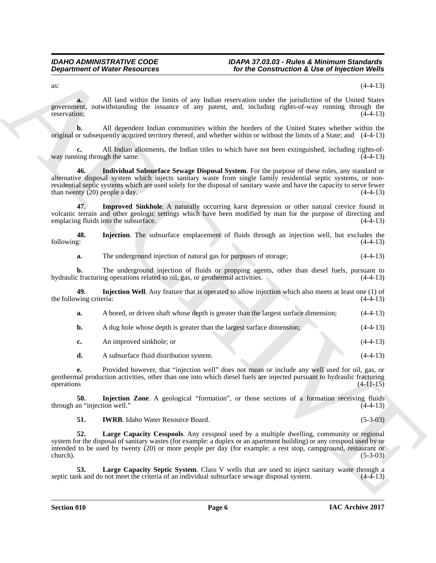as:  $(4-4-13)$ 

**a.** All land within the limits of any Indian reservation under the jurisdiction of the United States government, notwithstanding the issuance of any patent, and, including rights-of-way running through the reservation; (4-4-13)

**b.** All dependent Indian communities within the borders of the United States whether within the original or subsequently acquired territory thereof, and whether within or without the limits of a State; and (4-4-13)

<span id="page-5-1"></span>All Indian allotments, the Indian titles to which have not been extinguished, including rights-of-<br>ugh the same. (4-4-13) way running through the same.

**Department of Niese Research 2.** The Construction & Use of Injection Niese of Niese Construction & Use of Injection Niese Research 2. The Construction and the Construction of AL Units Sure of Niese Section 2. The Constru **46. Individual Subsurface Sewage Disposal System**. For the purpose of these rules, any standard or alternative disposal system which injects sanitary waste from single family residential septic systems, or nonresidential septic systems which are used solely for the disposal of sanitary waste and have the capacity to serve fewer than twenty  $(20)$  people a day.  $(4-4-13)$ 

<span id="page-5-0"></span>**47. Improved Sinkhole**. A naturally occurring karst depression or other natural crevice found in volcanic terrain and other geologic settings which have been modified by man for the purpose of directing and emplacing fluids into the subsurface.

**48.** Injection. The subsurface emplacement of fluids through an injection well, but excludes the following:  $(4-4-13)$ following: (4-4-13)

<span id="page-5-2"></span>**a.** The underground injection of natural gas for purposes of storage;  $(4-4-13)$ 

**b.** The underground injection of fluids or propping agents, other than diesel fuels, pursuant to c fracturing operations related to oil, gas, or geothermal activities.  $(4-4-13)$ hydraulic fracturing operations related to oil, gas, or geothermal activities.

**49.** Injection Well. Any feature that is operated to allow injection which also meets at least one (1) of wing criteria:  $(4-4-13)$ the following criteria:

<span id="page-5-3"></span>

|  |  | A bored, or driven shaft whose depth is greater than the largest surface dimension; | $(4-4-13)$ |
|--|--|-------------------------------------------------------------------------------------|------------|
|--|--|-------------------------------------------------------------------------------------|------------|

**b.** A dug hole whose depth is greater than the largest surface dimension; (4-4-13)

|  | An improved sinkhole: or |  |  |  |  |  | $(4-4-13)$ |
|--|--------------------------|--|--|--|--|--|------------|
|--|--------------------------|--|--|--|--|--|------------|

**d.** A subsurface fluid distribution system. (4-4-13)

**e.** Provided however, that "injection well" does not mean or include any well used for oil, gas, or geothermal production activities, other than one into which diesel fuels are injected pursuant to hydraulic fracturing operations (4-11-15)

**50. Injection Zone**. A geological "formation", or those sections of a formation receiving fluids an "injection well." (4-4-13) through an "injection well."

<span id="page-5-6"></span><span id="page-5-5"></span><span id="page-5-4"></span>**51. IWRB**. Idaho Water Resource Board. (5-3-03)

**52. Large Capacity Cesspools**. Any cesspool used by a multiple dwelling, community or regional system for the disposal of sanitary wastes (for example: a duplex or an apartment building) or any cesspool used by or intended to be used by twenty (20) or more people per day (for example: a rest stop, campground, restaurant or church).  $(5-3-03)$ 

<span id="page-5-7"></span>**53.** Large Capacity Septic System. Class V wells that are used to inject sanitary waste through a nk and do not meet the criteria of an individual subsurface sewage disposal system.  $(4-4-13)$ septic tank and do not meet the criteria of an individual subsurface sewage disposal system.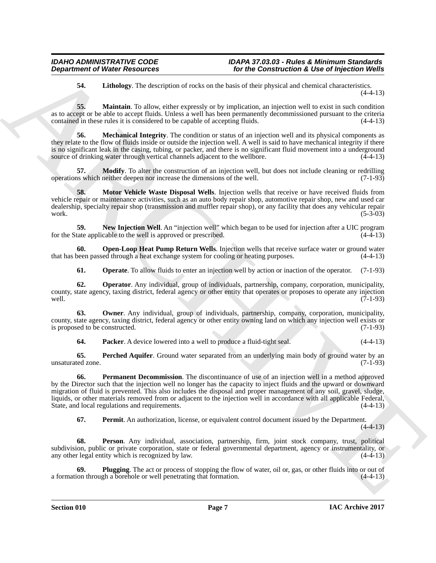<span id="page-6-1"></span><span id="page-6-0"></span>**54. Lithology**. The description of rocks on the basis of their physical and chemical characteristics. (4-4-13)

**55. Maintain**. To allow, either expressly or by implication, an injection well to exist in such condition as to accept or be able to accept fluids. Unless a well has been permanently decommissioned pursuant to the criteria contained in these rules it is considered to be capable of accepting fluids. (4-4-13)

<span id="page-6-2"></span>**56. Mechanical Integrity**. The condition or status of an injection well and its physical components as they relate to the flow of fluids inside or outside the injection well. A well is said to have mechanical integrity if there is no significant leak in the casing, tubing, or packer, and there is no significant fluid movement into a underground source of drinking water through vertical channels adjacent to the wellbore.  $(4-4-13)$ source of drinking water through vertical channels adjacent to the wellbore.

<span id="page-6-3"></span>**57. Modify**. To alter the construction of an injection well, but does not include cleaning or redrilling is which neither deepen nor increase the dimensions of the well. (7-1-93) operations which neither deepen nor increase the dimensions of the well.

<span id="page-6-4"></span>**58.** Motor Vehicle Waste Disposal Wells. Injection wells that receive or have received fluids from vehicle repair or maintenance activities, such as an auto body repair shop, automotive repair shop, new and used car dealership, specialty repair shop (transmission and muffler repair shop), or any facility that does any vehicular repair work.  $(5-3-03)$ 

<span id="page-6-5"></span>**59.** New Injection Well. An "injection well" which began to be used for injection after a UIC program tate applicable to the well is approved or prescribed. (4-4-13) for the State applicable to the well is approved or prescribed.

**60. Open-Loop Heat Pump Return Wells**. Injection wells that receive surface water or ground water that has been passed through a heat exchange system for cooling or heating purposes. (4-4-13)

<span id="page-6-8"></span><span id="page-6-7"></span><span id="page-6-6"></span>**61. Operate**. To allow fluids to enter an injection well by action or inaction of the operator. (7-1-93)

**62. Operator**. Any individual, group of individuals, partnership, company, corporation, municipality, county, state agency, taxing district, federal agency or other entity that operates or proposes to operate any injection well. (7-1-93) well. (7-1-93)

**63. Owner**. Any individual, group of individuals, partnership, company, corporation, municipality, county, state agency, taxing district, federal agency or other entity owning land on which any injection well exists or<br>(7-1-93) is proposed to be constructed.

<span id="page-6-12"></span><span id="page-6-11"></span><span id="page-6-10"></span><span id="page-6-9"></span>**64. Packer**. A device lowered into a well to produce a fluid-tight seal. (4-4-13)

**65. Perched Aquifer**. Ground water separated from an underlying main body of ground water by an ed zone. (7-1-93) unsaturated zone.

**Department of Niese Resources**<br> **Sociological C** *interargoine of twice construction is the state of this photon and characterized in the state of the state of the state of the state of the state of the state of the st* **66. Permanent Decommission**. The discontinuance of use of an injection well in a method approved by the Director such that the injection well no longer has the capacity to inject fluids and the upward or downward migration of fluid is prevented. This also includes the disposal and proper management of any soil, gravel, sludge, liquids, or other materials removed from or adjacent to the injection well in accordance with all applicable Federal, State, and local regulations and requirements. (4-4-13) State, and local regulations and requirements.

<span id="page-6-15"></span><span id="page-6-14"></span><span id="page-6-13"></span>**67. Permit**. An authorization, license, or equivalent control document issued by the Department.

 $(4-4-13)$ 

**68. Person**. Any individual, association, partnership, firm, joint stock company, trust, political subdivision, public or private corporation, state or federal governmental department, agency or instrumentality, or any other legal entity which is recognized by law. (4-4-13)

**69.** Plugging. The act or process of stopping the flow of water, oil or, gas, or other fluids into or out of on through a borehole or well penetrating that formation.  $(4-4-13)$ a formation through a borehole or well penetrating that formation.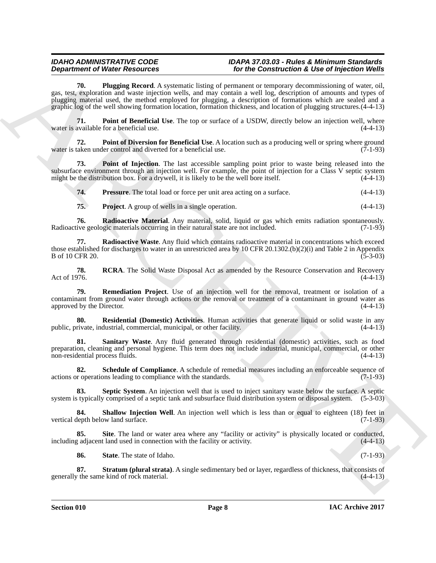**Department Offerior Procedures** Constraints, the construction of the Construction Constraints Construction Construction Construction Construction Construction Construction Construction Construction Construction Construct **70. Plugging Record**. A systematic listing of permanent or temporary decommissioning of water, oil, gas, test, exploration and waste injection wells, and may contain a well log, description of amounts and types of plugging material used, the method employed for plugging, a description of formations which are sealed and a graphic log of the well showing formation location, formation thickness, and location of plugging structures.(4-4-13)

<span id="page-7-1"></span><span id="page-7-0"></span>**71. Point of Beneficial Use**. The top or surface of a USDW, directly below an injection well, where water is available for a beneficial use.

<span id="page-7-2"></span>**72. Point of Diversion for Beneficial Use**. A location such as a producing well or spring where ground water is taken under control and diverted for a beneficial use. (7-1-93)

**73. Point of Injection**. The last accessible sampling point prior to waste being released into the subsurface environment through an injection well. For example, the point of injection for a Class V septic system might be the distribution box. For a drywell, it is likely to be the well bore itself. (4-4-13)

<span id="page-7-4"></span><span id="page-7-3"></span>**74. Pressure**. The total load or force per unit area acting on a surface.  $(4-4-13)$ 

<span id="page-7-7"></span><span id="page-7-6"></span><span id="page-7-5"></span>**75. Project**. A group of wells in a single operation. (4-4-13)

**76. Radioactive Material**. Any material, solid, liquid or gas which emits radiation spontaneously.<br>ive geologic materials occurring in their natural state are not included. (7-1-93) Radioactive geologic materials occurring in their natural state are not included.

**77. Radioactive Waste**. Any fluid which contains radioactive material in concentrations which exceed those established for discharges to water in an unrestricted area by 10 CFR 20.1302.(b)(2)(i) and Table 2 in Appendix  $B \text{ of } 10 \text{ CFR } 20.$  (5-3-03)

<span id="page-7-8"></span>**78.** RCRA. The Solid Waste Disposal Act as amended by the Resource Conservation and Recovery Act of 1976. (4-4-13) Act of 1976.  $(4-4-13)$ 

<span id="page-7-9"></span>**79. Remediation Project**. Use of an injection well for the removal, treatment or isolation of a contaminant from ground water through actions or the removal or treatment of a contaminant in ground water as approved by the Director. (4-4-13)  $(4-4-13)$ 

<span id="page-7-10"></span>**80. Residential (Domestic) Activities**. Human activities that generate liquid or solid waste in any public, private, industrial, commercial, municipal, or other facility.

<span id="page-7-11"></span>**Sanitary Waste**. Any fluid generated through residential (domestic) activities, such as food preparation, cleaning and personal hygiene. This term does not include industrial, municipal, commercial, or other non-residential process fluids. (4-4-13)

<span id="page-7-12"></span>**82.** Schedule of Compliance. A schedule of remedial measures including an enforceable sequence of actions or operations leading to compliance with the standards. (7-1-93)

<span id="page-7-13"></span>**83.** Septic System. An injection well that is used to inject sanitary waste below the surface. A septic stypically comprised of a septic tank and subsurface fluid distribution system or disposal system.  $(5-3-03)$ system is typically comprised of a septic tank and subsurface fluid distribution system or disposal system.

<span id="page-7-14"></span>**84.** Shallow Injection Well. An injection well which is less than or equal to eighteen (18) feet in vertical depth below land surface. (7-1-93)

**Site**. The land or water area where any "facility or activity" is physically located or conducted, it land used in connection with the facility or activity. (4-4-13) including adjacent land used in connection with the facility or activity.

<span id="page-7-17"></span><span id="page-7-16"></span><span id="page-7-15"></span>**86. State**. The state of Idaho. (7-1-93)

**87. Stratum (plural strata)**. A single sedimentary bed or layer, regardless of thickness, that consists of the same kind of rock material. (4-4-13) generally the same kind of rock material.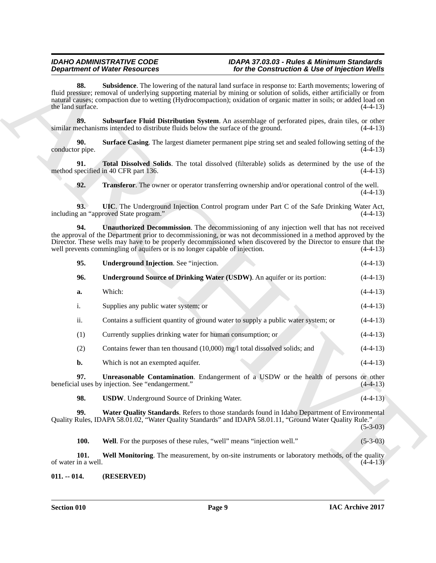<span id="page-8-8"></span><span id="page-8-7"></span><span id="page-8-6"></span><span id="page-8-5"></span><span id="page-8-4"></span><span id="page-8-3"></span><span id="page-8-2"></span><span id="page-8-1"></span>

|                             | <b>Department of Water Resources</b>                                                                                                                                                                                                                                                                                                                                                                           | for the Construction & Use of Injection Wells |
|-----------------------------|----------------------------------------------------------------------------------------------------------------------------------------------------------------------------------------------------------------------------------------------------------------------------------------------------------------------------------------------------------------------------------------------------------------|-----------------------------------------------|
| 88.<br>the land surface.    | <b>Subsidence</b> . The lowering of the natural land surface in response to: Earth movements; lowering of<br>fluid pressure; removal of underlying supporting material by mining or solution of solids, either artificially or from<br>natural causes; compaction due to wetting (Hydrocompaction); oxidation of organic matter in soils; or added load on                                                     | $(4-4-13)$                                    |
| 89.                         | Subsurface Fluid Distribution System. An assemblage of perforated pipes, drain tiles, or other<br>similar mechanisms intended to distribute fluids below the surface of the ground.                                                                                                                                                                                                                            | $(4-4-13)$                                    |
| 90.<br>conductor pipe.      | <b>Surface Casing.</b> The largest diameter permanent pipe string set and sealed following setting of the                                                                                                                                                                                                                                                                                                      | $(4-4-13)$                                    |
| 91.                         | Total Dissolved Solids. The total dissolved (filterable) solids as determined by the use of the<br>method specified in 40 CFR part 136.                                                                                                                                                                                                                                                                        | $(4-4-13)$                                    |
| 92.                         | <b>Transferor</b> . The owner or operator transferring ownership and/or operational control of the well.                                                                                                                                                                                                                                                                                                       | $(4-4-13)$                                    |
| 93.                         | UIC. The Underground Injection Control program under Part C of the Safe Drinking Water Act,<br>including an "approved State program."                                                                                                                                                                                                                                                                          | $(4-4-13)$                                    |
| 94.                         | Unauthorized Decommission. The decommissioning of any injection well that has not received<br>the approval of the Department prior to decommissioning, or was not decommissioned in a method approved by the<br>Director. These wells may have to be properly decommissioned when discovered by the Director to ensure that the<br>well prevents commingling of aquifers or is no longer capable of injection. | $(4-4-13)$                                    |
| 95.                         | Underground Injection. See "injection.                                                                                                                                                                                                                                                                                                                                                                         | $(4-4-13)$                                    |
| 96.                         | Underground Source of Drinking Water (USDW). An aquifer or its portion:                                                                                                                                                                                                                                                                                                                                        | $(4-4-13)$                                    |
| a.                          | Which:                                                                                                                                                                                                                                                                                                                                                                                                         | $(4-4-13)$                                    |
| i.                          | Supplies any public water system; or                                                                                                                                                                                                                                                                                                                                                                           | $(4-4-13)$                                    |
| ii.                         | Contains a sufficient quantity of ground water to supply a public water system; or                                                                                                                                                                                                                                                                                                                             | $(4-4-13)$                                    |
| (1)                         | Currently supplies drinking water for human consumption; or                                                                                                                                                                                                                                                                                                                                                    | $(4-4-13)$                                    |
| (2)                         | Contains fewer than ten thousand (10,000) mg/l total dissolved solids; and                                                                                                                                                                                                                                                                                                                                     | $(4-4-13)$                                    |
| b.                          | Which is not an exempted aquifer.                                                                                                                                                                                                                                                                                                                                                                              | $(4-4-13)$                                    |
| 97.                         | <b>Unreasonable Contamination.</b> Endangerment of a USDW or the health of persons or other<br>beneficial uses by injection. See "endangerment."                                                                                                                                                                                                                                                               | $(4-4-13)$                                    |
| 98.                         | <b>USDW.</b> Underground Source of Drinking Water.                                                                                                                                                                                                                                                                                                                                                             | $(4-4-13)$                                    |
| 99.                         | Water Quality Standards. Refers to those standards found in Idaho Department of Environmental<br>Quality Rules, IDAPA 58.01.02, "Water Quality Standards" and IDAPA 58.01.11, "Ground Water Quality Rule."                                                                                                                                                                                                     | $(5-3-03)$                                    |
|                             |                                                                                                                                                                                                                                                                                                                                                                                                                | $(5-3-03)$                                    |
| <b>100.</b>                 | Well. For the purposes of these rules, "well" means "injection well."                                                                                                                                                                                                                                                                                                                                          |                                               |
| 101.<br>of water in a well. | Well Monitoring. The measurement, by on-site instruments or laboratory methods, of the quality                                                                                                                                                                                                                                                                                                                 | $(4-4-13)$                                    |

### <span id="page-8-14"></span><span id="page-8-13"></span><span id="page-8-12"></span><span id="page-8-11"></span><span id="page-8-10"></span><span id="page-8-9"></span><span id="page-8-0"></span>**011. -- 014. (RESERVED)**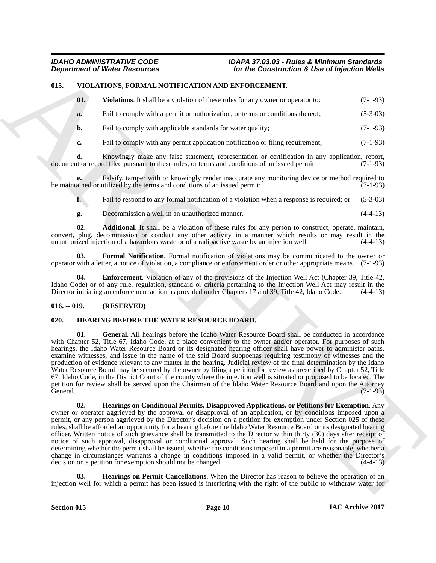### <span id="page-9-0"></span>**015. VIOLATIONS, FORMAL NOTIFICATION AND ENFORCEMENT.**

<span id="page-9-11"></span><span id="page-9-7"></span>

| <b>Violations.</b> It shall be a violation of these rules for any owner or operator to: | $(7-1-93)$ |
|-----------------------------------------------------------------------------------------|------------|
|                                                                                         |            |

- **a.** Fail to comply with a permit or authorization, or terms or conditions thereof; (5-3-03)
- **b.** Fail to comply with applicable standards for water quality; (7-1-93)

**c.** Fail to comply with any permit application notification or filing requirement; (7-1-93)

**d.** Knowingly make any false statement, representation or certification in any application, report, to or record filed pursuant to these rules, or terms and conditions of an issued permit; (7-1-93) document or record filed pursuant to these rules, or terms and conditions of an issued permit;

**e.** Falsify, tamper with or knowingly render inaccurate any monitoring device or method required to be maintained or utilized by the terms and conditions of an issued permit; (7-1-93)

**f.** Fail to respond to any formal notification of a violation when a response is required; or (5-3-03)

<span id="page-9-10"></span><span id="page-9-8"></span>**g.** Decommission a well in an unauthorized manner. (4-4-13)

**02. Additional**. It shall be a violation of these rules for any person to construct, operate, maintain, convert, plug, decommission or conduct any other activity in a manner which results or may result in the unauthorized injection of a hazardous waste or of a radioactive waste by an injection well.  $(4-4-13)$ unauthorized injection of a hazardous waste or of a radioactive waste by an injection well.

**03. Formal Notification**. Formal notification of violations may be communicated to the owner or operator with a letter, a notice of violation, a compliance or enforcement order or other appropriate means. (7-1-93)

<span id="page-9-9"></span>**04. Enforcement**. Violation of any of the provisions of the Injection Well Act (Chapter 39, Title 42, Idaho Code) or of any rule, regulation, standard or criteria pertaining to the Injection Well Act may result in the Director initiating an enforcement action as provided under Chapters 17 and 39, Title 42, Idaho Code. (4-4-13)

#### <span id="page-9-1"></span>**016. -- 019. (RESERVED)**

### <span id="page-9-3"></span><span id="page-9-2"></span>**020. HEARING BEFORE THE WATER RESOURCE BOARD.**

<span id="page-9-5"></span><span id="page-9-4"></span>**01. General**. All hearings before the Idaho Water Resource Board shall be conducted in accordance with Chapter 52, Title 67, Idaho Code, at a place convenient to the owner and/or operator. For purposes of such hearings, the Idaho Water Resource Board or its designated hearing officer shall have power to administer oaths, examine witnesses, and issue in the name of the said Board subpoenas requiring testimony of witnesses and the production of evidence relevant to any matter in the hearing. Judicial review of the final determination by the Idaho Water Resource Board may be secured by the owner by filing a petition for review as prescribed by Chapter 52, Title 67, Idaho Code, in the District Court of the county where the injection well is situated or proposed to be located. The petition for review shall be served upon the Chairman of the Idaho Water Resource Board and upon the Attorney General.  $(7-1-93)$ 

**Department of Niese Resources.** To the Construction's & Use of hyperical Weiley<br>
US. VOLATIONS JOURNAL NOTIFICATION ASSOCIATED (1) The Construction of the space of the construction<br>
The Vision of the space of the constru **02. Hearings on Conditional Permits, Disapproved Applications, or Petitions for Exemption**. Any owner or operator aggrieved by the approval or disapproval of an application, or by conditions imposed upon a permit, or any person aggrieved by the Director's decision on a petition for exemption under Section 025 of these rules, shall be afforded an opportunity for a hearing before the Idaho Water Resource Board or its designated hearing officer. Written notice of such grievance shall be transmitted to the Director within thirty (30) days after receipt of notice of such approval, disapproval or conditional approval. Such hearing shall be held for the purpose of determining whether the permit shall be issued, whether the conditions imposed in a permit are reasonable, whether a change in circumstances warrants a change in conditions imposed in a valid permit, or whether the Director's decision on a petition for exemption should not be changed. (4-4-13) decision on a petition for exemption should not be changed.

<span id="page-9-6"></span>**03. Hearings on Permit Cancellations**. When the Director has reason to believe the operation of an injection well for which a permit has been issued is interfering with the right of the public to withdraw water for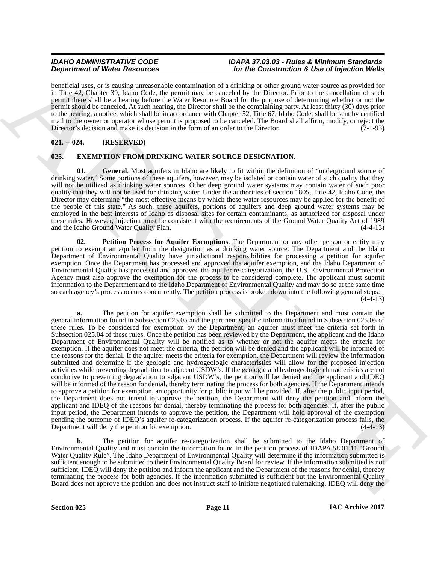beneficial uses, or is causing unreasonable contamination of a drinking or other ground water source as provided for in Title 42, Chapter 39, Idaho Code, the permit may be canceled by the Director. Prior to the cancellation of such permit there shall be a hearing before the Water Resource Board for the purpose of determining whether or not the permit should be canceled. At such hearing, the Director shall be the complaining party. At least thirty (30) days prior to the hearing, a notice, which shall be in accordance with Chapter 52, Title 67, Idaho Code, shall be sent by certified mail to the owner or operator whose permit is proposed to be canceled. The Board shall affirm, modify, or reject the<br>Director's decision and make its decision in the form of an order to the Director Director's decision and make its decision in the form of an order to the Director.

### <span id="page-10-0"></span>**021. -- 024. (RESERVED)**

### <span id="page-10-2"></span><span id="page-10-1"></span>**025. EXEMPTION FROM DRINKING WATER SOURCE DESIGNATION.**

<span id="page-10-3"></span>**01. General**. Most aquifers in Idaho are likely to fit within the definition of "underground source of drinking water." Some portions of these aquifers, however, may be isolated or contain water of such quality that they will not be utilized as drinking water sources. Other deep ground water systems may contain water of such poor quality that they will not be used for drinking water. Under the authorities of section 1805, Title 42, Idaho Code, the Director may determine "the most effective means by which these water resources may be applied for the benefit of the people of this state." As such, these aquifers, portions of aquifers and deep ground water systems may be employed in the best interests of Idaho as disposal sites for certain contaminants, as authorized for disposal under these rules. However, injection must be consistent with the requirements of the Ground Water Quality Act of 1989 and the Idaho Ground Water Quality Plan. (4-4-13)

<span id="page-10-4"></span>**02. Petition Process for Aquifer Exemptions**. The Department or any other person or entity may petition to exempt an aquifer from the designation as a drinking water source. The Department and the Idaho Department of Environmental Quality have jurisdictional responsibilities for processing a petition for aquifer exemption. Once the Department has processed and approved the aquifer exemption, and the Idaho Department of Environmental Quality has processed and approved the aquifer re-categorization, the U.S. Environmental Protection Agency must also approve the exemption for the process to be considered complete. The applicant must submit information to the Department and to the Idaho Department of Environmental Quality and may do so at the same time so each agency's process occurs concurrently. The petition process is broken down into the following general steps:  $(4-4-13)$ 

**Dependent of West Resources** of the **Fig.** Construction of the Construction's 4 Secondary Construction's Construction's Construction's Construction's Construction's Construction's Construction's Construction's Constructi **a.** The petition for aquifer exemption shall be submitted to the Department and must contain the general information found in Subsection 025.05 and the pertinent specific information found in Subsection 025.06 of these rules. To be considered for exemption by the Department, an aquifer must meet the criteria set forth in Subsection 025.04 of these rules. Once the petition has been reviewed by the Department, the applicant and the Idaho Department of Environmental Quality will be notified as to whether or not the aquifer meets the criteria for exemption. If the aquifer does not meet the criteria, the petition will be denied and the applicant will be informed of the reasons for the denial. If the aquifer meets the criteria for exemption, the Department will review the information submitted and determine if the geologic and hydrogeologic characteristics will allow for the proposed injection activities while preventing degradation to adjacent USDW's. If the geologic and hydrogeologic characteristics are not conducive to preventing degradation to adjacent USDW's, the petition will be denied and the applicant and IDEQ will be informed of the reason for denial, thereby terminating the process for both agencies. If the Department intends to approve a petition for exemption, an opportunity for public input will be provided. If, after the public input period, the Department does not intend to approve the petition, the Department will deny the petition and inform the applicant and IDEQ of the reasons for denial, thereby terminating the process for both agencies. If, after the public input period, the Department intends to approve the petition, the Department will hold approval of the exemption pending the outcome of IDEQ's aquifer re-categorization process. If the aquifer re-categorization process fails, the Department will deny the petition for exemption.

**b.** The petition for aquifer re-categorization shall be submitted to the Idaho Department of Environmental Quality and must contain the information found in the petition process of IDAPA 58.01.11 "Ground Water Quality Rule". The Idaho Department of Environmental Quality will determine if the information submitted is sufficient enough to be submitted to their Environmental Quality Board for review. If the information submitted is not sufficient, IDEQ will deny the petition and inform the applicant and the Department of the reasons for denial, thereby terminating the process for both agencies. If the information submitted is sufficient but the Environmental Quality Board does not approve the petition and does not instruct staff to initiate negotiated rulemaking, IDEQ will deny the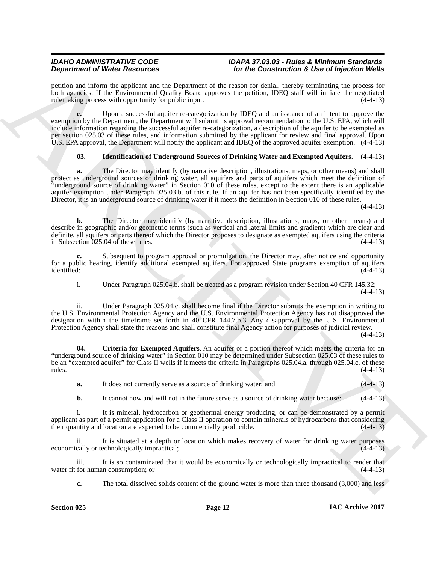petition and inform the applicant and the Department of the reason for denial, thereby terminating the process for both agencies. If the Environmental Quality Board approves the petition, IDEQ staff will initiate the negotiated rulemaking process with opportunity for public input. rulemaking process with opportunity for public input.

**Dependent of Water Resources** on the Pyramox of the resources in the Construction's *Lies of Water China China China China China China China China China China China China China China China China China China China China C* **c.** Upon a successful aquifer re-categorization by IDEQ and an issuance of an intent to approve the exemption by the Department, the Department will submit its approval recommendation to the U.S. EPA, which will include information regarding the successful aquifer re-categorization, a description of the aquifer to be exempted as per section 025.03 of these rules, and information submitted by the applicant for review and final approval. Upon U.S. EPA approval, the Department will notify the applicant and IDEQ of the approved aquifer exemption. (4-4-13)

### <span id="page-11-1"></span>**03. Identification of Underground Sources of Drinking Water and Exempted Aquifers**. (4-4-13)

**a.** The Director may identify (by narrative description, illustrations, maps, or other means) and shall protect as underground sources of drinking water, all aquifers and parts of aquifers which meet the definition of "underground source of drinking water" in Section 010 of these rules, except to the extent there is an applicable aquifer exemption under Paragraph 025.03.b. of this rule. If an aquifer has not been specifically identified by the Director, it is an underground source of drinking water if it meets the definition in Section 010 of these rules.

(4-4-13)

**b.** The Director may identify (by narrative description, illustrations, maps, or other means) and describe in geographic and/or geometric terms (such as vertical and lateral limits and gradient) which are clear and definite, all aquifers or parts thereof which the Director proposes to designate as exempted aquifers using the criteria in Subsection 025.04 of these rules. (4-4-13)

**c.** Subsequent to program approval or promulgation, the Director may, after notice and opportunity for a public hearing, identify additional exempted aquifers. For approved State programs exemption of aquifers identified: (4-4-13)

i. Under Paragraph 025.04.b. shall be treated as a program revision under Section 40 CFR 145.32; (4-4-13)

ii. Under Paragraph 025.04.c. shall become final if the Director submits the exemption in writing to the U.S. Environmental Protection Agency and the U.S. Environmental Protection Agency has not disapproved the designation within the timeframe set forth in 40 CFR 144.7.b.3. Any disapproval by the U.S. Environmental Protection Agency shall state the reasons and shall constitute final Agency action for purposes of judicial review.

 $(4-4-13)$ 

**04. Criteria for Exempted Aquifers**. An aquifer or a portion thereof which meets the criteria for an "underground source of drinking water" in Section 010 may be determined under Subsection 025.03 of these rules to be an "exempted aquifer" for Class II wells if it meets the criteria in Paragraphs 025.04.a. through 025.04.c. of these  $r = (4-4-13)$ 

<span id="page-11-0"></span>**a.** It does not currently serve as a source of drinking water; and  $(4-4-13)$ 

**b.** It cannot now and will not in the future serve as a source of drinking water because:  $(4-4-13)$ 

i. It is mineral, hydrocarbon or geothermal energy producing, or can be demonstrated by a permit applicant as part of a permit application for a Class II operation to contain minerals or hydrocarbons that considering their quantity and location are expected to be commercially producible.  $(4-4-13)$ their quantity and location are expected to be commercially producible.

ii. It is situated at a depth or location which makes recovery of water for drinking water purposes economically or technologically impractical; (4-4-13)

iii. It is so contaminated that it would be economically or technologically impractical to render that water fit for human consumption; or

**c.** The total dissolved solids content of the ground water is more than three thousand (3,000) and less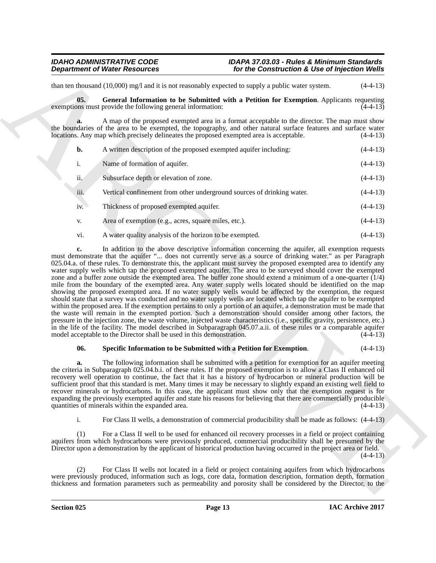than ten thousand (10,000) mg/l and it is not reasonably expected to supply a public water system. (4-4-13)

<span id="page-12-0"></span>**05. General Information to be Submitted with a Petition for Exemption**. Applicants requesting exemptions must provide the following general information:  $(4-4-13)$ 

**a.** A map of the proposed exempted area in a format acceptable to the director. The map must show the boundaries of the area to be exempted, the topography, and other natural surface features and surface water locations. Any map which precisely delineates the proposed exempted area is acceptable. (4-4-13)

| b.   | A written description of the proposed exempted aquifer including:      | $(4-4-13)$ |
|------|------------------------------------------------------------------------|------------|
| i.   | Name of formation of aquifer.                                          | $(4-4-13)$ |
| ii.  | Subsurface depth or elevation of zone.                                 | $(4-4-13)$ |
| iii. | Vertical confinement from other underground sources of drinking water. | $(4-4-13)$ |
| iv.  | Thickness of proposed exempted aquifer.                                | $(4-4-13)$ |
| V.   | Area of exemption (e.g., acres, square miles, etc.).                   | $(4-4-13)$ |
| vi.  | A water quality analysis of the horizon to be exempted.                | $(4-4-13)$ |

**Department of Weiler Resources**<br>
Samuel Motion School and the solution of the Construction's Like of hyperical Worlds<br>
Samuel Convention Resources and the Samuel Motion School and the solution of the Samuel Motion School **c.** In addition to the above descriptive information concerning the aquifer, all exemption requests must demonstrate that the aquifer "... does not currently serve as a source of drinking water." as per Paragraph 025.04.a. of these rules. To demonstrate this, the applicant must survey the proposed exempted area to identify any water supply wells which tap the proposed exempted aquifer. The area to be surveyed should cover the exempted zone and a buffer zone outside the exempted area. The buffer zone should extend a minimum of a one-quarter (1/4) mile from the boundary of the exempted area. Any water supply wells located should be identified on the map showing the proposed exempted area. If no water supply wells would be affected by the exemption, the request should state that a survey was conducted and no water supply wells are located which tap the aquifer to be exempted within the proposed area. If the exemption pertains to only a portion of an aquifer, a demonstration must be made that the waste will remain in the exempted portion. Such a demonstration should consider among other factors, the pressure in the injection zone, the waste volume, injected waste characteristics (i.e., specific gravity, persistence, etc.) in the life of the facility. The model described in Subparagraph 045.07.a.ii. of these rules or a comparable aquifer model acceptable to the Director shall be used in this demonstration.

### <span id="page-12-1"></span>**06. Specific Information to be Submitted with a Petition for Exemption**. (4-4-13)

**a.** The following information shall be submitted with a petition for exemption for an aquifer meeting the criteria in Subparagraph 025.04.b.i. of these rules. If the proposed exemption is to allow a Class II enhanced oil recovery well operation to continue, the fact that it has a history of hydrocarbon or mineral production will be sufficient proof that this standard is met. Many times it may be necessary to slightly expand an existing well field to recover minerals or hydrocarbons. In this case, the applicant must show only that the exemption request is for expanding the previously exempted aquifer and state his reasons for believing that there are commercially producible quantities of minerals within the expanded area.  $(4-4-13)$ quantities of minerals within the expanded area.

i. For Class II wells, a demonstration of commercial producibility shall be made as follows: (4-4-13)

(1) For a Class II well to be used for enhanced oil recovery processes in a field or project containing aquifers from which hydrocarbons were previously produced, commercial producibility shall be presumed by the Director upon a demonstration by the applicant of historical production having occurred in the project area or field.  $(4-4-13)$ 

(2) For Class II wells not located in a field or project containing aquifers from which hydrocarbons were previously produced, information such as logs, core data, formation description, formation depth, formation thickness and formation parameters such as permeability and porosity shall be considered by the Director, to the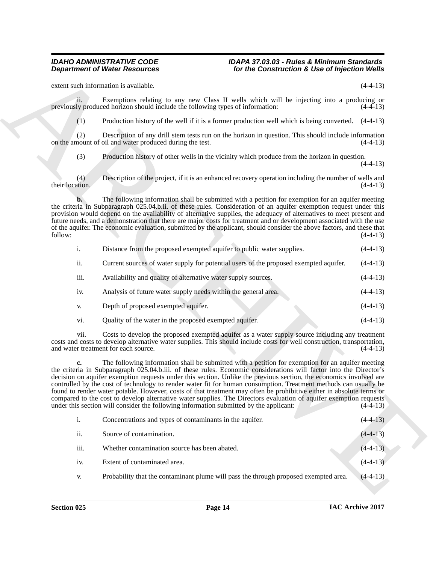**Department of Water Research 2011** For the Commutation's Live of hyperical Water<br>
count sock interaction is considered to the state of the state state and the respective of the H<sub>2</sub><br>
gross in the matter of the state of t ii. Exemptions relating to any new Class II wells which will be injecting into a producing or previously produced horizon should include the following types of information: (4-4-13) (1) Production history of the well if it is a former production well which is being converted. (4-4-13) (2) Description of any drill stem tests run on the horizon in question. This should include information on the amount of oil and water produced during the test. (3) Production history of other wells in the vicinity which produce from the horizon in question. (4-4-13) (4) Description of the project, if it is an enhanced recovery operation including the number of wells and their location. (4-4-13) **b.** The following information shall be submitted with a petition for exemption for an aquifer meeting the criteria in Subparagraph 025.04.b.ii. of these rules. Consideration of an aquifer exemption request under this provision would depend on the availability of alternative supplies, the adequacy of alternatives to meet present and future needs, and a demonstration that there are major costs for treatment and or development associated with the use of the aquifer. The economic evaluation, submitted by the applicant, should consider the above factors, and these that follow: (4-4-13)  $f_{0}$  follow:  $(4-4-13)$ i. Distance from the proposed exempted aquifer to public water supplies. (4-4-13) ii. Current sources of water supply for potential users of the proposed exempted aquifer. (4-4-13) iii. Availability and quality of alternative water supply sources. (4-4-13) iv. Analysis of future water supply needs within the general area. (4-4-13) v. Depth of proposed exempted aquifer. (4-4-13) vi. Quality of the water in the proposed exempted aquifer. (4-4-13) vii. Costs to develop the proposed exempted aquifer as a water supply source including any treatment costs and costs to develop alternative water supplies. This should include costs for well construction, transportation, and water treatment for each source. (4-4-13) **c.** The following information shall be submitted with a petition for exemption for an aquifer meeting the criteria in Subparagraph 025.04.b.iii. of these rules. Economic considerations will factor into the Director's decision on aquifer exemption requests under this section. Unlike the previous section, the economics involved are controlled by the cost of technology to render water fit for human consumption. Treatment methods can usually be found to render water potable. However, costs of that treatment may often be prohibitive either in absolute terms or compared to the cost to develop alternative water supplies. The Directors evaluation of aquifer exemption requests under this section will consider the following information submitted by the applicant:  $(4-4-13)$ under this section will consider the following information submitted by the applicant: i. Concentrations and types of contaminants in the aquifer. (4-4-13) ii. Source of contamination. (4-4-13)

extent such information is available. (4-4-13)

iii. Whether contamination source has been abated. (4-4-13) iv. Extent of contaminated area. (4-4-13) v. Probability that the contaminant plume will pass the through proposed exempted area. (4-4-13)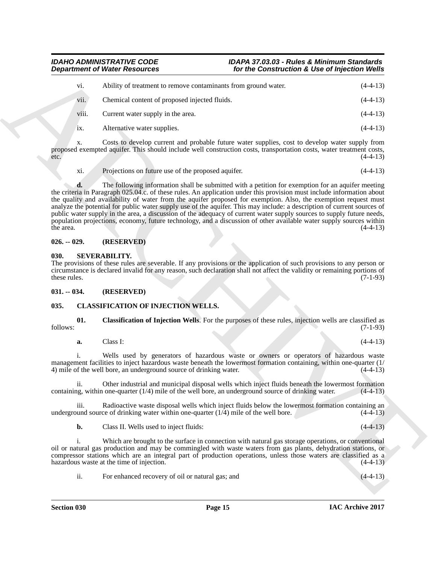| V1.   | Ability of treatment to remove contaminants from ground water. | $(4-4-13)$ |
|-------|----------------------------------------------------------------|------------|
| vii.  | Chemical content of proposed injected fluids.                  | $(4-4-13)$ |
| viii. | Current water supply in the area.                              | $(4-4-13)$ |
| 1X.   | Alternative water supplies.                                    | $(4-4-13)$ |

Costs to develop current and probable future water supplies, cost to develop water supply from proposed exempted aquifer. This should include well construction costs, transportation costs, water treatment costs,  $e^{4-4-13}$ 

xi. Projections on future use of the proposed aquifer. (4-4-13)

**Department of Weiler, the strategies and the construction is the of the Construction is the of the Construction in the Construction is the strategies of the EUS) will consider a measure of proposal and the energy in the d.** The following information shall be submitted with a petition for exemption for an aquifer meeting the criteria in Paragraph 025.04.c. of these rules. An application under this provision must include information about the quality and availability of water from the aquifer proposed for exemption. Also, the exemption request must analyze the potential for public water supply use of the aquifer. This may include: a description of current sources of public water supply in the area, a discussion of the adequacy of current water supply sources to supply future needs, population projections, economy, future technology, and a discussion of other available water supply sources within the area.  $(4-4-13)$ 

### <span id="page-14-0"></span>**026. -- 029. (RESERVED)**

#### <span id="page-14-5"></span><span id="page-14-1"></span>**030. SEVERABILITY.**

The provisions of these rules are severable. If any provisions or the application of such provisions to any person or circumstance is declared invalid for any reason, such declaration shall not affect the validity or remaining portions of these rules. (7-1-93)

#### <span id="page-14-2"></span>**031. -- 034. (RESERVED)**

### <span id="page-14-4"></span><span id="page-14-3"></span>**035. CLASSIFICATION OF INJECTION WELLS.**

**01. Classification of Injection Wells**. For the purposes of these rules, injection wells are classified as  $f_{\text{0}}(7-1-93)$  (7-1-93)

**a.** Class I: (4-4-13)

i. Wells used by generators of hazardous waste or owners or operators of hazardous waste management facilities to inject hazardous waste beneath the lowermost formation containing, within one-quarter (1/ 4) mile of the well bore, an underground source of drinking water. (4-4-13)

ii. Other industrial and municipal disposal wells which inject fluids beneath the lowermost formation containing, within one-quarter (1/4) mile of the well bore, an underground source of drinking water. (4-4-13)

iii. Radioactive waste disposal wells which inject fluids below the lowermost formation containing an underground source of drinking water within one-quarter  $(1/4)$  mile of the well bore.  $(4-4-13)$ 

**b.** Class II. Wells used to inject fluids: (4-4-13)

i. Which are brought to the surface in connection with natural gas storage operations, or conventional oil or natural gas production and may be commingled with waste waters from gas plants, dehydration stations, or compressor stations which are an integral part of production operations, unless those waters are classified as a hazardous waste at the time of injection. (4-4-13)

ii. For enhanced recovery of oil or natural gas; and (4-4-13)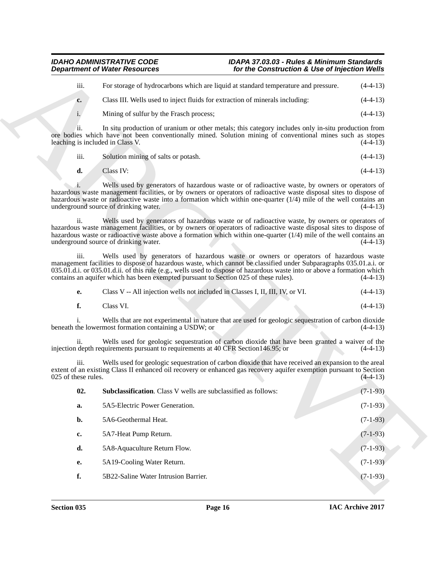| $\cdots$<br>111. | For storage of hydrocarbons which are liquid at standard temperature and pressure. | $(4-4-13)$ |
|------------------|------------------------------------------------------------------------------------|------------|
| $c_{\cdot}$      | Class III. Wells used to inject fluids for extraction of minerals including:       | $(4-4-13)$ |
|                  | Mining of sulfur by the Frasch process;                                            | $(4-4-13)$ |

| - 111. | Solution mining of salts or potash. | $(4-4-13)$ |
|--------|-------------------------------------|------------|
|        |                                     |            |

| d. | Class IV: |  | $(4-4-13)$ |
|----|-----------|--|------------|
|----|-----------|--|------------|

<span id="page-15-0"></span>

|  | Class V -- All injection wells not included in Classes I, II, III, IV, or VI. |  |  | $(4-4-13)$ |
|--|-------------------------------------------------------------------------------|--|--|------------|
|--|-------------------------------------------------------------------------------|--|--|------------|

| <b>Department of Water Resources</b>    |                                                                                                                                                                                                                                                                                                                                                                                                                                                                                                                                                                                                                                                                                                                                                                               | for the Construction & Use of Injection Wells |                          |
|-----------------------------------------|-------------------------------------------------------------------------------------------------------------------------------------------------------------------------------------------------------------------------------------------------------------------------------------------------------------------------------------------------------------------------------------------------------------------------------------------------------------------------------------------------------------------------------------------------------------------------------------------------------------------------------------------------------------------------------------------------------------------------------------------------------------------------------|-----------------------------------------------|--------------------------|
| iii.                                    | For storage of hydrocarbons which are liquid at standard temperature and pressure.                                                                                                                                                                                                                                                                                                                                                                                                                                                                                                                                                                                                                                                                                            |                                               | $(4-4-13)$               |
| c.                                      | Class III. Wells used to inject fluids for extraction of minerals including:                                                                                                                                                                                                                                                                                                                                                                                                                                                                                                                                                                                                                                                                                                  |                                               | $(4-4-13)$               |
| $\mathbf{i}$ .                          | Mining of sulfur by the Frasch process;                                                                                                                                                                                                                                                                                                                                                                                                                                                                                                                                                                                                                                                                                                                                       |                                               | $(4-4-13)$               |
| ii.<br>leaching is included in Class V. | In situ production of uranium or other metals; this category includes only in-situ production from<br>ore bodies which have not been conventionally mined. Solution mining of conventional mines such as stopes                                                                                                                                                                                                                                                                                                                                                                                                                                                                                                                                                               |                                               | $(4-4-13)$               |
| iii.                                    | Solution mining of salts or potash.                                                                                                                                                                                                                                                                                                                                                                                                                                                                                                                                                                                                                                                                                                                                           |                                               | $(4-4-13)$               |
| d.                                      | Class IV:                                                                                                                                                                                                                                                                                                                                                                                                                                                                                                                                                                                                                                                                                                                                                                     |                                               | $(4-4-13)$               |
| ii.                                     | Wells used by generators of hazardous waste or of radioactive waste, by owners or operators of<br>hazardous waste management facilities, or by owners or operators of radioactive waste disposal sites to dispose of<br>hazardous waste or radioactive waste into a formation which within one-quarter $(1/4)$ mile of the well contains an<br>underground source of drinking water.<br>Wells used by generators of hazardous waste or of radioactive waste, by owners or operators of<br>hazardous waste management facilities, or by owners or operators of radioactive waste disposal sites to dispose of<br>hazardous waste or radioactive waste above a formation which within one-quarter $(1/4)$ mile of the well contains an<br>underground source of drinking water. |                                               | $(4-4-13)$<br>$(4-4-13)$ |
| iii.                                    | Wells used by generators of hazardous waste or owners or operators of hazardous waste<br>management facilities to dispose of hazardous waste, which cannot be classified under Subparagraphs 035.01.a.i. or<br>035.01.d.i. or 035.01.d.ii. of this rule (e.g., wells used to dispose of hazardous waste into or above a formation which<br>contains an aquifer which has been exempted pursuant to Section 025 of these rules).                                                                                                                                                                                                                                                                                                                                               |                                               | $(4-4-13)$               |
| е.                                      | Class V -- All injection wells not included in Classes I, II, III, IV, or VI.                                                                                                                                                                                                                                                                                                                                                                                                                                                                                                                                                                                                                                                                                                 |                                               | $(4-4-13)$               |
| f.                                      | Class VI.                                                                                                                                                                                                                                                                                                                                                                                                                                                                                                                                                                                                                                                                                                                                                                     |                                               | $(4-4-13)$               |
|                                         | Wells that are not experimental in nature that are used for geologic sequestration of carbon dioxide<br>beneath the lowermost formation containing a USDW; or                                                                                                                                                                                                                                                                                                                                                                                                                                                                                                                                                                                                                 |                                               | $(4-4-13)$               |
| ii.                                     | Wells used for geologic sequestration of carbon dioxide that have been granted a waiver of the<br>injection depth requirements pursuant to requirements at 40 CFR Section 146.95; or                                                                                                                                                                                                                                                                                                                                                                                                                                                                                                                                                                                          |                                               | $(4-4-13)$               |
| iii.<br>025 of these rules.             | Wells used for geologic sequestration of carbon dioxide that have received an expansion to the areal<br>extent of an existing Class II enhanced oil recovery or enhanced gas recovery aquifer exemption pursuant to Section                                                                                                                                                                                                                                                                                                                                                                                                                                                                                                                                                   |                                               | $(4-4-13)$               |
| 02.                                     | <b>Subclassification.</b> Class V wells are subclassified as follows:                                                                                                                                                                                                                                                                                                                                                                                                                                                                                                                                                                                                                                                                                                         |                                               | $(7-1-93)$               |
| a.                                      | 5A5-Electric Power Generation.                                                                                                                                                                                                                                                                                                                                                                                                                                                                                                                                                                                                                                                                                                                                                |                                               | $(7-1-93)$               |
|                                         | 5A6-Geothermal Heat.                                                                                                                                                                                                                                                                                                                                                                                                                                                                                                                                                                                                                                                                                                                                                          |                                               | $(7-1-93)$               |
| b.                                      |                                                                                                                                                                                                                                                                                                                                                                                                                                                                                                                                                                                                                                                                                                                                                                               |                                               | $(7-1-93)$               |
| $\mathbf{c}$                            | 5A7-Heat Pump Return.                                                                                                                                                                                                                                                                                                                                                                                                                                                                                                                                                                                                                                                                                                                                                         |                                               |                          |
| d.                                      | 5A8-Aquaculture Return Flow.                                                                                                                                                                                                                                                                                                                                                                                                                                                                                                                                                                                                                                                                                                                                                  |                                               | $(7-1-93)$               |
| <b>e.</b>                               | 5A19-Cooling Water Return.                                                                                                                                                                                                                                                                                                                                                                                                                                                                                                                                                                                                                                                                                                                                                    |                                               | $(7-1-93)$               |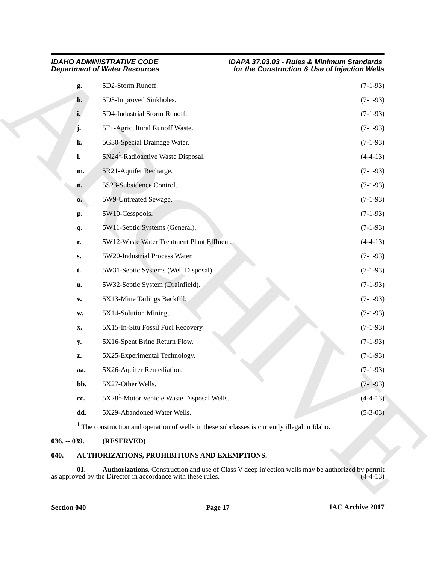|               | <b>Department of Water Resources</b>                                                                    | for the Construction & Use of Injection Wells                                                    |            |
|---------------|---------------------------------------------------------------------------------------------------------|--------------------------------------------------------------------------------------------------|------------|
| g.            | 5D2-Storm Runoff.                                                                                       |                                                                                                  | $(7-1-93)$ |
| h.            | 5D3-Improved Sinkholes.                                                                                 |                                                                                                  | $(7-1-93)$ |
| i.            | 5D4-Industrial Storm Runoff.                                                                            |                                                                                                  | $(7-1-93)$ |
| j.            | 5F1-Agricultural Runoff Waste.                                                                          |                                                                                                  | $(7-1-93)$ |
| k.            | 5G30-Special Drainage Water.                                                                            |                                                                                                  | $(7-1-93)$ |
| l.            | 5N24 <sup>1</sup> -Radioactive Waste Disposal.                                                          |                                                                                                  | $(4-4-13)$ |
| m.            | 5R21-Aquifer Recharge.                                                                                  |                                                                                                  | $(7-1-93)$ |
| n.            | 5S23-Subsidence Control.                                                                                |                                                                                                  | $(7-1-93)$ |
| $\mathbf{0}$  | 5W9-Untreated Sewage.                                                                                   |                                                                                                  | $(7-1-93)$ |
| p.            | 5W10-Cesspools.                                                                                         |                                                                                                  | $(7-1-93)$ |
| q.            | 5W11-Septic Systems (General).                                                                          |                                                                                                  | $(7-1-93)$ |
| r.            | 5W12-Waste Water Treatment Plant Effluent.                                                              |                                                                                                  | $(4-4-13)$ |
| $S_{\bullet}$ | 5W20-Industrial Process Water.                                                                          |                                                                                                  | $(7-1-93)$ |
| t.            | 5W31-Septic Systems (Well Disposal).                                                                    |                                                                                                  | $(7-1-93)$ |
| u.            | 5W32-Septic System (Drainfield).                                                                        |                                                                                                  | $(7-1-93)$ |
| V.            | 5X13-Mine Tailings Backfill.                                                                            |                                                                                                  | $(7-1-93)$ |
| W.            | 5X14-Solution Mining.                                                                                   |                                                                                                  | $(7-1-93)$ |
| X.            | 5X15-In-Situ Fossil Fuel Recovery.                                                                      |                                                                                                  | $(7-1-93)$ |
| <b>y.</b>     | 5X16-Spent Brine Return Flow.                                                                           |                                                                                                  | $(7-1-93)$ |
| z.            | 5X25-Experimental Technology.                                                                           |                                                                                                  | $(7-1-93)$ |
| aa.           | 5X26-Aquifer Remediation.                                                                               |                                                                                                  | $(7-1-93)$ |
| bb.           | 5X27-Other Wells.                                                                                       |                                                                                                  | $(7-1-93)$ |
| cc.           | 5X28 <sup>1</sup> -Motor Vehicle Waste Disposal Wells.                                                  |                                                                                                  | $(4-4-13)$ |
| dd.           | 5X29-Abandoned Water Wells.                                                                             |                                                                                                  | $(5-3-03)$ |
|               | <sup>1</sup> The construction and operation of wells in these subclasses is currently illegal in Idaho. |                                                                                                  |            |
| $036. - 039.$ | (RESERVED)                                                                                              |                                                                                                  |            |
| 040.          | AUTHORIZATIONS, PROHIBITIONS AND EXEMPTIONS.                                                            |                                                                                                  |            |
| 01.           | as approved by the Director in accordance with these rules.                                             | Authorizations. Construction and use of Class V deep injection wells may be authorized by permit | $(4-4-13)$ |

### <span id="page-16-0"></span>**036. -- 039. (RESERVED)**

### <span id="page-16-3"></span><span id="page-16-2"></span><span id="page-16-1"></span>**040. AUTHORIZATIONS, PROHIBITIONS AND EXEMPTIONS.**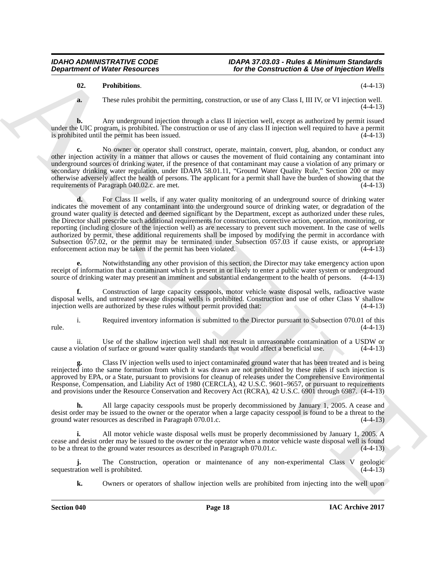### <span id="page-17-0"></span>**02. Prohibitions**. (4-4-13)

**a.** These rules prohibit the permitting, construction, or use of any Class I, III IV, or VI injection well.  $(4-4-13)$ 

**b.** Any underground injection through a class II injection well, except as authorized by permit issued under the UIC program, is prohibited. The construction or use of any class II injection well required to have a permit is prohibited until the permit has been issued. (4-4-13)

No owner or operator shall construct, operate, maintain, convert, plug, abandon, or conduct any other injection activity in a manner that allows or causes the movement of fluid containing any contaminant into underground sources of drinking water, if the presence of that contaminant may cause a violation of any primary or secondary drinking water regulation, under IDAPA 58.01.11, "Ground Water Quality Rule," Section 200 or may otherwise adversely affect the health of persons. The applicant for a permit shall have the burden of showing that the requirements of Paragraph 040.02.c. are met. (4-4-13)

**Department of Weiter Research 1998** To the Constitution's Like of hyperical Weiler<br>
16. The distribution of the construction of the Construction's Like of hyperical Weiler<br>
16. The construction of the construction of the **d.** For Class II wells, if any water quality monitoring of an underground source of drinking water indicates the movement of any contaminant into the underground source of drinking water, or degradation of the ground water quality is detected and deemed significant by the Department, except as authorized under these rules, the Director shall prescribe such additional requirements for construction, corrective action, operation, monitoring, or reporting (including closure of the injection well) as are necessary to prevent such movement. In the case of wells authorized by permit, these additional requirements shall be imposed by modifying the permit in accordance with Subsection 057.02, or the permit may be terminated under Subsection 057.03 if cause exists, or appropriate enforcement action may be taken if the permit has been violated. (4-4-13)

**e.** Notwithstanding any other provision of this section, the Director may take emergency action upon receipt of information that a contaminant which is present in or likely to enter a public water system or underground source of drinking water may present an imminent and substantial endangerment to the health of persons. (4-4-13)

**f.** Construction of large capacity cesspools, motor vehicle waste disposal wells, radioactive waste disposal wells, and untreated sewage disposal wells is prohibited. Construction and use of other Class V shallow injection wells are authorized by these rules without permit provided that: (4-4-13)

i. Required inventory information is submitted to the Director pursuant to Subsection 070.01 of this  $rule.$  (4-4-13)

ii. Use of the shallow injection well shall not result in unreasonable contamination of a USDW or cause a violation of surface or ground water quality standards that would affect a beneficial use. (4-4-13)

**g.** Class IV injection wells used to inject contaminated ground water that has been treated and is being reinjected into the same formation from which it was drawn are not prohibited by these rules if such injection is approved by EPA, or a State, pursuant to provisions for cleanup of releases under the Comprehensive Environmental Response, Compensation, and Liability Act of 1980 (CERCLA), 42 U.S.C. 9601–9657, or pursuant to requirements and provisions under the Resource Conservation and Recovery Act (RCRA), 42 U.S.C. 6901 through 6987. (4-4-13)

**h.** All large capacity cesspools must be properly decommissioned by January 1, 2005. A cease and desist order may be issued to the owner or the operator when a large capacity cesspool is found to be a threat to the ground water resources as described in Paragraph 070.01.c. (4-4-13)

**i.** All motor vehicle waste disposal wells must be properly decommissioned by January 1, 2005. A cease and desist order may be issued to the owner or the operator when a motor vehicle waste disposal well is found to be a threat to the ground water resources as described in Paragraph 070.01.c. (4-4-13)

**j.** The Construction, operation or maintenance of any non-experimental Class V geologic ation well is prohibited. (4-4-13) sequestration well is prohibited.

**k.** Owners or operators of shallow injection wells are prohibited from injecting into the well upon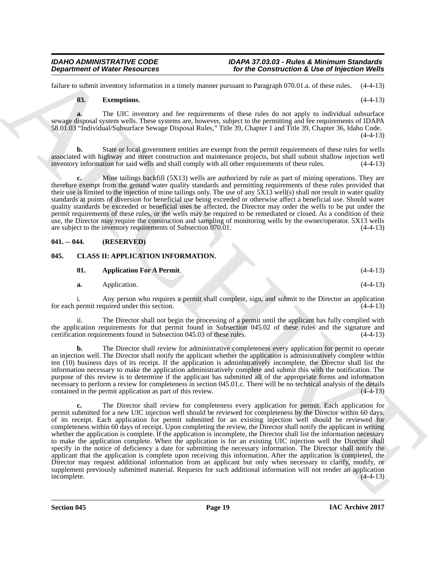failure to submit inventory information in a timely manner pursuant to Paragraph 070.01.a. of these rules. (4-4-13)

### <span id="page-18-2"></span>**03. Exemptions**. (4-4-13)

**a.** The UIC inventory and fee requirements of these rules do not apply to individual subsurface sewage disposal system wells. These systems are, however, subject to the permitting and fee requirements of IDAPA 58.01.03 "Individual/Subsurface Sewage Disposal Rules," Title 39, Chapter 1 and Title 39, Chapter 36, Idaho Code.  $(4-4-13)$ 

**b.** State or local government entities are exempt from the permit requirements of these rules for wells associated with highway and street construction and maintenance projects, but shall submit shallow injection well inventory information for said wells and shall comply with all other requirements of these rules. (4-4-13)

**c.** Mine tailings backfill (5X13) wells are authorized by rule as part of mining operations. They are therefore exempt from the ground water quality standards and permitting requirements of these rules provided that their use is limited to the injection of mine tailings only. The use of any 5X13 well(s) shall not result in water quality standards at points of diversion for beneficial use being exceeded or otherwise affect a beneficial use. Should water quality standards be exceeded or beneficial uses be affected, the Director may order the wells to be put under the permit requirements of these rules, or the wells may be required to be remediated or closed. As a condition of their use, the Director may require the construction and sampling of monitoring wells by the owner/operator. 5X13 wells are subject to the inventory requirements of Subsection 070.01. (4-4-13)

### <span id="page-18-0"></span>**041. -- 044. (RESERVED)**

### <span id="page-18-1"></span>**045. CLASS II: APPLICATION INFORMATION.**

<span id="page-18-4"></span><span id="page-18-3"></span>

| 01. | <b>Application For A Permit.</b> |  | $(4-4-13)$ |
|-----|----------------------------------|--|------------|
|     | Application.                     |  | $(4-4-13)$ |

i. Any person who requires a permit shall complete, sign, and submit to the Director an application for each permit required under this section.  $(4-4-13)$ 

ii. The Director shall not begin the processing of a permit until the applicant has fully complied with the application requirements for that permit found in Subsection 045.02 of these rules and the signature and certification requirements found in Subsection 045.03 of these rules. (4-4-13) certification requirements found in Subsection 045.03 of these rules.

**b.** The Director shall review for administrative completeness every application for permit to operate an injection well. The Director shall notify the applicant whether the application is administratively complete within ten (10) business days of its receipt. If the application is administratively incomplete, the Director shall list the information necessary to make the application administratively complete and submit this with the notification. The purpose of this review is to determine if the applicant has submitted all of the appropriate forms and information necessary to perform a review for completeness in section 045.01.c. There will be no technical analysis of the details contained in the permit application as part of this review. (4-4-13)

**Department of Niese Research 1998**<br>
However, the theoretical contribution is the contribution of the contribution is the of the contribution of the state of the state of the state of the state of the state of the state o **c.** The Director shall review for completeness every application for permit. Each application for permit submitted for a new UIC injection well should be reviewed for completeness by the Director within 60 days. of its receipt. Each application for permit submitted for an existing injection well should be reviewed for completeness within 60 days of receipt. Upon completing the review, the Director shall notify the applicant in writing whether the application is complete. If the application is incomplete, the Director shall list the information necessary to make the application complete. When the application is for an existing UIC injection well the Director shall specify in the notice of deficiency a date for submitting the necessary information. The Director shall notify the applicant that the application is complete upon receiving this information. After the application is completed, the Director may request additional information from an applicant but only when necessary to clarify, modify, or supplement previously submitted material. Requests for such additional information will not render an application incomplete. (4-4-13)  $incomplete.$  (4-4-13)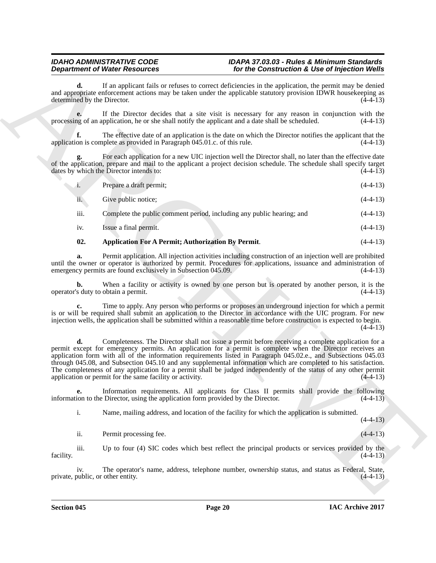**d.** If an applicant fails or refuses to correct deficiencies in the application, the permit may be denied and appropriate enforcement actions may be taken under the applicable statutory provision IDWR housekeeping as determined by the Director. (4-4-13) determined by the Director.

**e.** If the Director decides that a site visit is necessary for any reason in conjunction with the processing of an application, he or she shall notify the applicant and a date shall be scheduled. (4-4-13)

**f.** The effective date of an application is the date on which the Director notifies the applicant that the application is complete as provided in Paragraph 045.01.c. of this rule. (4-4-13)

**g.** For each application for a new UIC injection well the Director shall, no later than the effective date of the application, prepare and mail to the applicant a project decision schedule. The schedule shall specify target dates by which the Director intends to: (4-4-13) dates by which the Director intends to:

| Prepare a draft permit; | $(4-4-13)$ |
|-------------------------|------------|
|                         |            |

| $\cdot$ .<br>11. | Give public notice: |  | $(4-4-13)$ |  |
|------------------|---------------------|--|------------|--|
|------------------|---------------------|--|------------|--|

iii. Complete the public comment period, including any public hearing; and (4-4-13)

iv. Issue a final permit. (4-4-13)

### <span id="page-19-0"></span>**02. Application For A Permit; Authorization By Permit**. (4-4-13)

**a.** Permit application. All injection activities including construction of an injection well are prohibited until the owner or operator is authorized by permit. Procedures for applications, issuance and administration of emergency permits are found exclusively in Subsection 045.09. (4-4-13) emergency permits are found exclusively in Subsection 045.09.

**b.** When a facility or activity is owned by one person but is operated by another person, it is the operator's duty to obtain a permit. (4-4-13)

**c.** Time to apply. Any person who performs or proposes an underground injection for which a permit is or will be required shall submit an application to the Director in accordance with the UIC program. For new injection wells, the application shall be submitted within a reasonable time before construction is expected to begin.  $(4-4-13)$ 

**Department of Water Resources** control for the Construction's Lie of Proposition Construction ( $\frac{1}{2}$  the Construction Construction ( $\frac{1}{2}$  the Construction Construction Construction ( $\frac{1}{2}$  the Construction Con **d.** Completeness. The Director shall not issue a permit before receiving a complete application for a permit except for emergency permits. An application for a permit is complete when the Director receives an application form with all of the information requirements listed in Paragraph 045.02.e., and Subsections 045.03 through 045.08, and Subsection 045.10 and any supplemental information which are completed to his satisfaction. The completeness of any application for a permit shall be judged independently of the status of any other permit application or permit for the same facility or activity. (4-4-13) application or permit for the same facility or activity.

**e.** Information requirements. All applicants for Class II permits shall provide the following ion to the Director, using the application form provided by the Director.  $(4-4-13)$ information to the Director, using the application form provided by the Director.

i. Name, mailing address, and location of the facility for which the application is submitted.

 $(4-4-13)$ 

ii. Permit processing fee. (4-4-13)

iii. Up to four (4) SIC codes which best reflect the principal products or services provided by the facility.  $(4-4-13)$ 

iv. The operator's name, address, telephone number, ownership status, and status as Federal, State, private, public, or other entity. (4-4-13)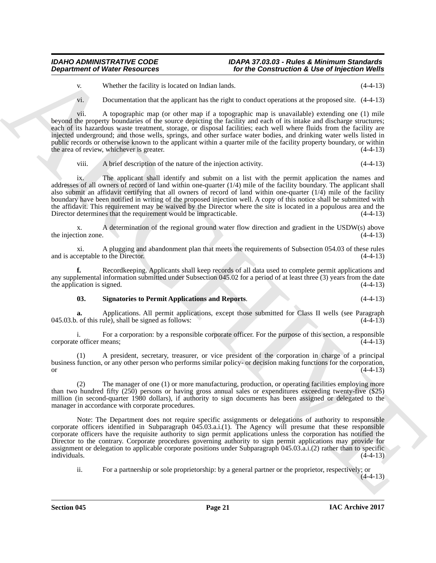v. Whether the facility is located on Indian lands. (4-4-13)

vi. Documentation that the applicant has the right to conduct operations at the proposed site. (4-4-13)

**Department of Weier Resources**<br>
Yor the Construction & Use of tripetation Weight<br>
Yor the Construction & Use of tripetation Weight<br>
Yor the Construction & the Construction & the Construction & the Construction<br>
York Theo vii. A topographic map (or other map if a topographic map is unavailable) extending one (1) mile beyond the property boundaries of the source depicting the facility and each of its intake and discharge structures; each of its hazardous waste treatment, storage, or disposal facilities; each well where fluids from the facility are injected underground; and those wells, springs, and other surface water bodies, and drinking water wells listed in public records or otherwise known to the applicant within a quarter mile of the facility property boundary, or within the area of review, whichever is greater. (4-4-13)

### viii. A brief description of the nature of the injection activity. (4-4-13)

ix. The applicant shall identify and submit on a list with the permit application the names and addresses of all owners of record of land within one-quarter (1/4) mile of the facility boundary. The applicant shall also submit an affidavit certifying that all owners of record of land within one-quarter  $(1/4)$  mile of the facility boundary have been notified in writing of the proposed injection well. A copy of this notice shall be submitted with the affidavit. This requirement may be waived by the Director where the site is located in a populous area and the Director determines that the requirement would be impracticable. (4-4-13)

x. A determination of the regional ground water flow direction and gradient in the USDW(s) above<br>(4-4-13) the injection zone.

xi. A plugging and abandonment plan that meets the requirements of Subsection 054.03 of these rules and is acceptable to the Director. (4-4-13)

**f.** Recordkeeping. Applicants shall keep records of all data used to complete permit applications and any supplemental information submitted under Subsection 045.02 for a period of at least three (3) years from the date the application is signed.  $(4-4-13)$ 

<span id="page-20-0"></span>**03. Signatories to Permit Applications and Reports**. (4-4-13)

**a.** Applications. All permit applications, except those submitted for Class II wells (see Paragraph 045.03.b. of this rule), shall be signed as follows: (4-4-13)

i. For a corporation: by a responsible corporate officer. For the purpose of this section, a responsible corporate officer means;

A president, secretary, treasurer, or vice president of the corporation in charge of a principal business function, or any other person who performs similar policy- or decision making functions for the corporation, or  $(4-4-13)$ 

The manager of one (1) or more manufacturing, production, or operating facilities employing more than two hundred fifty (250) persons or having gross annual sales or expenditures exceeding twenty-five (\$25) million (in second-quarter 1980 dollars), if authority to sign documents has been assigned or delegated to the manager in accordance with corporate procedures.

Note: The Department does not require specific assignments or delegations of authority to responsible corporate officers identified in Subparagraph 045.03.a.i.(1). The Agency will presume that these responsible corporate officers have the requisite authority to sign permit applications unless the corporation has notified the Director to the contrary. Corporate procedures governing authority to sign permit applications may provide for assignment or delegation to applicable corporate positions under Subparagraph 045.03.a.i.(2) rather than to specific  $i$  individuals.  $(4-4-13)$ 

ii. For a partnership or sole proprietorship: by a general partner or the proprietor, respectively; or

 $(4-4-13)$ 

**Section 045 Page 21**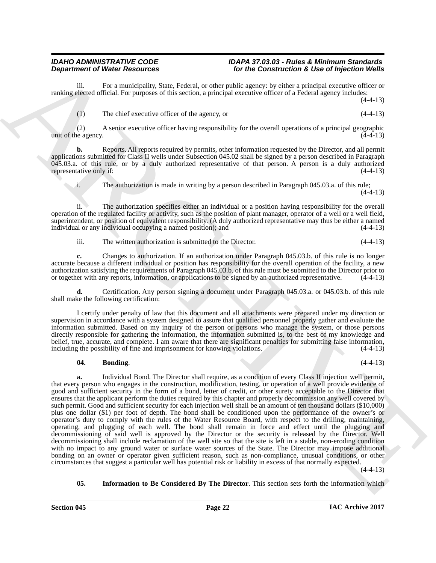iii. For a municipality, State, Federal, or other public agency: by either a principal executive officer or ranking elected official. For purposes of this section, a principal executive officer of a Federal agency includes:  $(4-4-13)$ 

(1) The chief executive officer of the agency, or (4-4-13)

(2) A senior executive officer having responsibility for the overall operations of a principal geographic unit of the agency.  $(4-4-13)$ 

**b.** Reports. All reports required by permits, other information requested by the Director, and all permit applications submitted for Class II wells under Subsection 045.02 shall be signed by a person described in Paragraph  $045.03$ .a. of this rule, or by a duly authorized representative of that person. A person is a duly authorized representative only if: representative only if:

i. The authorization is made in writing by a person described in Paragraph 045.03.a. of this rule;

(4-4-13)

ii. The authorization specifies either an individual or a position having responsibility for the overall operation of the regulated facility or activity, such as the position of plant manager, operator of a well or a well field, superintendent, or position of equivalent responsibility. ( $\hat{A}$  duly authorized representative may thus be either a named individual or any individual occupying a named position); and  $(4-4-13)$ individual or any individual occupying a named position); and

iii. The written authorization is submitted to the Director. (4-4-13)

**c.** Changes to authorization. If an authorization under Paragraph 045.03.b. of this rule is no longer accurate because a different individual or position has responsibility for the overall operation of the facility, a new authorization satisfying the requirements of Paragraph 045.03.b. of this rule must be submitted to the Director prior to or together with any reports, information, or applications to be signed by an authorized representative. (4-4-13)

**d.** Certification. Any person signing a document under Paragraph 045.03.a. or 045.03.b. of this rule shall make the following certification:

I certify under penalty of law that this document and all attachments were prepared under my direction or supervision in accordance with a system designed to assure that qualified personnel properly gather and evaluate the information submitted. Based on my inquiry of the person or persons who manage the system, or those persons directly responsible for gathering the information, the information submitted is, to the best of my knowledge and belief, true, accurate, and complete. I am aware that there are significant penalties for submitting false information, including the possibility of fine and imprisonment for knowing violations. (4-4-13)

### <span id="page-21-0"></span>**04. Bonding**. (4-4-13)

**Department of New Heading State.** New Health of the Construction's 4 Life of New Health State Transmission in the Construction's Construction's Construction's Construction's Construction in the Construction of the Constr **a.** Individual Bond. The Director shall require, as a condition of every Class II injection well permit, that every person who engages in the construction, modification, testing, or operation of a well provide evidence of good and sufficient security in the form of a bond, letter of credit, or other surety acceptable to the Director that ensures that the applicant perform the duties required by this chapter and properly decommission any well covered by such permit. Good and sufficient security for each injection well shall be an amount of ten thousand dollars (\$10,000) plus one dollar (\$1) per foot of depth. The bond shall be conditioned upon the performance of the owner's or operator's duty to comply with the rules of the Water Resource Board, with respect to the drilling, maintaining, operating, and plugging of each well. The bond shall remain in force and effect until the plugging and decommissioning of said well is approved by the Director or the security is released by the Director. Well decommissioning shall include reclamation of the well site so that the site is left in a stable, non-eroding condition with no impact to any ground water or surface water sources of the State. The Director may impose additional bonding on an owner or operator given sufficient reason, such as non-compliance, unusual conditions, or other circumstances that suggest a particular well has potential risk or liability in excess of that normally expected.  $(4-4-13)$ 

<span id="page-21-1"></span>**05. Information to Be Considered By The Director**. This section sets forth the information which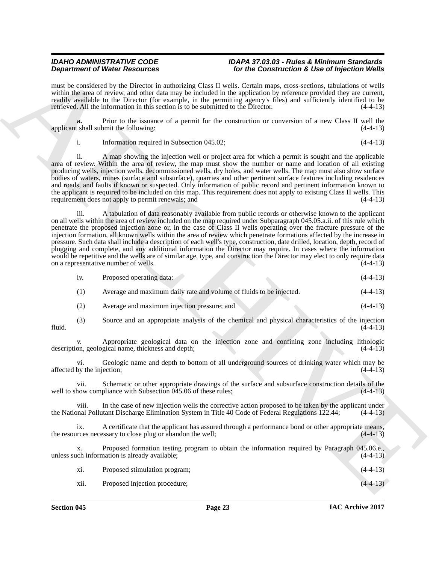must be considered by the Director in authorizing Class II wells. Certain maps, cross-sections, tabulations of wells within the area of review, and other data may be included in the application by reference provided they are current, readily available to the Director (for example, in the permitting agency's files) and sufficiently identified to be retrieved. All the information in this section is to be submitted to the Director. (4-4-13)

**a.** Prior to the issuance of a permit for the construction or conversion of a new Class II well the t shall submit the following: (4-4-13) applicant shall submit the following:

i. Information required in Subsection 045.02; (4-4-13)

ii. A map showing the injection well or project area for which a permit is sought and the applicable area of review. Within the area of review, the map must show the number or name and location of all existing producing wells, injection wells, decommissioned wells, dry holes, and water wells. The map must also show surface bodies of waters, mines (surface and subsurface), quarries and other pertinent surface features including residences and roads, and faults if known or suspected. Only information of public record and pertinent information known to the applicant is required to be included on this map. This requirement does not apply to existing Class II wells. This requirement does not apply to permit renewals; and (4-4-13) requirement does not apply to permit renewals; and

**Dependent of Water Research on Landscape Construction Construction & Social Properties Construction & Construction Construction & Construction Construction Construction Construction Construction Construction Construction** iii. A tabulation of data reasonably available from public records or otherwise known to the applicant on all wells within the area of review included on the map required under Subparagraph 045.05.a.ii. of this rule which penetrate the proposed injection zone or, in the case of Class II wells operating over the fracture pressure of the injection formation, all known wells within the area of review which penetrate formations affected by the increase in pressure. Such data shall include a description of each well's type, construction, date drilled, location, depth, record of plugging and complete, and any additional information the Director may require. In cases where the information would be repetitive and the wells are of similar age, type, and construction the Director may elect to only require data<br>on a representative number of wells. on a representative number of wells.

| 1V. | Proposed operating data: | $(4-4-13)$ |
|-----|--------------------------|------------|
|     |                          |            |

- (1) Average and maximum daily rate and volume of fluids to be injected. (4-4-13)
- (2) Average and maximum injection pressure; and (4-4-13)
- (3) Source and an appropriate analysis of the chemical and physical characteristics of the injection fluid.  $(4-4-13)$

v. Appropriate geological data on the injection zone and confining zone including lithologic description, geological name, thickness and depth; (4-4-13)

vi. Geologic name and depth to bottom of all underground sources of drinking water which may be affected by the injection; (4-4-13)

vii. Schematic or other appropriate drawings of the surface and subsurface construction details of the well to show compliance with Subsection  $045.06$  of these rules;

viii. In the case of new injection wells the corrective action proposed to be taken by the applicant under the National Pollutant Discharge Elimination System in Title 40 Code of Federal Regulations 122.44; (4-4-13)

ix. A certificate that the applicant has assured through a performance bond or other appropriate means, and it is express accessary to close plug or abandon the well; the resources necessary to close plug or abandon the well;

x. Proposed formation testing program to obtain the information required by Paragraph 045.06.e., unless such information is already available; (4-4-13)

xi. Proposed stimulation program; (4-4-13)

xii. Proposed injection procedure; (4-4-13)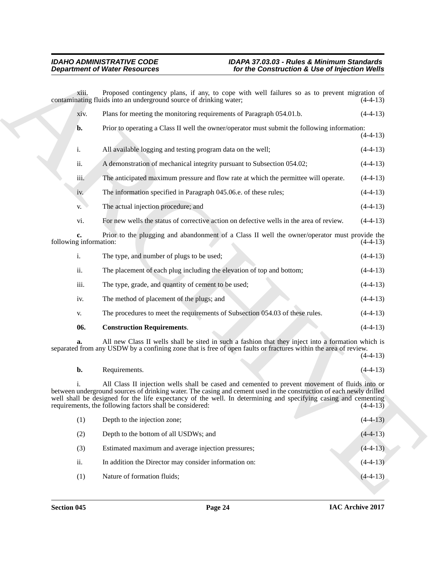**Department of Nicher Resolution:** The the Commutation's Like of hyperical Worlds<br>
Archives a simple transformation of the state of the state of the state of the state of the state of the state of the state of the state o xiii. Proposed contingency plans, if any, to cope with well failures so as to prevent migration of contaminating fluids into an underground source of drinking water; xiv. Plans for meeting the monitoring requirements of Paragraph 054.01.b. (4-4-13) **b.** Prior to operating a Class II well the owner/operator must submit the following information:  $(4-4-13)$ i. All available logging and testing program data on the well; (4-4-13) ii. A demonstration of mechanical integrity pursuant to Subsection 054.02; (4-4-13) iii. The anticipated maximum pressure and flow rate at which the permittee will operate. (4-4-13) iv. The information specified in Paragraph 045.06.e. of these rules; (4-4-13) v. The actual injection procedure; and (4-4-13) vi. For new wells the status of corrective action on defective wells in the area of review. (4-4-13) **c.** Prior to the plugging and abandonment of a Class II well the owner/operator must provide the g information:  $(4-4-13)$ following information: i. The type, and number of plugs to be used; (4-4-13) ii. The placement of each plug including the elevation of top and bottom; (4-4-13) iii. The type, grade, and quantity of cement to be used; (4-4-13) iv. The method of placement of the plugs; and (4-4-13) v. The procedures to meet the requirements of Subsection 054.03 of these rules. (4-4-13) **06. Construction Requirements**. (4-4-13)

**a.** All new Class II wells shall be sited in such a fashion that they inject into a formation which is separated from any USDW by a confining zone that is free of open faults or fractures within the area of review.  $(4-4-13)$ 

<span id="page-23-0"></span>

| b. | Requirements. |  | $(4-4-13)$ |
|----|---------------|--|------------|
|    |               |  |            |

i. All Class II injection wells shall be cased and cemented to prevent movement of fluids into or between underground sources of drinking water. The casing and cement used in the construction of each newly drilled well shall be designed for the life expectancy of the well. In determining and specifying casing and cementing requirements, the following factors shall be considered:  $(4-4-13)$ requirements, the following factors shall be considered:

| (1) | Depth to the injection zone;                          |  | $(4-4-13)$ |
|-----|-------------------------------------------------------|--|------------|
| (2) | Depth to the bottom of all USDWs; and                 |  | $(4-4-13)$ |
| (3) | Estimated maximum and average injection pressures;    |  | $(4-4-13)$ |
| ii. | In addition the Director may consider information on: |  | $(4-4-13)$ |
| (1) | Nature of formation fluids;                           |  | $(4-4-13)$ |
|     |                                                       |  |            |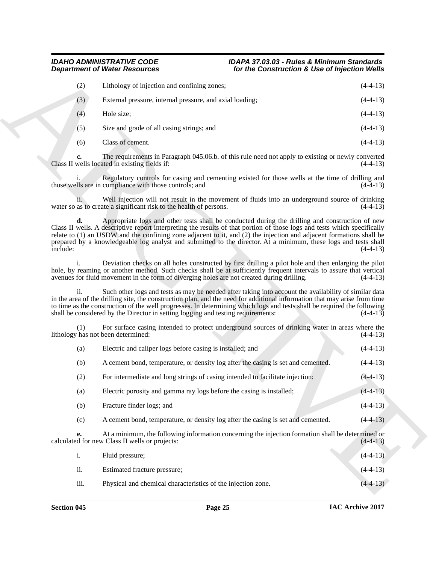| (2) | Lithology of injection and confining zones;              | $(4-4-13)$ |
|-----|----------------------------------------------------------|------------|
| (3) | External pressure, internal pressure, and axial loading; | $(4-4-13)$ |
| (4) | Hole size:                                               | $(4-4-13)$ |
| (5) | Size and grade of all casing strings; and                | $(4-4-13)$ |
| (6) | Class of cement.                                         | $(4-4-13)$ |

| <b>Department of Water Resources</b> |                                                                                            | for the Construction & Use of Injection Wells                                                                                                                                                                                                                                                                                                                                                                                                                             |            |
|--------------------------------------|--------------------------------------------------------------------------------------------|---------------------------------------------------------------------------------------------------------------------------------------------------------------------------------------------------------------------------------------------------------------------------------------------------------------------------------------------------------------------------------------------------------------------------------------------------------------------------|------------|
| (2)                                  | Lithology of injection and confining zones;                                                |                                                                                                                                                                                                                                                                                                                                                                                                                                                                           | $(4-4-13)$ |
| (3)                                  | External pressure, internal pressure, and axial loading;                                   |                                                                                                                                                                                                                                                                                                                                                                                                                                                                           | $(4-4-13)$ |
| (4)                                  | Hole size;                                                                                 |                                                                                                                                                                                                                                                                                                                                                                                                                                                                           | $(4-4-13)$ |
| (5)                                  | Size and grade of all casing strings; and                                                  |                                                                                                                                                                                                                                                                                                                                                                                                                                                                           | $(4-4-13)$ |
| (6)                                  | Class of cement.                                                                           |                                                                                                                                                                                                                                                                                                                                                                                                                                                                           | $(4-4-13)$ |
| c.                                   | Class II wells located in existing fields if:                                              | The requirements in Paragraph 045.06.b. of this rule need not apply to existing or newly converted                                                                                                                                                                                                                                                                                                                                                                        | $(4-4-13)$ |
|                                      | those wells are in compliance with those controls; and                                     | Regulatory controls for casing and cementing existed for those wells at the time of drilling and                                                                                                                                                                                                                                                                                                                                                                          | $(4-4-13)$ |
|                                      | water so as to create a significant risk to the health of persons.                         | Well injection will not result in the movement of fluids into an underground source of drinking                                                                                                                                                                                                                                                                                                                                                                           | $(4-4-13)$ |
| d.<br>include:                       |                                                                                            | Appropriate logs and other tests shall be conducted during the drilling and construction of new<br>Class II wells. A descriptive report interpreting the results of that portion of those logs and tests which specifically<br>relate to $(1)$ an USDW and the confining zone adjacent to it, and $(2)$ the injection and adjacent formations shall be<br>prepared by a knowledgeable log analyst and submitted to the director. At a minimum, these logs and tests shall | $(4-4-13)$ |
|                                      | avenues for fluid movement in the form of diverging holes are not created during drilling. | Deviation checks on all holes constructed by first drilling a pilot hole and then enlarging the pilot<br>hole, by reaming or another method. Such checks shall be at sufficiently frequent intervals to assure that vertical                                                                                                                                                                                                                                              | $(4-4-13)$ |
| ii.                                  | shall be considered by the Director in setting logging and testing requirements:           | Such other logs and tests as may be needed after taking into account the availability of similar data<br>in the area of the drilling site, the construction plan, and the need for additional information that may arise from time<br>to time as the construction of the well progresses. In determining which logs and tests shall be required the following                                                                                                             | $(4-4-13)$ |
| (1)                                  | lithology has not been determined:                                                         | For surface casing intended to protect underground sources of drinking water in areas where the                                                                                                                                                                                                                                                                                                                                                                           | $(4-4-13)$ |
| (a)                                  | Electric and caliper logs before casing is installed; and                                  |                                                                                                                                                                                                                                                                                                                                                                                                                                                                           | $(4-4-13)$ |
| (b)                                  |                                                                                            | A cement bond, temperature, or density log after the casing is set and cemented.                                                                                                                                                                                                                                                                                                                                                                                          | $(4-4-13)$ |
| (2)                                  | For intermediate and long strings of casing intended to facilitate injection:              |                                                                                                                                                                                                                                                                                                                                                                                                                                                                           | $(4-4-13)$ |
| (a)                                  | Electric porosity and gamma ray logs before the casing is installed;                       |                                                                                                                                                                                                                                                                                                                                                                                                                                                                           | $(4-4-13)$ |
| (b)                                  | Fracture finder logs; and                                                                  |                                                                                                                                                                                                                                                                                                                                                                                                                                                                           | $(4-4-13)$ |
| (c)                                  |                                                                                            | A cement bond, temperature, or density log after the casing is set and cemented.                                                                                                                                                                                                                                                                                                                                                                                          | $(4-4-13)$ |
| е.                                   | calculated for new Class II wells or projects:                                             | At a minimum, the following information concerning the injection formation shall be determined or                                                                                                                                                                                                                                                                                                                                                                         | $(4-4-13)$ |
| $\mathbf{i}$ .                       | Fluid pressure;                                                                            |                                                                                                                                                                                                                                                                                                                                                                                                                                                                           | $(4-4-13)$ |
|                                      | Estimated fracture pressure;                                                               |                                                                                                                                                                                                                                                                                                                                                                                                                                                                           | $(4-4-13)$ |
| ii.                                  |                                                                                            |                                                                                                                                                                                                                                                                                                                                                                                                                                                                           |            |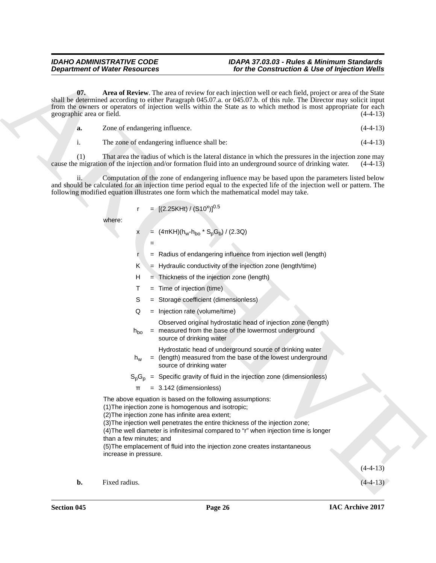**Department of Water Research 2.** For the Construction's & Use of Injection Water<br>
but the Construction's content through the construction will be easily represent the distribution of the construction and a bit distributi **07.** Area of Review. The area of review for each injection well or each field, project or area of the State shall be determined according to either Paragraph 045.07.a. or 045.07.b. of this rule. The Director may solicit input from the owners or operators of injection wells within the State as to which method is most appropriate for each geographic area or field. (4-4-13)

<span id="page-25-0"></span>

| Zone of endangering influence. | $(4-4-13)$ |
|--------------------------------|------------|
|                                |            |

i. The zone of endangering influence shall be: (4-4-13)

(1) That area the radius of which is the lateral distance in which the pressures in the injection zone may emigration of the injection and/or formation fluid into an underground source of drinking water.  $(4-4-13)$ cause the migration of the injection and/or formation fluid into an underground source of drinking water.

Computation of the zone of endangering influence may be based upon the parameters listed below and should be calculated for an injection time period equal to the expected life of the injection well or pattern. The following modified equation illustrates one form which the mathematical model may take.

$$
r = [(2.25KHt) / (S10^{x})]^{0.5}
$$

where:

 $x = (4\pi KH)(h_w-h_{bo} * S_p G_b) / (2.3Q)$ 

- =
- $r =$  Radius of endangering influence from injection well (length)
- $K = Hy$ draulic conductivity of the injection zone (length/time)
- H = Thickness of the injection zone (length)
- $T =$  Time of injection (time)
- S = Storage coefficient (dimensionless)
- Q = Injection rate (volume/time)

Observed original hydrostatic head of injection zone (length)

 $h_{\mathsf{bo}}$ = measured from the base of the lowermost underground source of drinking water

Hydrostatic head of underground source of drinking water

 $h_{w}$  = (length) measured from the base of the lowest underground source of drinking water

 $S_pG_p$  = Specific gravity of fluid in the injection zone (dimensionless)

 $\pi$  = 3.142 (dimensionless)

The above equation is based on the following assumptions:

(1)The injection zone is homogenous and isotropic;

(2)The injection zone has infinite area extent;

(3)The injection well penetrates the entire thickness of the injection zone;

(4)The well diameter is infinitesimal compared to "r" when injection time is longer than a few minutes; and

(5)The emplacement of fluid into the injection zone creates instantaneous increase in pressure.

 $(4-4-13)$ 

**b.** Fixed radius.  $(4-4-13)$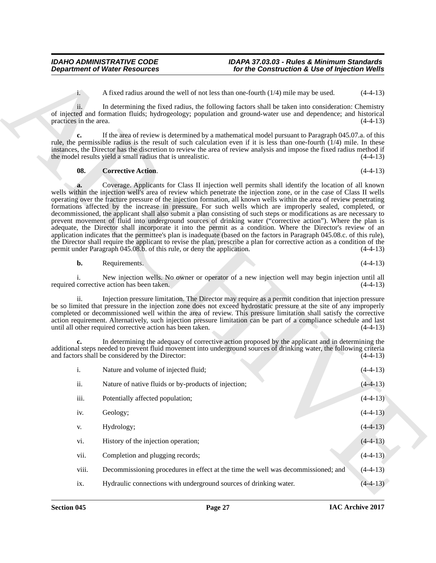#### <span id="page-26-0"></span>**08. Corrective Action**. (4-4-13)

| <b>Department of Water Resources</b> |                                                                         | for the Construction & Use of Injection Wells                                                                                                                                                                                                                                                                                                                                                                                                                                                                                                                                                                                                                                                                                                                                                                                                                                                                                                                                                                                                                                          |            |
|--------------------------------------|-------------------------------------------------------------------------|----------------------------------------------------------------------------------------------------------------------------------------------------------------------------------------------------------------------------------------------------------------------------------------------------------------------------------------------------------------------------------------------------------------------------------------------------------------------------------------------------------------------------------------------------------------------------------------------------------------------------------------------------------------------------------------------------------------------------------------------------------------------------------------------------------------------------------------------------------------------------------------------------------------------------------------------------------------------------------------------------------------------------------------------------------------------------------------|------------|
| $1 -$                                |                                                                         | A fixed radius around the well of not less than one-fourth $(1/4)$ mile may be used.                                                                                                                                                                                                                                                                                                                                                                                                                                                                                                                                                                                                                                                                                                                                                                                                                                                                                                                                                                                                   | $(4-4-13)$ |
| ii.<br>practices in the area.        |                                                                         | In determining the fixed radius, the following factors shall be taken into consideration: Chemistry<br>of injected and formation fluids; hydrogeology; population and ground-water use and dependence; and historical                                                                                                                                                                                                                                                                                                                                                                                                                                                                                                                                                                                                                                                                                                                                                                                                                                                                  | $(4-4-13)$ |
| c.                                   | the model results yield a small radius that is unrealistic.             | If the area of review is determined by a mathematical model pursuant to Paragraph 045.07.a. of this<br>rule, the permissible radius is the result of such calculation even if it is less than one-fourth $(1/4)$ mile. In these<br>instances, the Director has the discretion to review the area of review analysis and impose the fixed radius method if                                                                                                                                                                                                                                                                                                                                                                                                                                                                                                                                                                                                                                                                                                                              | $(4-4-13)$ |
| 08.                                  | <b>Corrective Action.</b>                                               |                                                                                                                                                                                                                                                                                                                                                                                                                                                                                                                                                                                                                                                                                                                                                                                                                                                                                                                                                                                                                                                                                        | $(4-4-13)$ |
| a.                                   | permit under Paragraph 045.08.b. of this rule, or deny the application. | Coverage. Applicants for Class II injection well permits shall identify the location of all known<br>wells within the injection well's area of review which penetrate the injection zone, or in the case of Class II wells<br>operating over the fracture pressure of the injection formation, all known wells within the area of review penetrating<br>formations affected by the increase in pressure. For such wells which are improperly sealed, completed, or<br>decommissioned, the applicant shall also submit a plan consisting of such steps or modifications as are necessary to<br>prevent movement of fluid into underground sources of drinking water ("corrective action"). Where the plan is<br>adequate, the Director shall incorporate it into the permit as a condition. Where the Director's review of an<br>application indicates that the permittee's plan is inadequate (based on the factors in Paragraph 045.08.c. of this rule),<br>the Director shall require the applicant to revise the plan, prescribe a plan for corrective action as a condition of the | $(4-4-13)$ |
| b.                                   | Requirements.                                                           |                                                                                                                                                                                                                                                                                                                                                                                                                                                                                                                                                                                                                                                                                                                                                                                                                                                                                                                                                                                                                                                                                        | $(4-4-13)$ |
|                                      | required corrective action has been taken.                              | New injection wells. No owner or operator of a new injection well may begin injection until all                                                                                                                                                                                                                                                                                                                                                                                                                                                                                                                                                                                                                                                                                                                                                                                                                                                                                                                                                                                        | $(4-4-13)$ |
| ii.                                  | until all other required corrective action has been taken.              | Injection pressure limitation. The Director may require as a permit condition that injection pressure<br>be so limited that pressure in the injection zone does not exceed hydrostatic pressure at the site of any improperly<br>completed or decommissioned well within the area of review. This pressure limitation shall satisfy the corrective<br>action requirement. Alternatively, such injection pressure limitation can be part of a compliance schedule and last                                                                                                                                                                                                                                                                                                                                                                                                                                                                                                                                                                                                              | $(4-4-13)$ |
|                                      | and factors shall be considered by the Director:                        | In determining the adequacy of corrective action proposed by the applicant and in determining the<br>additional steps needed to prevent fluid movement into underground sources of drinking water, the following criteria                                                                                                                                                                                                                                                                                                                                                                                                                                                                                                                                                                                                                                                                                                                                                                                                                                                              | $(4-4-13)$ |
| i.                                   | Nature and volume of injected fluid;                                    |                                                                                                                                                                                                                                                                                                                                                                                                                                                                                                                                                                                                                                                                                                                                                                                                                                                                                                                                                                                                                                                                                        | $(4-4-13)$ |
| ii.                                  | Nature of native fluids or by-products of injection;                    |                                                                                                                                                                                                                                                                                                                                                                                                                                                                                                                                                                                                                                                                                                                                                                                                                                                                                                                                                                                                                                                                                        | $(4-4-13)$ |
| iii.                                 | Potentially affected population;                                        |                                                                                                                                                                                                                                                                                                                                                                                                                                                                                                                                                                                                                                                                                                                                                                                                                                                                                                                                                                                                                                                                                        | $(4-4-13)$ |
| iv.                                  | Geology;                                                                |                                                                                                                                                                                                                                                                                                                                                                                                                                                                                                                                                                                                                                                                                                                                                                                                                                                                                                                                                                                                                                                                                        | $(4-4-13)$ |
| V.                                   | Hydrology;                                                              |                                                                                                                                                                                                                                                                                                                                                                                                                                                                                                                                                                                                                                                                                                                                                                                                                                                                                                                                                                                                                                                                                        | $(4-4-13)$ |
| vi.                                  | History of the injection operation;                                     |                                                                                                                                                                                                                                                                                                                                                                                                                                                                                                                                                                                                                                                                                                                                                                                                                                                                                                                                                                                                                                                                                        | $(4-4-13)$ |
| vii.                                 | Completion and plugging records;                                        |                                                                                                                                                                                                                                                                                                                                                                                                                                                                                                                                                                                                                                                                                                                                                                                                                                                                                                                                                                                                                                                                                        | $(4-4-13)$ |
| viii.                                |                                                                         | Decommissioning procedures in effect at the time the well was decommissioned; and                                                                                                                                                                                                                                                                                                                                                                                                                                                                                                                                                                                                                                                                                                                                                                                                                                                                                                                                                                                                      | $(4-4-13)$ |
|                                      |                                                                         |                                                                                                                                                                                                                                                                                                                                                                                                                                                                                                                                                                                                                                                                                                                                                                                                                                                                                                                                                                                                                                                                                        | $(4-4-13)$ |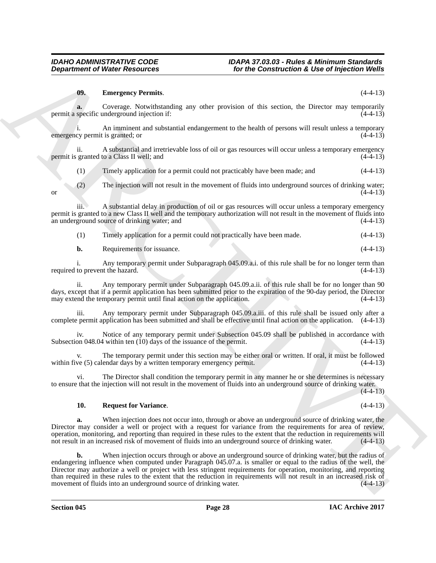## <span id="page-27-0"></span>**09. Emergency Permits**. (4-4-13)

**a.** Coverage. Notwithstanding any other provision of this section, the Director may temporarily permit a specific underground injection if:  $(4-4-13)$ 

i. An imminent and substantial endangerment to the health of persons will result unless a temporary<br>cv permit is granted: or (4-4-13) emergency permit is granted; or

ii. A substantial and irretrievable loss of oil or gas resources will occur unless a temporary emergency granted to a Class II well; and (4-4-13) permit is granted to a Class II well; and

(1) Timely application for a permit could not practicably have been made; and (4-4-13)

(2) The injection will not result in the movement of fluids into underground sources of drinking water; or  $(4-4-13)$ 

iii. A substantial delay in production of oil or gas resources will occur unless a temporary emergency permit is granted to a new Class II well and the temporary authorization will not result in the movement of fluids into an underground source of drinking water; and (4-4-13)

| (1) | Timely application for a permit could not practically have been made. | $(4-4-13)$ |
|-----|-----------------------------------------------------------------------|------------|
|     |                                                                       |            |
|     |                                                                       |            |
|     |                                                                       |            |

| b. | Requirements for issuance. |  |  | $(4-4-13)$ |
|----|----------------------------|--|--|------------|
|----|----------------------------|--|--|------------|

i. Any temporary permit under Subparagraph 045.09.a.i. of this rule shall be for no longer term than required to prevent the hazard.

ii. Any temporary permit under Subparagraph 045.09.a.ii. of this rule shall be for no longer than 90 days, except that if a permit application has been submitted prior to the expiration of the 90-day period, the Director may extend the temporary permit until final action on the application. (4-4-13) may extend the temporary permit until final action on the application.

Any temporary permit under Subparagraph 045.09.a.iii. of this rule shall be issued only after a complete permit application has been submitted and shall be effective until final action on the application. (4-4-13)

iv. Notice of any temporary permit under Subsection 045.09 shall be published in accordance with on 048.04 within ten (10) days of the issuance of the permit. (4-4-13) Subsection 048.04 within ten  $(10)$  days of the issuance of the permit.

The temporary permit under this section may be either oral or written. If oral, it must be followed endar days by a written temporary emergency permit. (4-4-13) within five  $(5)$  calendar days by a written temporary emergency permit.

vi. The Director shall condition the temporary permit in any manner he or she determines is necessary to ensure that the injection will not result in the movement of fluids into an underground source of drinking water.

 $(4-4-13)$ 

### <span id="page-27-1"></span>**10. Request for Variance**. (4-4-13)

**a.** When injection does not occur into, through or above an underground source of drinking water, the Director may consider a well or project with a request for variance from the requirements for area of review, operation, monitoring, and reporting than required in these rules to the extent that the reduction in requirements will not result in an increased risk of movement of fluids into an underground source of drinking water.

**Department of Niester Researches For the Communication & Use of hyperical World**<br> **(a) Exercises Consistential** and the present of the second distribution of the second distribution of the second distribution of th **b.** When injection occurs through or above an underground source of drinking water, but the radius of endangering influence when computed under Paragraph 045.07.a. is smaller or equal to the radius of the well, the Director may authorize a well or project with less stringent requirements for operation, monitoring, and reporting than required in these rules to the extent that the reduction in requirements will not result in an increased risk of movement of fluids into an underground source of drinking water. (4-4-13) movement of fluids into an underground source of drinking water.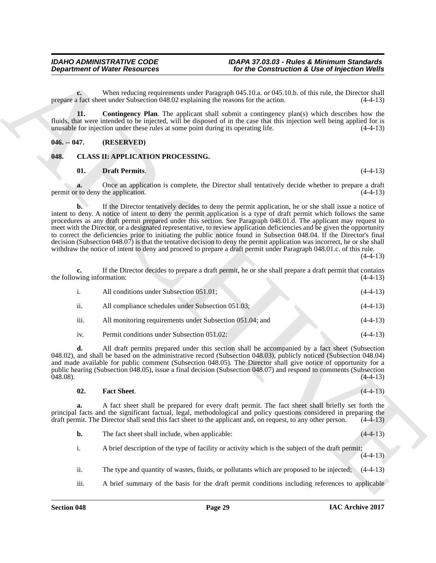**c.** When reducing requirements under Paragraph 045.10.a. or 045.10.b. of this rule, the Director shall a fact sheet under Subsection 048.02 explaining the reasons for the action. (44.4.13) prepare a fact sheet under Subsection 048.02 explaining the reasons for the action.

<span id="page-28-2"></span>**11. Contingency Plan**. The applicant shall submit a contingency plan(s) which describes how the fluids, that were intended to be injected, will be disposed of in the case that this injection well being applied for is unusable for injection under these rules at some point during its operating life. (4-4-13) unusable for injection under these rules at some point during its operating life.

### <span id="page-28-0"></span>**046. -- 047. (RESERVED)**

### <span id="page-28-1"></span>**048. CLASS II: APPLICATION PROCESSING.**

#### <span id="page-28-4"></span><span id="page-28-3"></span>**01. Draft Permits**. (4-4-13)

**a.** Once an application is complete, the Director shall tentatively decide whether to prepare a draft to deny the application. (4-4-13) permit or to deny the application.

**Department of Noter Resources** for the Commutation's & Use of highests which properties and the commutation's continued by the Commutation's Expertise (ALT)<br>
property that several the second transform of the commutation **b.** If the Director tentatively decides to deny the permit application, he or she shall issue a notice of intent to deny. A notice of intent to deny the permit application is a type of draft permit which follows the same procedures as any draft permit prepared under this section. See Paragraph 048.01.d. The applicant may request to meet with the Director, or a designated representative, to review application deficiencies and be given the opportunity to correct the deficiencies prior to initiating the public notice found in Subsection 048.04. If the Director's final decision (Subsection 048.07) is that the tentative decision to deny the permit application was incorrect, he or she shall withdraw the notice of intent to deny and proceed to prepare a draft permit under Paragraph 048.01.c. of this rule.

 $(4-4-13)$ 

**c.** If the Director decides to prepare a draft permit, he or she shall prepare a draft permit that contains wing information:  $(4-4-13)$ the following information:

| $\mathbf{1}$ . | All conditions under Subsection 051.01;                  | $(4-4-13)$ |
|----------------|----------------------------------------------------------|------------|
| ii.            | All compliance schedules under Subsection 051.03;        | $(4-4-13)$ |
| iii.           | All monitoring requirements under Subsection 051.04; and | $(4-4-13)$ |
| iv.            | Permit conditions under Subsection 051.02:               | $(4-4-13)$ |

**d.** All draft permits prepared under this section shall be accompanied by a fact sheet (Subsection 048.02), and shall be based on the administrative record (Subsection 048.03), publicly noticed (Subsection 048.04) and made available for public comment (Subsection 048.05). The Director shall give notice of opportunity for a public hearing (Subsection 048.05), issue a final decision (Subsection 048.07) and respond to comments (Subsection 048.08).  $048.08$ ). (4-4-13)

#### <span id="page-28-5"></span>**02. Fact Sheet**. (4-4-13)

**a.** A fact sheet shall be prepared for every draft permit. The fact sheet shall briefly set forth the principal facts and the significant factual, legal, methodological and policy questions considered in preparing the draft permit. The Director shall send this fact sheet to the applicant and, on request, to any other person. (4-4-13)

- **b.** The fact sheet shall include, when applicable: (4-4-13)
- i. A brief description of the type of facility or activity which is the subject of the draft permit; (4-4-13)
- ii. The type and quantity of wastes, fluids, or pollutants which are proposed to be injected; (4-4-13)
- iii. A brief summary of the basis for the draft permit conditions including references to applicable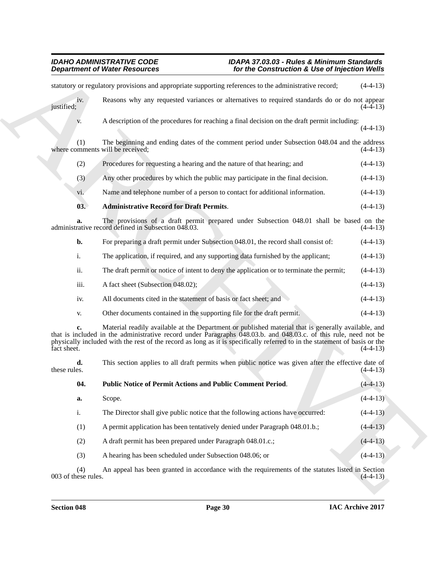#### <span id="page-29-1"></span><span id="page-29-0"></span>*IDAHO ADMINISTRATIVE CODE IDAPA 37.03.03 - Rules & Minimum Standards Department of Water Resources for the Construction & Use of Injection Wells*

|                            | <b>Department of Water Resources</b>                                                                                                                                                                                                                                                                                                                  | for the Construction & Use of Injection Wells |            |
|----------------------------|-------------------------------------------------------------------------------------------------------------------------------------------------------------------------------------------------------------------------------------------------------------------------------------------------------------------------------------------------------|-----------------------------------------------|------------|
|                            | statutory or regulatory provisions and appropriate supporting references to the administrative record;                                                                                                                                                                                                                                                |                                               | $(4-4-13)$ |
| iv.<br>justified;          | Reasons why any requested variances or alternatives to required standards do or do not appear                                                                                                                                                                                                                                                         |                                               | $(4-4-13)$ |
| V.                         | A description of the procedures for reaching a final decision on the draft permit including:                                                                                                                                                                                                                                                          |                                               | $(4-4-13)$ |
| (1)                        | The beginning and ending dates of the comment period under Subsection 048.04 and the address<br>where comments will be received;                                                                                                                                                                                                                      |                                               | $(4-4-13)$ |
| (2)                        | Procedures for requesting a hearing and the nature of that hearing; and                                                                                                                                                                                                                                                                               |                                               | $(4-4-13)$ |
| (3)                        | Any other procedures by which the public may participate in the final decision.                                                                                                                                                                                                                                                                       |                                               | $(4-4-13)$ |
| vi.                        | Name and telephone number of a person to contact for additional information.                                                                                                                                                                                                                                                                          |                                               | $(4-4-13)$ |
| 03.                        | <b>Administrative Record for Draft Permits.</b>                                                                                                                                                                                                                                                                                                       |                                               | $(4-4-13)$ |
| a.                         | The provisions of a draft permit prepared under Subsection 048.01 shall be based on the<br>administrative record defined in Subsection 048.03.                                                                                                                                                                                                        |                                               | $(4-4-13)$ |
| b.                         | For preparing a draft permit under Subsection 048.01, the record shall consist of:                                                                                                                                                                                                                                                                    |                                               | $(4-4-13)$ |
| i.                         | The application, if required, and any supporting data furnished by the applicant;                                                                                                                                                                                                                                                                     |                                               | $(4-4-13)$ |
| ii.                        | The draft permit or notice of intent to deny the application or to terminate the permit;                                                                                                                                                                                                                                                              |                                               | $(4-4-13)$ |
| iii.                       | A fact sheet (Subsection 048.02);                                                                                                                                                                                                                                                                                                                     |                                               | $(4-4-13)$ |
| iv.                        | All documents cited in the statement of basis or fact sheet; and                                                                                                                                                                                                                                                                                      |                                               | $(4-4-13)$ |
| V.                         | Other documents contained in the supporting file for the draft permit.                                                                                                                                                                                                                                                                                |                                               | $(4-4-13)$ |
| c.<br>fact sheet.          | Material readily available at the Department or published material that is generally available, and<br>that is included in the administrative record under Paragraphs 048.03.b. and 048.03.c. of this rule, need not be<br>physically included with the rest of the record as long as it is specifically referred to in the statement of basis or the |                                               | $(4-4-13)$ |
| d.<br>these rules.         | This section applies to all draft permits when public notice was given after the effective date of                                                                                                                                                                                                                                                    |                                               | $(4-4-13)$ |
| 04.                        | Public Notice of Permit Actions and Public Comment Period.                                                                                                                                                                                                                                                                                            |                                               | $(4-4-13)$ |
| a.                         | Scope.                                                                                                                                                                                                                                                                                                                                                |                                               | $(4-4-13)$ |
| i.                         | The Director shall give public notice that the following actions have occurred:                                                                                                                                                                                                                                                                       |                                               | $(4-4-13)$ |
| (1)                        | A permit application has been tentatively denied under Paragraph 048.01.b.;                                                                                                                                                                                                                                                                           |                                               | $(4-4-13)$ |
| (2)                        | A draft permit has been prepared under Paragraph 048.01.c.;                                                                                                                                                                                                                                                                                           |                                               | $(4-4-13)$ |
| (3)                        | A hearing has been scheduled under Subsection 048.06; or                                                                                                                                                                                                                                                                                              |                                               | $(4-4-13)$ |
| (4)<br>003 of these rules. | An appeal has been granted in accordance with the requirements of the statutes listed in Section                                                                                                                                                                                                                                                      |                                               | $(4-4-13)$ |
|                            |                                                                                                                                                                                                                                                                                                                                                       |                                               |            |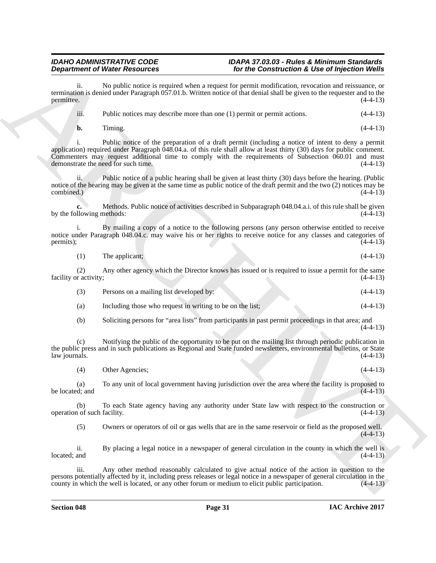ii. No public notice is required when a request for permit modification, revocation and reissuance, or termination is denied under Paragraph 057.01.b. Written notice of that denial shall be given to the requester and to the permittee. (4-4-13)  $permittee.$  (4-4-13)

iii. Public notices may describe more than one (1) permit or permit actions. (4-4-13)

**b.** Timing. (4-4-13)

**Department of Weise Research entry and the Construction & the Construction Construction Construction Construction Construction Construction Construction Construction Construction Construction Construction Construction Co** i. Public notice of the preparation of a draft permit (including a notice of intent to deny a permit application) required under Paragraph 048.04.a. of this rule shall allow at least thirty (30) days for public comment. Commenters may request additional time to comply with the requirements of Subsection  $060.01$  and must demonstrate the need for such time. demonstrate the need for such time.

Public notice of a public hearing shall be given at least thirty (30) days before the hearing. (Public notice of the hearing may be given at the same time as public notice of the draft permit and the two (2) notices may be combined.) (4-4-13) combined.) (4-4-13)

**c.** Methods. Public notice of activities described in Subparagraph 048.04.a.i. of this rule shall be given by the following methods: (4-4-13)

i. By mailing a copy of a notice to the following persons (any person otherwise entitled to receive notice under Paragraph 048.04.c. may waive his or her rights to receive notice for any classes and categories of permits); (4-4-13) permits);  $(4-4-13)$ 

(1) The applicant; (4-4-13)

(2) Any other agency which the Director knows has issued or is required to issue a permit for the same facility or activity;

| Persons on a mailing list developed by: | $(4-4-13)$ |  |
|-----------------------------------------|------------|--|
|                                         |            |  |

(a) Including those who request in writing to be on the list; (4-4-13)

(b) Soliciting persons for "area lists" from participants in past permit proceedings in that area; and (4-4-13)

(c) Notifying the public of the opportunity to be put on the mailing list through periodic publication in the public press and in such publications as Regional and State funded newsletters, environmental bulletins, or State  $\lambda$ law journals. (4-4-13)

(4) Other Agencies; (4-4-13)

(a) To any unit of local government having jurisdiction over the area where the facility is proposed to be located; and

(b) To each State agency having any authority under State law with respect to the construction or operation of such facility. (4-4-13)

(5) Owners or operators of oil or gas wells that are in the same reservoir or field as the proposed well.  $(4-4-13)$ 

ii. By placing a legal notice in a newspaper of general circulation in the county in which the well is  $\lvert \text{located} \rvert$  and  $\lvert \text{4-4-13} \rvert$ 

iii. Any other method reasonably calculated to give actual notice of the action in question to the persons potentially affected by it, including press releases or legal notice in a newspaper of general circulation in the county in which the well is located, or any other forum or medium to elicit public participation.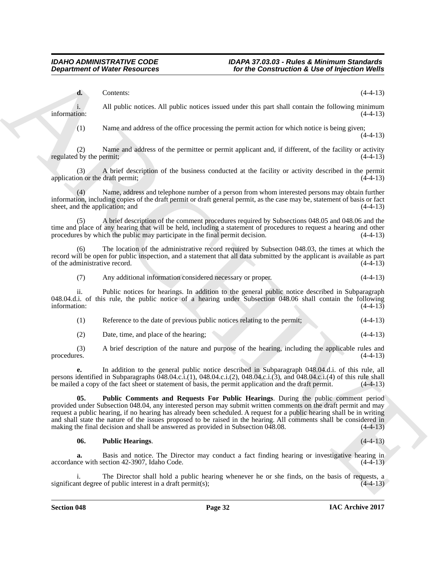**d.** Contents: (4-4-13)

i. All public notices. All public notices issued under this part shall contain the following minimum information:  $(4-4-13)$ 

(1) Name and address of the office processing the permit action for which notice is being given;  $(4-4-13)$ 

(2) Name and address of the permittee or permit applicant and, if different, of the facility or activity regulated by the permit;  $(4-4-13)$ 

(3) A brief description of the business conducted at the facility or activity described in the permit application or the draft permit; (4-4-13)

(4) Name, address and telephone number of a person from whom interested persons may obtain further information, including copies of the draft permit or draft general permit, as the case may be, statement of basis or fact sheet, and the application; and

A brief description of the comment procedures required by Subsections 048.05 and 048.06 and the time and place of any hearing that will be held, including a statement of procedures to request a hearing and other procedures by which the public may participate in the final permit decision.  $(4-4-13)$ procedures by which the public may participate in the final permit decision.

The location of the administrative record required by Subsection 048.03, the times at which the record will be open for public inspection, and a statement that all data submitted by the applicant is available as part of the administrative record.  $(4-4-13)$ 

(7) Any additional information considered necessary or proper. (4-4-13)

ii. Public notices for hearings. In addition to the general public notice described in Subparagraph 048.04.d.i. of this rule, the public notice of a hearing under Subsection 048.06 shall contain the following information:  $(4-4-13)$ 

| Reference to the date of previous public notices relating to the permit; |  | $(4-4-13)$ |
|--------------------------------------------------------------------------|--|------------|
|                                                                          |  |            |

(2) Date, time, and place of the hearing; (4-4-13)

(3) A brief description of the nature and purpose of the hearing, including the applicable rules and procedures. (4-4-13)

<span id="page-31-0"></span>**e.** In addition to the general public notice described in Subparagraph 048.04.d.i. of this rule, all persons identified in Subparagraphs 048.04.c.i.(1), 048.04.c.i.(2), 048.04.c.i.(3), and 048.04.c.i.(4) of this rule shall be mailed a copy of the fact sheet or statement of basis, the permit application and the draft permit. (4-4-13)

**Department of Worker Research 6.**<br>
Correlation of the domination of the construction is the of the construction in the original of Worker Construction in the construction of the specifical original (1). Nearest address o **05. Public Comments and Requests For Public Hearings**. During the public comment period provided under Subsection 048.04, any interested person may submit written comments on the draft permit and may request a public hearing, if no hearing has already been scheduled. A request for a public hearing shall be in writing and shall state the nature of the issues proposed to be raised in the hearing. All comments shall be considered in making the final decision and shall be answered as provided in Subsection 048.08. (4-4-13)

### <span id="page-31-1"></span>**06. Public Hearings**. (4-4-13)

**a.** Basis and notice. The Director may conduct a fact finding hearing or investigative hearing in accordance with section 42-3907, Idaho Code. (4-4-13)

The Director shall hold a public hearing whenever he or she finds, on the basis of requests, a of public interest in a draft permit(s);  $(4-4-13)$ significant degree of public interest in a draft permit $(s)$ ;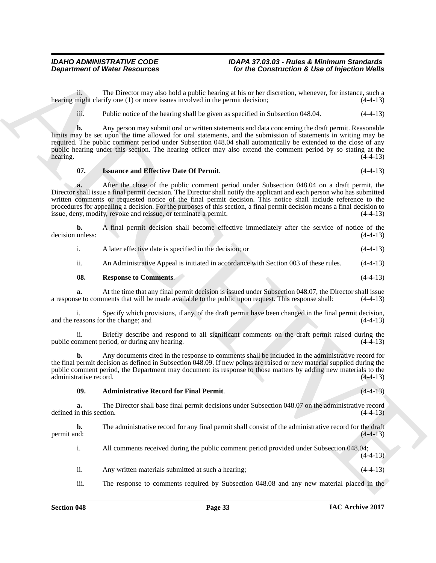ii. The Director may also hold a public hearing at his or her discretion, whenever, for instance, such a might clarify one (1) or more issues involved in the permit decision; (4-4-13) hearing might clarify one  $(1)$  or more issues involved in the permit decision;

iii. Public notice of the hearing shall be given as specified in Subsection 048.04. (4-4-13)

**b.** Any person may submit oral or written statements and data concerning the draft permit. Reasonable limits may be set upon the time allowed for oral statements, and the submission of statements in writing may be required. The public comment period under Subsection 048.04 shall automatically be extended to the close of any public hearing under this section. The hearing officer may also extend the comment period by so stating at the hearing. hearing. (4-4-13)

### <span id="page-32-1"></span>**07. Issuance and Effective Date Of Permit**. (4-4-13)

**Department of Niese Research Comparison Comparison Comparison Comparison Comparison Comparison Comparison Compa<br>
To the Comparison Comparison Comparison Comparison Comparison Comparison Comparison Comparison Comparison C a.** After the close of the public comment period under Subsection 048.04 on a draft permit, the Director shall issue a final permit decision. The Director shall notify the applicant and each person who has submitted written comments or requested notice of the final permit decision. This notice shall include reference to the procedures for appealing a decision. For the purposes of this section, a final permit decision means a final decision to issue, deny, modify, revoke and reissue, or terminate a permit. (4-4-13)

**b.** A final permit decision shall become effective immediately after the service of notice of the unless: (4-4-13) decision unless:

| A later effective date is specified in the decision; or | $(4-4-13)$ |
|---------------------------------------------------------|------------|
|                                                         |            |

<span id="page-32-2"></span>ii. An Administrative Appeal is initiated in accordance with Section 003 of these rules. (4-4-13)

| 08. | <b>Response to Comments.</b> |  | $(4-4-13)$ |
|-----|------------------------------|--|------------|
|-----|------------------------------|--|------------|

**a.** At the time that any final permit decision is issued under Subsection 048.07, the Director shall issue se to comments that will be made available to the public upon request. This response shall:  $(4-4-13)$ a response to comments that will be made available to the public upon request. This response shall:

i. Specify which provisions, if any, of the draft permit have been changed in the final permit decision, and the reasons for the change; and (4-4-13)

ii. Briefly describe and respond to all significant comments on the draft permit raised during the public comment period, or during any hearing.

**b.** Any documents cited in the response to comments shall be included in the administrative record for the final permit decision as defined in Subsection 048.09. If new points are raised or new material supplied during the public comment period, the Department may document its response to those matters by adding new materials to the administrative record. (4-4-13)

### <span id="page-32-0"></span>**09. Administrative Record for Final Permit**. (4-4-13)

**a.** The Director shall base final permit decisions under Subsection 048.07 on the administrative record n this section. (4-4-13) defined in this section.

**b.** The administrative record for any final permit shall consist of the administrative record for the draft permit and: permit and:  $(4-4-13)$ 

i. All comments received during the public comment period provided under Subsection 048.04;  $(4-4-13)$ 

ii. Any written materials submitted at such a hearing; (4-4-13)

iii. The response to comments required by Subsection 048.08 and any new material placed in the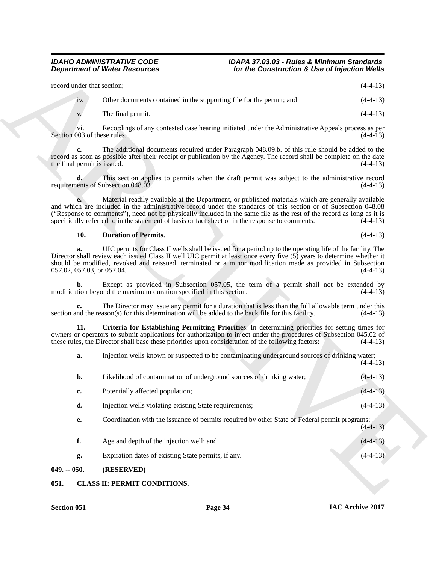| record under that section: |                                                                      | $(4-4-13)$ |
|----------------------------|----------------------------------------------------------------------|------------|
| iv.                        | Other documents contained in the supporting file for the permit; and | $(4-4-13)$ |

#### <span id="page-33-3"></span><span id="page-33-2"></span>**10. Duration of Permits**. (4-4-13)

|                                    | <b>Department of Water Resources</b>                                                               | for the Construction & Use of Injection Wells                                                                                                                                                                                                                                                                                                     |            |
|------------------------------------|----------------------------------------------------------------------------------------------------|---------------------------------------------------------------------------------------------------------------------------------------------------------------------------------------------------------------------------------------------------------------------------------------------------------------------------------------------------|------------|
| record under that section;         |                                                                                                    |                                                                                                                                                                                                                                                                                                                                                   | $(4-4-13)$ |
| iv.                                | Other documents contained in the supporting file for the permit; and                               |                                                                                                                                                                                                                                                                                                                                                   | $(4-4-13)$ |
| V.                                 | The final permit.                                                                                  |                                                                                                                                                                                                                                                                                                                                                   | $(4-4-13)$ |
| Vi.<br>Section 003 of these rules. |                                                                                                    | Recordings of any contested case hearing initiated under the Administrative Appeals process as per                                                                                                                                                                                                                                                | $(4-4-13)$ |
| c.<br>the final permit is issued.  |                                                                                                    | The additional documents required under Paragraph 048.09.b. of this rule should be added to the<br>record as soon as possible after their receipt or publication by the Agency. The record shall be complete on the date                                                                                                                          | $(4-4-13)$ |
| d.                                 | requirements of Subsection 048.03.                                                                 | This section applies to permits when the draft permit was subject to the administrative record                                                                                                                                                                                                                                                    | $(4-4-13)$ |
|                                    | specifically referred to in the statement of basis or fact sheet or in the response to comments.   | Material readily available at the Department, or published materials which are generally available<br>and which are included in the administrative record under the standards of this section or of Subsection 048.08<br>("Response to comments"), need not be physically included in the same file as the rest of the record as long as it is    | $(4-4-13)$ |
| 10.                                | <b>Duration of Permits.</b>                                                                        |                                                                                                                                                                                                                                                                                                                                                   | $(4-4-13)$ |
| a.<br>057.02, 057.03, or 057.04.   |                                                                                                    | UIC permits for Class II wells shall be issued for a period up to the operating life of the facility. The<br>Director shall review each issued Class II well UIC permit at least once every five (5) years to determine whether it<br>should be modified, revoked and reissued, terminated or a minor modification made as provided in Subsection | $(4-4-13)$ |
| b.                                 | modification beyond the maximum duration specified in this section.                                | Except as provided in Subsection 057.05, the term of a permit shall not be extended by                                                                                                                                                                                                                                                            | $(4-4-13)$ |
| c.                                 | section and the reason(s) for this determination will be added to the back file for this facility. | The Director may issue any permit for a duration that is less than the full allowable term under this                                                                                                                                                                                                                                             | $(4-4-13)$ |
| 11.                                | these rules, the Director shall base these priorities upon consideration of the following factors: | Criteria for Establishing Permitting Priorities. In determining priorities for setting times for<br>owners or operators to submit applications for authorization to inject under the procedures of Subsection 045.02 of                                                                                                                           | $(4-4-13)$ |
| a.                                 |                                                                                                    | Injection wells known or suspected to be contaminating underground sources of drinking water;                                                                                                                                                                                                                                                     | $(4-4-13)$ |
| b.                                 | Likelihood of contamination of underground sources of drinking water;                              |                                                                                                                                                                                                                                                                                                                                                   | $(4-4-13)$ |
| c.                                 | Potentially affected population;                                                                   |                                                                                                                                                                                                                                                                                                                                                   | $(4-4-13)$ |
| d.                                 | Injection wells violating existing State requirements;                                             |                                                                                                                                                                                                                                                                                                                                                   | $(4-4-13)$ |
| e.                                 |                                                                                                    | Coordination with the issuance of permits required by other State or Federal permit programs;                                                                                                                                                                                                                                                     | $(4-4-13)$ |
| f.                                 | Age and depth of the injection well; and                                                           |                                                                                                                                                                                                                                                                                                                                                   | $(4-4-13)$ |
| g.                                 | Expiration dates of existing State permits, if any.                                                |                                                                                                                                                                                                                                                                                                                                                   | $(4-4-13)$ |
| $049. - 050.$                      | (RESERVED)                                                                                         |                                                                                                                                                                                                                                                                                                                                                   |            |
| 051.                               | <b>CLASS II: PERMIT CONDITIONS.</b>                                                                |                                                                                                                                                                                                                                                                                                                                                   |            |

### <span id="page-33-4"></span><span id="page-33-1"></span><span id="page-33-0"></span>**051. CLASS II: PERMIT CONDITIONS.**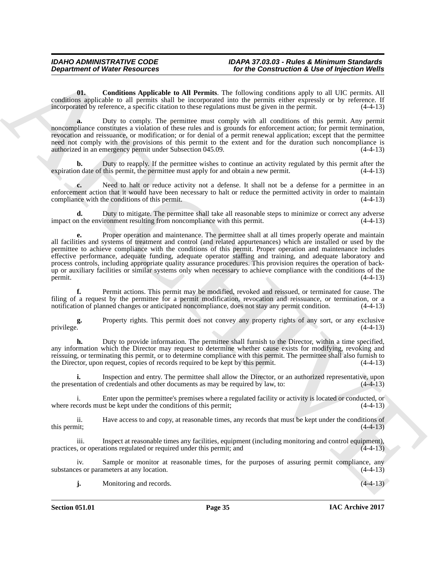<span id="page-34-0"></span>**01. Conditions Applicable to All Permits**. The following conditions apply to all UIC permits. All conditions applicable to all permits shall be incorporated into the permits either expressly or by reference. If incorporated by reference, a specific citation to these regulations must be given in the permit. (4-4-13)

**a.** Duty to comply. The permittee must comply with all conditions of this permit. Any permit noncompliance constitutes a violation of these rules and is grounds for enforcement action; for permit termination, revocation and reissuance, or modification; or for denial of a permit renewal application; except that the permittee need not comply with the provisions of this permit to the extent and for the duration such noncompliance is authorized in an emergency permit under Subsection 045.09. (4-4-13)

**b.** Duty to reapply. If the permittee wishes to continue an activity regulated by this permit after the n date of this permit, the permittee must apply for and obtain a new permit. expiration date of this permit, the permittee must apply for and obtain a new permit.

**c.** Need to halt or reduce activity not a defense. It shall not be a defense for a permittee in an enforcement action that it would have been necessary to halt or reduce the permitted activity in order to maintain compliance with the conditions of this permit. compliance with the conditions of this permit.

Duty to mitigate. The permittee shall take all reasonable steps to minimize or correct any adverse ironment resulting from noncompliance with this permit. (4-4-13) impact on the environment resulting from noncompliance with this permit.

**Department of Niese Research 16 NEW Construction & Use of hyperical Weiler<br>
United States (Constitute All Permission Constitute All Permission States (Constitute All Permission All Permission States (Construction States e.** Proper operation and maintenance. The permittee shall at all times properly operate and maintain all facilities and systems of treatment and control (and related appurtenances) which are installed or used by the permittee to achieve compliance with the conditions of this permit. Proper operation and maintenance includes effective performance, adequate funding, adequate operator staffing and training, and adequate laboratory and process controls, including appropriate quality assurance procedures. This provision requires the operation of backup or auxiliary facilities or similar systems only when necessary to achieve compliance with the conditions of the permit.  $(4-4-13)$ 

**f.** Permit actions. This permit may be modified, revoked and reissued, or terminated for cause. The filing of a request by the permittee for a permit modification, revocation and reissuance, or termination, or a notification of planned changes or anticipated noncompliance, does not stay any permit condition. (4-4-13)

**g.** Property rights. This permit does not convey any property rights of any sort, or any exclusive privilege.  $(4-4-13)$ privilege. (4-4-13)

**h.** Duty to provide information. The permittee shall furnish to the Director, within a time specified, any information which the Director may request to determine whether cause exists for modifying, revoking and reissuing, or terminating this permit, or to determine compliance with this permit. The permittee shall also furnish to the Director, upon request, copies of records required to be kept by this permit. (4-4-13) the Director, upon request, copies of records required to be kept by this permit.

**i.** Inspection and entry. The permittee shall allow the Director, or an authorized representative, upon the presentation of credentials and other documents as may be required by law, to: (4-4-13)

i. Enter upon the permittee's premises where a regulated facility or activity is located or conducted, or cords must be kept under the conditions of this permit; (4-4-13) where records must be kept under the conditions of this permit;

ii. Have access to and copy, at reasonable times, any records that must be kept under the conditions of this permit; (4-4-13) this permit;  $(4-4-13)$ 

iii. Inspect at reasonable times any facilities, equipment (including monitoring and control equipment), practices, or operations regulated or required under this permit; and (4-4-13)

iv. Sample or monitor at reasonable times, for the purposes of assuring permit compliance, any es or parameters at any location. (4-4-13) substances or parameters at any location.

**j.** Monitoring and records. (4-4-13)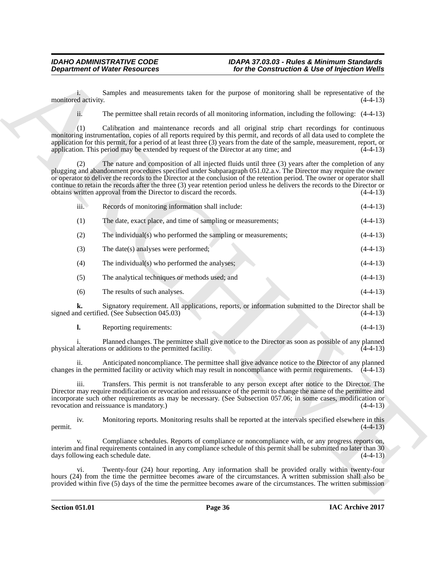|                     | <b>Department of Water Resources</b>                                                 | for the Construction & Use of Injection Wells                                                                                                                                                                                                                                                                                                                                                                                                                                     |            |
|---------------------|--------------------------------------------------------------------------------------|-----------------------------------------------------------------------------------------------------------------------------------------------------------------------------------------------------------------------------------------------------------------------------------------------------------------------------------------------------------------------------------------------------------------------------------------------------------------------------------|------------|
| monitored activity. |                                                                                      | Samples and measurements taken for the purpose of monitoring shall be representative of the                                                                                                                                                                                                                                                                                                                                                                                       | $(4-4-13)$ |
| ii.                 |                                                                                      | The permittee shall retain records of all monitoring information, including the following: (4-4-13)                                                                                                                                                                                                                                                                                                                                                                               |            |
| (1)                 | application. This period may be extended by request of the Director at any time; and | Calibration and maintenance records and all original strip chart recordings for continuous<br>monitoring instrumentation, copies of all reports required by this permit, and records of all data used to complete the<br>application for this permit, for a period of at least three (3) years from the date of the sample, measurement, report, or                                                                                                                               | $(4-4-13)$ |
| (2)                 | obtains written approval from the Director to discard the records.                   | The nature and composition of all injected fluids until three (3) years after the completion of any<br>plugging and abandonment procedures specified under Subparagraph 051.02.a.v. The Director may require the owner<br>or operator to deliver the records to the Director at the conclusion of the retention period. The owner or operator shall<br>continue to retain the records after the three (3) year retention period unless he delivers the records to the Director or | $(4-4-13)$ |
| iii.                | Records of monitoring information shall include:                                     |                                                                                                                                                                                                                                                                                                                                                                                                                                                                                   | $(4-4-13)$ |
| (1)                 | The date, exact place, and time of sampling or measurements;                         |                                                                                                                                                                                                                                                                                                                                                                                                                                                                                   | $(4-4-13)$ |
| (2)                 | The individual(s) who performed the sampling or measurements;                        |                                                                                                                                                                                                                                                                                                                                                                                                                                                                                   | $(4-4-13)$ |
| (3)                 | The date(s) analyses were performed;                                                 |                                                                                                                                                                                                                                                                                                                                                                                                                                                                                   | $(4-4-13)$ |
| (4)                 | The individual(s) who performed the analyses;                                        |                                                                                                                                                                                                                                                                                                                                                                                                                                                                                   | $(4-4-13)$ |
| (5)                 | The analytical techniques or methods used; and                                       |                                                                                                                                                                                                                                                                                                                                                                                                                                                                                   | $(4-4-13)$ |
| (6)                 | The results of such analyses.                                                        |                                                                                                                                                                                                                                                                                                                                                                                                                                                                                   | $(4-4-13)$ |
| k.                  | signed and certified. (See Subsection 045.03)                                        | Signatory requirement. All applications, reports, or information submitted to the Director shall be                                                                                                                                                                                                                                                                                                                                                                               | $(4-4-13)$ |
| l.                  | Reporting requirements:                                                              |                                                                                                                                                                                                                                                                                                                                                                                                                                                                                   | $(4-4-13)$ |
|                     | physical alterations or additions to the permitted facility.                         | Planned changes. The permittee shall give notice to the Director as soon as possible of any planned                                                                                                                                                                                                                                                                                                                                                                               | $(4-4-13)$ |
| ii.                 |                                                                                      | Anticipated noncompliance. The permittee shall give advance notice to the Director of any planned<br>changes in the permitted facility or activity which may result in noncompliance with permit requirements. (4-4-13)                                                                                                                                                                                                                                                           |            |
| iii.                | revocation and reissuance is mandatory.)                                             | Transfers. This permit is not transferable to any person except after notice to the Director. The<br>Director may require modification or revocation and reissuance of the permit to change the name of the permittee and<br>incorporate such other requirements as may be necessary. (See Subsection 057.06; in some cases, modification or                                                                                                                                      | $(4-4-13)$ |
| iv.<br>permit.      |                                                                                      | Monitoring reports. Monitoring results shall be reported at the intervals specified elsewhere in this                                                                                                                                                                                                                                                                                                                                                                             | $(4-4-13)$ |
| V.                  | days following each schedule date.                                                   | Compliance schedules. Reports of compliance or noncompliance with, or any progress reports on,<br>interim and final requirements contained in any compliance schedule of this permit shall be submitted no later than 30                                                                                                                                                                                                                                                          | $(4-4-13)$ |
| vi.                 |                                                                                      | Twenty-four (24) hour reporting. Any information shall be provided orally within twenty-four<br>hours (24) from the time the permittee becomes aware of the circumstances. A written submission shall also be<br>provided within five (5) days of the time the permittee becomes aware of the circumstances. The written submission                                                                                                                                               |            |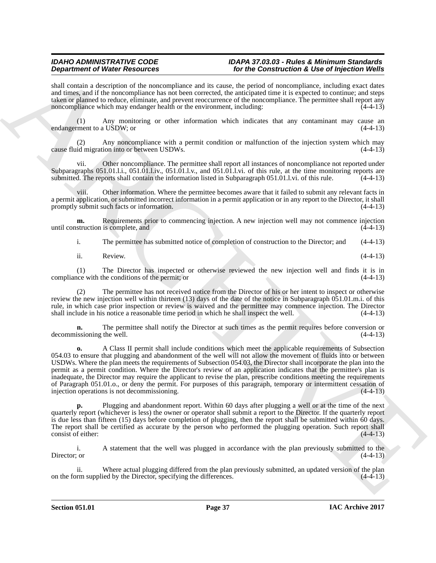shall contain a description of the noncompliance and its cause, the period of noncompliance, including exact dates and times, and if the noncompliance has not been corrected, the anticipated time it is expected to continue; and steps taken or planned to reduce, eliminate, and prevent reoccurrence of the noncompliance. The permittee shall report any noncompliance which may endanger health or the environment, including:  $(4-4-13)$ 

(1) Any monitoring or other information which indicates that any contaminant may cause an ment to a USDW; or  $(4-4-13)$ endangerment to a USDW; or

(2) Any noncompliance with a permit condition or malfunction of the injection system which may cause fluid migration into or between USDWs. (4-4-13)

vii. Other noncompliance. The permittee shall report all instances of noncompliance not reported under Subparagraphs 051.01.l.i., 051.01.l.iv., 051.01.l.v., and 051.01.l.vi. of this rule, at the time monitoring reports are submitted. The reports shall contain the information listed in Subparagraph 051.01.l.vi. of this rule. (4-4-13)

viii. Other information. Where the permittee becomes aware that it failed to submit any relevant facts in a permit application, or submitted incorrect information in a permit application or in any report to the Director, it shall promptly submit such facts or information. (4-4-13) promptly submit such facts or information.

**m.** Requirements prior to commencing injection. A new injection well may not commence injection struction is complete, and (4-4-13) until construction is complete, and

i. The permittee has submitted notice of completion of construction to the Director; and (4-4-13)

ii. Review. (4-4-13)

(1) The Director has inspected or otherwise reviewed the new injection well and finds it is in  $\alpha$  (4-4-13) (4-4-13) compliance with the conditions of the permit; or

(2) The permittee has not received notice from the Director of his or her intent to inspect or otherwise review the new injection well within thirteen (13) days of the date of the notice in Subparagraph 051.01.m.i. of this rule, in which case prior inspection or review is waived and the permittee may commence injection. The Director shall include in his notice a reasonable time period in which he shall inspect the well. (4-4-13)

**n.** The permittee shall notify the Director at such times as the permit requires before conversion or issioning the well. (4-4-13) decommissioning the well.

**Dependent of New Hermannia consistent of New Growthein School Consistent of New York Consistent of New York Consistent of New York Consistent of New York Consistent of New York Consistent of New York Consistent of New Yo o.** A Class II permit shall include conditions which meet the applicable requirements of Subsection 054.03 to ensure that plugging and abandonment of the well will not allow the movement of fluids into or between USDWs. Where the plan meets the requirements of Subsection 054.03, the Director shall incorporate the plan into the permit as a permit condition. Where the Director's review of an application indicates that the permittee's plan is inadequate, the Director may require the applicant to revise the plan, prescribe conditions meeting the requirements of Paragraph 051.01.o., or deny the permit. For purposes of this paragraph, temporary or intermittent cessation of injection operations is not decommissioning. (4-4-13) injection operations is not decommissioning.

**p.** Plugging and abandonment report. Within 60 days after plugging a well or at the time of the next quarterly report (whichever is less) the owner or operator shall submit a report to the Director. If the quarterly report is due less than fifteen (15) days before completion of plugging, then the report shall be submitted within 60 days. The report shall be certified as accurate by the person who performed the plugging operation. Such report shall consist of either: consist of either:

i. A statement that the well was plugged in accordance with the plan previously submitted to the Director: or (4-4-13) Director; or  $(4-4-13)$ 

ii. Where actual plugging differed from the plan previously submitted, an updated version of the plan on the form supplied by the Director, specifying the differences. (4-4-13)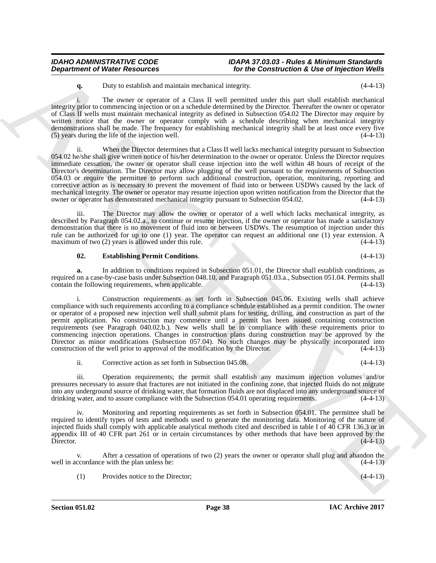**q.** Duty to establish and maintain mechanical integrity. (4-4-13)

i. The owner or operator of a Class II well permitted under this part shall establish mechanical integrity prior to commencing injection or on a schedule determined by the Director. Thereafter the owner or operator of Class II wells must maintain mechanical integrity as defined in Subsection 054.02 The Director may require by written notice that the owner or operator comply with a schedule describing when mechanical integrity demonstrations shall be made. The frequency for establishing mechanical integrity shall be at least once every five (5) years during the life of the injection well. (4-4-13)

**Department of Weier Resources**<br> **Sociological controlled and the state of the Construction & Use of the Granical controlled and the state of the state of the state of the state of the state of the state of the state of t** When the Director determines that a Class II well lacks mechanical integrity pursuant to Subsection 054.02 he/she shall give written notice of his/her determination to the owner or operator. Unless the Director requires immediate cessation, the owner or operator shall cease injection into the well within 48 hours of receipt of the Director's determination. The Director may allow plugging of the well pursuant to the requirements of Subsection 054.03 or require the permittee to perform such additional construction, operation, monitoring, reporting and corrective action as is necessary to prevent the movement of fluid into or between USDWs caused by the lack of mechanical integrity. The owner or operator may resume injection upon written notification from the Director that the owner or operator has demonstrated mechanical integrity pursuant to Subsection 054.02. (4-4-13) owner or operator has demonstrated mechanical integrity pursuant to Subsection 054.02.

iii. The Director may allow the owner or operator of a well which lacks mechanical integrity, as described by Paragraph 054.02.a., to continue or resume injection, if the owner or operator has made a satisfactory demonstration that there is no movement of fluid into or between USDWs. The resumption of injection under this rule can be authorized for up to one (1) year. The operator can request an additional one (1) year extension. A maximum of two (2) years is allowed under this rule. (4-4-13) maximum of two  $(2)$  years is allowed under this rule.

#### <span id="page-37-0"></span>**02. Establishing Permit Conditions**. (4-4-13)

**a.** In addition to conditions required in Subsection 051.01, the Director shall establish conditions, as required on a case-by-case basis under Subsection 048.10, and Paragraph 051.03.a., Subsection 051.04. Permits shall contain the following requirements, when applicable. (4-4-13) contain the following requirements, when applicable.

Construction requirements as set forth in Subsection 045.06. Existing wells shall achieve compliance with such requirements according to a compliance schedule established as a permit condition. The owner or operator of a proposed new injection well shall submit plans for testing, drilling, and construction as part of the permit application. No construction may commence until a permit has been issued containing construction requirements (see Paragraph 040.02.b.). New wells shall be in compliance with these requirements prior to commencing injection operations. Changes in construction plans during construction may be approved by the Director as minor modifications (Subsection 057.04). No such changes may be physically incorporated into construction of the well prior to approval of the modification by the Director. (4-4-13)

ii. Corrective action as set forth in Subsection 045.08. (4-4-13)

iii. Operation requirements; the permit shall establish any maximum injection volumes and/or pressures necessary to assure that fractures are not initiated in the confining zone, that injected fluids do not migrate into any underground source of drinking water, that formation fluids are not displaced into any underground source of drinking water, and to assure compliance with the Subsection 054.01 operating requirements.  $(4-4-13)$ drinking water, and to assure compliance with the Subsection 054.01 operating requirements.

Monitoring and reporting requirements as set forth in Subsection 054.01. The permittee shall be required to identify types of tests and methods used to generate the monitoring data. Monitoring of the nature of injected fluids shall comply with applicable analytical methods cited and described in table I of 40 CFR 136.3 or in appendix III of 40 CFR part 261 or in certain circumstances by other methods that have been approved by the Director.  $(4-4-13)$  $Director.$  (4-4-13)

v. After a cessation of operations of two (2) years the owner or operator shall plug and abandon the well in accordance with the plan unless he: (4-4-13)

(1) Provides notice to the Director; (4-4-13)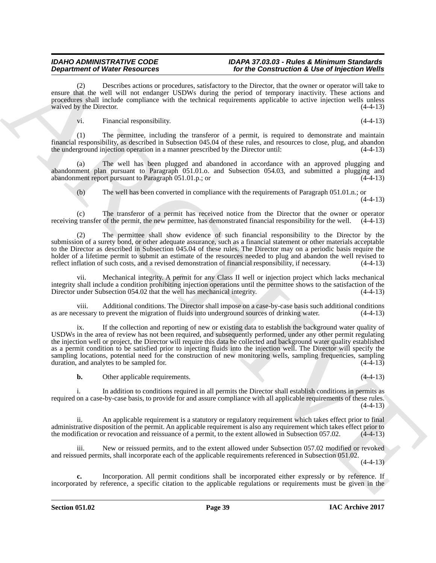Describes actions or procedures, satisfactory to the Director, that the owner or operator will take to ensure that the well will not endanger USDWs during the period of temporary inactivity. These actions and procedures shall include compliance with the technical requirements applicable to active injection wells unless waived by the Director.  $(4-4-13)$ 

vi. Financial responsibility. (4-4-13)

(1) The permittee, including the transferor of a permit, is required to demonstrate and maintain financial responsibility, as described in Subsection 045.04 of these rules, and resources to close, plug, and abandon the underground injection operation in a manner prescribed by the Director until: (4-4-13)

The well has been plugged and abandoned in accordance with an approved plugging and abandonment plan pursuant to Paragraph 051.01.o. and Subsection 054.03, and submitted a plugging and abandonment report pursuant to Paragraph 051.01.p.; or (4-4-13)

(b) The well has been converted in compliance with the requirements of Paragraph 051.01.n.; or (4-4-13)

The transferor of a permit has received notice from the Director that the owner or operator of the permit, the new permittee, has demonstrated financial responsibility for the well.  $(4-4-13)$ receiving transfer of the permit, the new permittee, has demonstrated financial responsibility for the well.

The permittee shall show evidence of such financial responsibility to the Director by the submission of a surety bond, or other adequate assurance, such as a financial statement or other materials acceptable to the Director as described in Subsection 045.04 of these rules. The Director may on a periodic basis require the holder of a lifetime permit to submit an estimate of the resources needed to plug and abandon the well revised to reflect inflation of such costs, and a revised demonstration of financial responsibility, if necessary. (4-4-13)

vii. Mechanical integrity. A permit for any Class II well or injection project which lacks mechanical integrity shall include a condition prohibiting injection operations until the permittee shows to the satisfaction of the Director under Subsection 054.02 that the well has mechanical integrity.

viii. Additional conditions. The Director shall impose on a case-by-case basis such additional conditions cessary to prevent the migration of fluids into underground sources of drinking water. (4-4-13) as are necessary to prevent the migration of fluids into underground sources of drinking water.

**Department of New Freedom's control in the Construction of the Construction Construction Construction Construction Construction Construction Construction Construction Construction Construction Construction Construction C** ix. If the collection and reporting of new or existing data to establish the background water quality of USDWs in the area of review has not been required, and subsequently performed, under any other permit regulating the injection well or project, the Director will require this data be collected and background water quality established as a permit condition to be satisfied prior to injecting fluids into the injection well. The Director will specify the sampling locations, potential need for the construction of new monitoring wells, sampling frequencies, sampling duration, and analytes to be sampled for. (4-4-13) duration, and analytes to be sampled for.

**b.** Other applicable requirements. (4-4-13)

i. In addition to conditions required in all permits the Director shall establish conditions in permits as required on a case-by-case basis, to provide for and assure compliance with all applicable requirements of these rules.  $(4-4-13)$ 

ii. An applicable requirement is a statutory or regulatory requirement which takes effect prior to final administrative disposition of the permit. An applicable requirement is also any requirement which takes effect prior to the modification or revocation and reissuance of a permit, to the extent allowed in Subsection 057.02. the modification or revocation and reissuance of a permit, to the extent allowed in Subsection 057.02.

New or reissued permits, and to the extent allowed under Subsection 057.02 modified or revoked and reissued permits, shall incorporate each of the applicable requirements referenced in Subsection 051.02.

(4-4-13)

**c.** Incorporation. All permit conditions shall be incorporated either expressly or by reference. If incorporated by reference, a specific citation to the applicable regulations or requirements must be given in the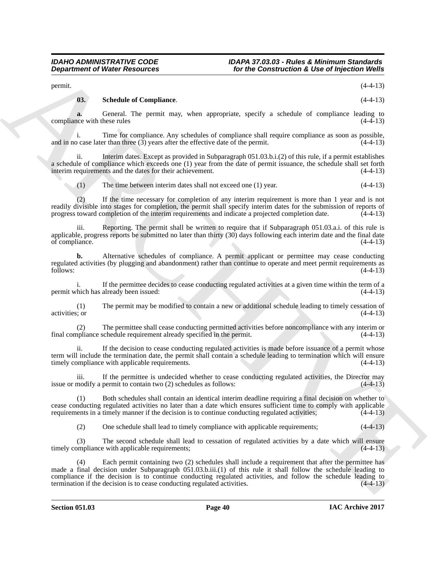permit.  $(4-4-13)$ 

### <span id="page-39-0"></span>**03. Schedule of Compliance**. (4-4-13)

**a.** General. The permit may, when appropriate, specify a schedule of compliance leading to the with these rules (4-4-13) compliance with these rules

i. Time for compliance. Any schedules of compliance shall require compliance as soon as possible, <br>case later than three (3) years after the effective date of the permit. (4-4-13) and in no case later than three  $(3)$  years after the effective date of the permit.

ii. Interim dates. Except as provided in Subparagraph 051.03.b.i.(2) of this rule, if a permit establishes a schedule of compliance which exceeds one (1) year from the date of permit issuance, the schedule shall set forth interim requirements and the dates for their achievement. (4-4-13) interim requirements and the dates for their achievement.

(1) The time between interim dates shall not exceed one (1) year. (4-4-13)

(2) If the time necessary for completion of any interim requirement is more than 1 year and is not readily divisible into stages for completion, the permit shall specify interim dates for the submission of reports of progress toward completion of the interim requirements and indicate a projected completion date.  $(4-4-13)$ 

iii. Reporting. The permit shall be written to require that if Subparagraph 051.03.a.i. of this rule is applicable, progress reports be submitted no later than thirty  $(30)$  days following each interim date and the final date of compliance.  $(4-4-13)$ of compliance.

**b.** Alternative schedules of compliance. A permit applicant or permittee may cease conducting regulated activities (by plugging and abandonment) rather than continue to operate and meet permit requirements as follows: (4-4-13)  $f_{\text{0}}(4-4-13)$  (4-4-13)

If the permittee decides to cease conducting regulated activities at a given time within the term of a already been issued:  $(4-4-13)$ permit which has already been issued:

(1) The permit may be modified to contain a new or additional schedule leading to timely cessation of activities; or (4-4-13)

(2) The permittee shall cease conducting permitted activities before noncompliance with any interim or final compliance schedule requirement already specified in the permit.

ii. If the decision to cease conducting regulated activities is made before issuance of a permit whose term will include the termination date, the permit shall contain a schedule leading to termination which will ensure timely compliance with applicable requirements. (4-4-13) timely compliance with applicable requirements.

iii. If the permittee is undecided whether to cease conducting regulated activities, the Director may issue or modify a permit to contain two (2) schedules as follows: (4-4-13)

(1) Both schedules shall contain an identical interim deadline requiring a final decision on whether to cease conducting regulated activities no later than a date which ensures sufficient time to comply with applicable requirements in a timely manner if the decision is to continue conducting regulated activities; (4-4-13)

(2) One schedule shall lead to timely compliance with applicable requirements; (4-4-13)

(3) The second schedule shall lead to cessation of regulated activities by a date which will ensure timely compliance with applicable requirements; (4-4-13)

**Department of Nieter Researches For the Construction's Like of hyperical Weiler**<br>
years and Constant Complete Complete Complete Complete Complete Complete Complete Complete Complete Complete<br>
complete Complete Complete (4) Each permit containing two (2) schedules shall include a requirement that after the permittee has made a final decision under Subparagraph 051.03.b.iii.(1) of this rule it shall follow the schedule leading to compliance if the decision is to continue conducting regulated activities, and follow the schedule leading to termination if the decision is to cease conducting regulated activities. (4-4-13) termination if the decision is to cease conducting regulated activities.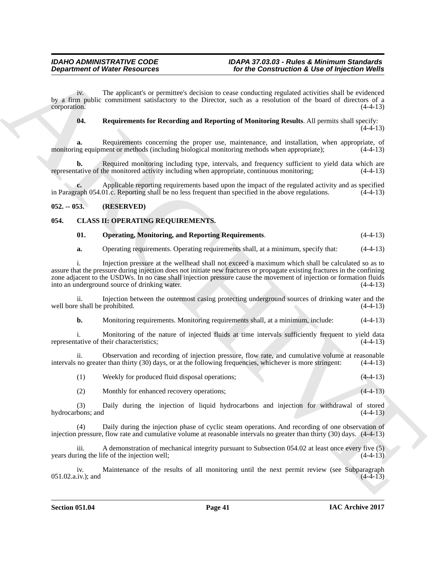iv. The applicant's or permittee's decision to cease conducting regulated activities shall be evidenced by a firm public commitment satisfactory to the Director, such as a resolution of the board of directors of a corporation.

<span id="page-40-4"></span>**04. Requirements for Recording and Reporting of Monitoring Results**. All permits shall specify:

 $(4-4-13)$ 

**a.** Requirements concerning the proper use, maintenance, and installation, when appropriate, of monitoring equipment or methods (including biological monitoring methods when appropriate);  $(4-4-13)$ 

**b.** Required monitoring including type, intervals, and frequency sufficient to yield data which are tative of the monitored activity including when appropriate, continuous monitoring:  $(4-4-13)$ representative of the monitored activity including when appropriate, continuous monitoring;

Applicable reporting requirements based upon the impact of the regulated activity and as specified 01.c. Reporting shall be no less frequent than specified in the above regulations. (4-4-13) in Paragraph 054.01.c. Reporting shall be no less frequent than specified in the above regulations.

### <span id="page-40-0"></span>**052. -- 053. (RESERVED)**

### <span id="page-40-1"></span>**054. CLASS II: OPERATING REQUIREMENTS.**

### <span id="page-40-3"></span><span id="page-40-2"></span>**01. Operating, Monitoring, and Reporting Requirements**. (4-4-13)

**a.** Operating requirements. Operating requirements shall, at a minimum, specify that:  $(4-4-13)$ 

**Department of Nicher Resources** for the Constituential & Use of hyperican Weile<br>  $w_{\mu} = \frac{1}{2}mv_{\mu}$ . The eightical sequences we promise the interact and the constitution of the based activistic shall be verifical and i. Injection pressure at the wellhead shall not exceed a maximum which shall be calculated so as to assure that the pressure during injection does not initiate new fractures or propagate existing fractures in the confining zone adjacent to the USDWs. In no case shall injection pressure cause the movement of injection or formation fluids into an underground source of drinking water. (4-4-13)

ii. Injection between the outermost casing protecting underground sources of drinking water and the eshall be prohibited. (4-4-13) well bore shall be prohibited.

**b.** Monitoring requirements. Monitoring requirements shall, at a minimum, include:  $(4-4-13)$ 

i. Monitoring of the nature of injected fluids at time intervals sufficiently frequent to yield data tative of their characteristics: (4-4-13) representative of their characteristics:

ii. Observation and recording of injection pressure, flow rate, and cumulative volume at reasonable no greater than thirty (30) days, or at the following frequencies, whichever is more stringent:  $(4-4-13)$ intervals no greater than thirty (30) days, or at the following frequencies, whichever is more stringent:

(1) Weekly for produced fluid disposal operations; (4-4-13)

(2) Monthly for enhanced recovery operations; (4-4-13)

(3) Daily during the injection of liquid hydrocarbons and injection for withdrawal of stored hydrocarbons; and (4-4-13)

(4) Daily during the injection phase of cyclic steam operations. And recording of one observation of injection pressure, flow rate and cumulative volume at reasonable intervals no greater than thirty (30) days. (4-4-13)

A demonstration of mechanical integrity pursuant to Subsection  $054.02$  at least once every five (5) years during the life of the injection well;  $(4-4-13)$ 

iv. Maintenance of the results of all monitoring until the next permit review (see Subparagraph (4-4-13)  $051.02.a.iv.$ ); and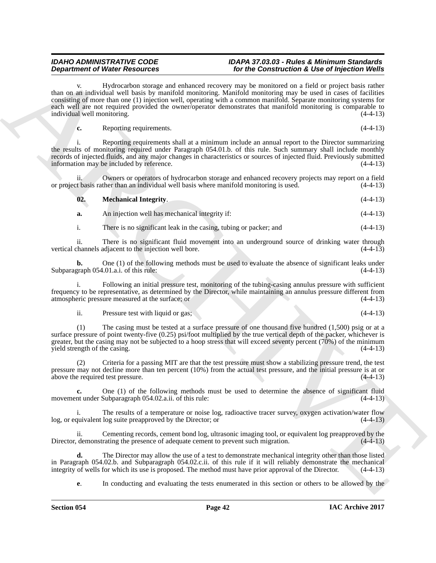**Department of Networks absorber to be absorber to be constructed a Line of the Construction A. So that the Construction Construction Construction Construction Construction Construction Construction Construction Construct** Hydrocarbon storage and enhanced recovery may be monitored on a field or project basis rather than on an individual well basis by manifold monitoring. Manifold monitoring may be used in cases of facilities consisting of more than one (1) injection well, operating with a common manifold. Separate monitoring systems for each well are not required provided the owner/operator demonstrates that manifold monitoring is comparable to individual well monitoring. (4-4-13)

**c.** Reporting requirements. (4-4-13)

i. Reporting requirements shall at a minimum include an annual report to the Director summarizing the results of monitoring required under Paragraph 054.01.b. of this rule. Such summary shall include monthly records of injected fluids, and any major changes in characteristics or sources of injected fluid. Previously submitted information may be included by reference.

Owners or operators of hydrocarbon storage and enhanced recovery projects may report on a field or project basis rather than an individual well basis where manifold monitoring is used. (4-4-13)

<span id="page-41-0"></span>

| 02.<br><b>Mechanical Integrity.</b> | $(4-4-13)$ |
|-------------------------------------|------------|
|-------------------------------------|------------|

**a.** An injection well has mechanical integrity if: (4-4-13)

i. There is no significant leak in the casing, tubing or packer; and (4-4-13)

ii. There is no significant fluid movement into an underground source of drinking water through channels adjacent to the injection well bore. (4-4-13) vertical channels adjacent to the injection well bore.

**b.** One (1) of the following methods must be used to evaluate the absence of significant leaks under graph 054.01.a.i. of this rule:  $(4-4-13)$ Subparagraph 054.01.a.i. of this rule:

i. Following an initial pressure test, monitoring of the tubing-casing annulus pressure with sufficient frequency to be representative, as determined by the Director, while maintaining an annulus pressure different from atmospheric pressure measured at the surface; or

ii. Pressure test with liquid or gas; (4-4-13)

(1) The casing must be tested at a surface pressure of one thousand five hundred (1,500) psig or at a surface pressure of point twenty-five (0.25) psi/foot multiplied by the true vertical depth of the packer, whichever is greater, but the casing may not be subjected to a hoop stress that will exceed seventy percent (70%) of the minimum yield strength of the casing. (4-4-13)

Criteria for a passing MIT are that the test pressure must show a stabilizing pressure trend, the test pressure may not decline more than ten percent (10%) from the actual test pressure, and the initial pressure is at or above the required test pressure. (4-4-13) above the required test pressure.

**c.** One (1) of the following methods must be used to determine the absence of significant fluid nt under Subparagraph 054.02.a.ii. of this rule: (4-4-13) movement under Subparagraph 054.02.a.ii. of this rule:

The results of a temperature or noise log, radioactive tracer survey, oxygen activation/water flow log, or equivalent log suite preapproved by the Director; or (4-4-13)

ii. Cementing records, cement bond log, ultrasonic imaging tool, or equivalent log preapproved by the demonstrating the presence of adequate cement to prevent such migration.  $(4-4-13)$ Director, demonstrating the presence of adequate cement to prevent such migration.

**d.** The Director may allow the use of a test to demonstrate mechanical integrity other than those listed in Paragraph 054.02.b. and Subparagraph 054.02.c.ii. of this rule if it will reliably demonstrate the mechanical integrity of wells for which its use is proposed. The method must have prior approval of the Director. (4-4-1 integrity of wells for which its use is proposed. The method must have prior approval of the Director.

**e.** In conducting and evaluating the tests enumerated in this section or others to be allowed by the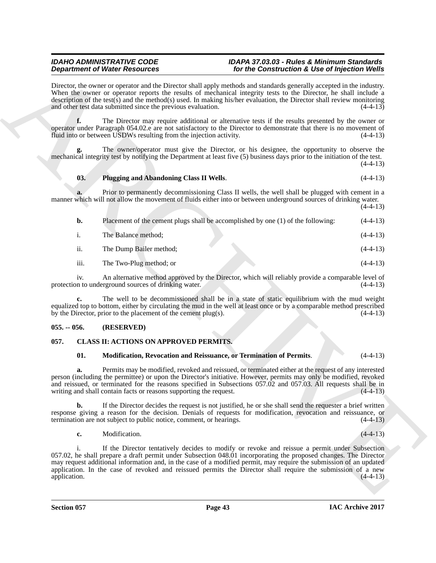### <span id="page-42-4"></span>**03. Plugging and Abandoning Class II Wells**. (4-4-13)

| <b>Department of Water Resources</b> |                                                                                  | for the Construction & Use of Injection Wells                                                                                                                                                                                                                                                                                                                                                                                                          |            |
|--------------------------------------|----------------------------------------------------------------------------------|--------------------------------------------------------------------------------------------------------------------------------------------------------------------------------------------------------------------------------------------------------------------------------------------------------------------------------------------------------------------------------------------------------------------------------------------------------|------------|
|                                      | and other test data submitted since the previous evaluation.                     | Director, the owner or operator and the Director shall apply methods and standards generally accepted in the industry.<br>When the owner or operator reports the results of mechanical integrity tests to the Director, he shall include a<br>description of the test(s) and the method(s) used. In making his/her evaluation, the Director shall review monitoring                                                                                    | $(4-4-13)$ |
| f.                                   | fluid into or between USDWs resulting from the injection activity.               | The Director may require additional or alternative tests if the results presented by the owner or<br>operator under Paragraph 054.02.e are not satisfactory to the Director to demonstrate that there is no movement of                                                                                                                                                                                                                                | $(4-4-13)$ |
|                                      |                                                                                  | The owner/operator must give the Director, or his designee, the opportunity to observe the<br>mechanical integrity test by notifying the Department at least five (5) business days prior to the initiation of the test.                                                                                                                                                                                                                               | $(4-4-13)$ |
| 03.                                  | <b>Plugging and Abandoning Class II Wells.</b>                                   |                                                                                                                                                                                                                                                                                                                                                                                                                                                        | $(4-4-13)$ |
|                                      |                                                                                  | Prior to permanently decommissioning Class II wells, the well shall be plugged with cement in a<br>manner which will not allow the movement of fluids either into or between underground sources of drinking water.                                                                                                                                                                                                                                    | $(4-4-13)$ |
| b.                                   | Placement of the cement plugs shall be accomplished by one (1) of the following: |                                                                                                                                                                                                                                                                                                                                                                                                                                                        | $(4-4-13)$ |
| $\mathbf{i}$ .                       | The Balance method;                                                              |                                                                                                                                                                                                                                                                                                                                                                                                                                                        | $(4-4-13)$ |
| ii.                                  | The Dump Bailer method;                                                          |                                                                                                                                                                                                                                                                                                                                                                                                                                                        | $(4-4-13)$ |
| iii.                                 | The Two-Plug method; or                                                          |                                                                                                                                                                                                                                                                                                                                                                                                                                                        | $(4-4-13)$ |
| iv.                                  | protection to underground sources of drinking water.                             | An alternative method approved by the Director, which will reliably provide a comparable level of                                                                                                                                                                                                                                                                                                                                                      | $(4-4-13)$ |
|                                      | by the Director, prior to the placement of the cement $plug(s)$ .                | The well to be decommissioned shall be in a state of static equilibrium with the mud weight<br>equalized top to bottom, either by circulating the mud in the well at least once or by a comparable method prescribed                                                                                                                                                                                                                                   | $(4-4-13)$ |
| $055. - 056.$                        | (RESERVED)                                                                       |                                                                                                                                                                                                                                                                                                                                                                                                                                                        |            |
| 057.                                 | <b>CLASS II: ACTIONS ON APPROVED PERMITS.</b>                                    |                                                                                                                                                                                                                                                                                                                                                                                                                                                        |            |
| 01.                                  | Modification, Revocation and Reissuance, or Termination of Permits.              |                                                                                                                                                                                                                                                                                                                                                                                                                                                        | $(4-4-13)$ |
| a.                                   | writing and shall contain facts or reasons supporting the request.               | Permits may be modified, revoked and reissued, or terminated either at the request of any interested<br>person (including the permittee) or upon the Director's initiative. However, permits may only be modified, revoked<br>and reissued, or terminated for the reasons specified in Subsections 057.02 and 057.03. All requests shall be in                                                                                                         | $(4-4-13)$ |
| b.                                   | termination are not subject to public notice, comment, or hearings.              | If the Director decides the request is not justified, he or she shall send the requester a brief written<br>response giving a reason for the decision. Denials of requests for modification, revocation and reissuance, or                                                                                                                                                                                                                             | $(4-4-13)$ |
| c.                                   | Modification.                                                                    |                                                                                                                                                                                                                                                                                                                                                                                                                                                        | $(4-4-13)$ |
| $\mathbf{i}$ .<br>application.       |                                                                                  | If the Director tentatively decides to modify or revoke and reissue a permit under Subsection<br>057.02, he shall prepare a draft permit under Subsection 048.01 incorporating the proposed changes. The Director<br>may request additional information and, in the case of a modified permit, may require the submission of an updated<br>application. In the case of revoked and reissued permits the Director shall require the submission of a new | $(4-4-13)$ |
|                                      |                                                                                  |                                                                                                                                                                                                                                                                                                                                                                                                                                                        |            |
|                                      |                                                                                  |                                                                                                                                                                                                                                                                                                                                                                                                                                                        |            |

#### <span id="page-42-0"></span>**055. -- 056. (RESERVED)**

### <span id="page-42-1"></span>**057. CLASS II: ACTIONS ON APPROVED PERMITS.**

#### <span id="page-42-3"></span><span id="page-42-2"></span>**01. Modification, Revocation and Reissuance, or Termination of Permits**. (4-4-13)

#### **c.** Modification. (4-4-13)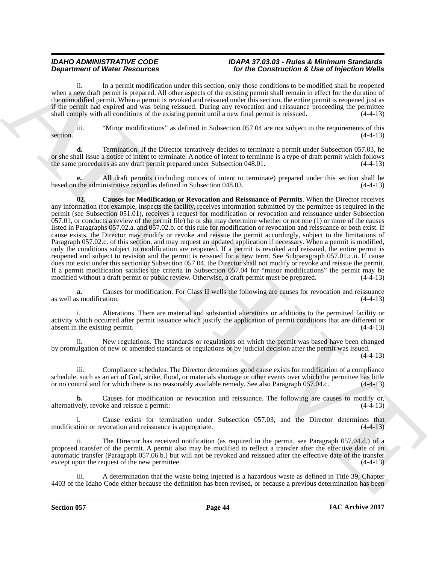ii. In a permit modification under this section, only those conditions to be modified shall be reopened when a new draft permit is prepared. All other aspects of the existing permit shall remain in effect for the duration of the unmodified permit. When a permit is revoked and reissued under this section, the entire permit is reopened just as if the permit had expired and was being reissued. During any revocation and reissuance proceeding the permittee shall comply with all conditions of the existing permit until a new final permit is reissued. (4-4-13)

iii. "Minor modifications" as defined in Subsection 057.04 are not subject to the requirements of this section.  $(4-4-13)$ 

**d.** Termination. If the Director tentatively decides to terminate a permit under Subsection 057.03, he or she shall issue a notice of intent to terminate. A notice of intent to terminate is a type of draft permit which follows the same procedures as any draft permit prepared under Subsection 048.01. (4-4-13) the same procedures as any draft permit prepared under Subsection 048.01.

<span id="page-43-0"></span>**e.** All draft permits (including notices of intent to terminate) prepared under this section shall be based on the administrative record as defined in Subsection 048.03. (4-4-13)

**Department of West Resources** of West Resources of West Construction & Maxman in the substitution of the substitution of the substitution of the substitution of the substitution of the substitution of the substitution of **02. Causes for Modification or Revocation and Reissuance of Permits**. When the Director receives any information (for example, inspects the facility, receives information submitted by the permittee as required in the permit (see Subsection 051.01), receives a request for modification or revocation and reissuance under Subsection 057.01, or conducts a review of the permit file) he or she may determine whether or not one (1) or more of the causes listed in Paragraphs 057.02.a. and 057.02.b. of this rule for modification or revocation and reissuance or both exist. If cause exists, the Director may modify or revoke and reissue the permit accordingly, subject to the limitations of Paragraph 057.02.c. of this section, and may request an updated application if necessary. When a permit is modified, only the conditions subject to modification are reopened. If a permit is revoked and reissued, the entire permit is reopened and subject to revision and the permit is reissued for a new term. See Subparagraph 057.01.c.ii. If cause does not exist under this section or Subsection 057.04, the Director shall not modify or revoke and reissue the permit. If a permit modification satisfies the criteria in Subsection 057.04 for "minor modifications" the permit may be modified without a draft permit or public review. Otherwise, a draft permit must be prepared. (4-4-13) modified without a draft permit or public review. Otherwise, a draft permit must be prepared.

**a.** Causes for modification. For Class II wells the following are causes for revocation and reissuance s modification. (4-4-13) as well as modification.

i. Alterations. There are material and substantial alterations or additions to the permitted facility or activity which occurred after permit issuance which justify the application of permit conditions that are different or absent in the existing permit.

ii. New regulations. The standards or regulations on which the permit was based have been changed by promulgation of new or amended standards or regulations or by judicial decision after the permit was issued.

 $(4-4-13)$ 

iii. Compliance schedules. The Director determines good cause exists for modification of a compliance schedule, such as an act of God, strike, flood, or materials shortage or other events over which the permittee has little or no control and for which there is no reasonably available remedy. See also Paragraph 057.04.c. (4-4-13)

**b.** Causes for modification or revocation and reissuance. The following are causes to modify or, vely, revoke and reissue a permit:  $(4-4-13)$ alternatively, revoke and reissue a permit:

i. Cause exists for termination under Subsection 057.03, and the Director determines that modification or revocation and reissuance is appropriate. (4-4-13)

ii. The Director has received notification (as required in the permit, see Paragraph 057.04.d.) of a proposed transfer of the permit. A permit also may be modified to reflect a transfer after the effective date of an automatic transfer (Paragraph 057.06.b.) but will not be revoked and reissued after the effective date of the transfer except upon the request of the new permittee.

A determination that the waste being injected is a hazardous waste as defined in Title 39, Chapter 4403 of the Idaho Code either because the definition has been revised, or because a previous determination has been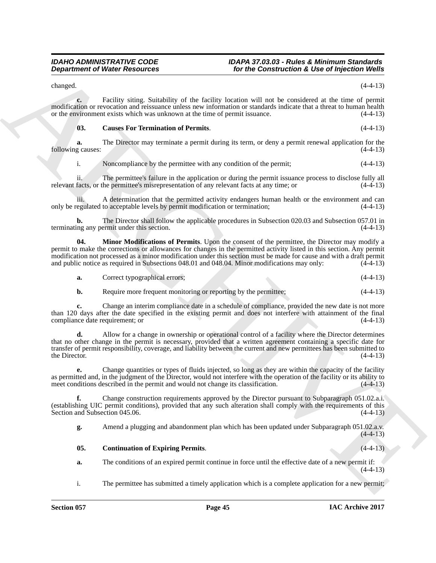changed.  $(4-4-13)$ 

**c.** Facility siting. Suitability of the facility location will not be considered at the time of permit modification or revocation and reissuance unless new information or standards indicate that a threat to human health or the environment exists which was unknown at the time of permit issuance. (4-4-13)

#### <span id="page-44-0"></span>**03. Causes For Termination of Permits**. (4-4-13)

**a.** The Director may terminate a permit during its term, or deny a permit renewal application for the following causes: (4-4-13)

i. Noncompliance by the permittee with any condition of the permit; (4-4-13)

ii. The permittee's failure in the application or during the permit issuance process to disclose fully all relevant facts, or the permittee's misrepresentation of any relevant facts at any time; or (4-4-13)

iii. A determination that the permitted activity endangers human health or the environment and can egulated to acceptable levels by permit modification or termination; (4-4-13) only be regulated to acceptable levels by permit modification or termination; (4-4-13)

**b.** The Director shall follow the applicable procedures in Subsection 020.03 and Subsection 057.01 in ng any permit under this section. (4-4-13) terminating any permit under this section.

**04. Minor Modifications of Permits**. Upon the consent of the permittee, the Director may modify a permit to make the corrections or allowances for changes in the permitted activity listed in this section. Any permit modification not processed as a minor modification under this section must be made for cause and with a draft permit<br>and public notice as required in Subsections 048.01 and 048.04. Minor modifications may only: (4-4-13) and public notice as required in Subsections 048.01 and 048.04. Minor modifications may only:

<span id="page-44-2"></span>**a.** Correct typographical errors; (4-4-13)

**b.** Require more frequent monitoring or reporting by the permittee;  $(4-4-13)$ 

**c.** Change an interim compliance date in a schedule of compliance, provided the new date is not more than 120 days after the date specified in the existing permit and does not interfere with attainment of the final compliance date requirement; or  $(4-4-13)$ 

**Department of Nieter Research Comparison Controller Comparison Controller Comparison Controller Comparison Comparison Comparison Comparison Comparison Comparison Comparison Comparison Comparison Comparison Comparison Com d.** Allow for a change in ownership or operational control of a facility where the Director determines that no other change in the permit is necessary, provided that a written agreement containing a specific date for transfer of permit responsibility, coverage, and liability between the current and new permittees has been submitted to the Director.  $(4-4-13)$ 

**e.** Change quantities or types of fluids injected, so long as they are within the capacity of the facility as permitted and, in the judgment of the Director, would not interfere with the operation of the facility or its ability to meet conditions described in the permit and would not change its classification. (4-4-13)

**f.** Change construction requirements approved by the Director pursuant to Subparagraph 051.02.a.i. (establishing UIC permit conditions), provided that any such alteration shall comply with the requirements of this Section and Subsection 045.06. (4-4-13)

**g.** Amend a plugging and abandonment plan which has been updated under Subparagraph 051.02.a.v.  $(4-4-13)$ 

#### <span id="page-44-1"></span>**05. Continuation of Expiring Permits**. (4-4-13)

- **a.** The conditions of an expired permit continue in force until the effective date of a new permit if:  $(4-4-13)$
- i. The permittee has submitted a timely application which is a complete application for a new permit;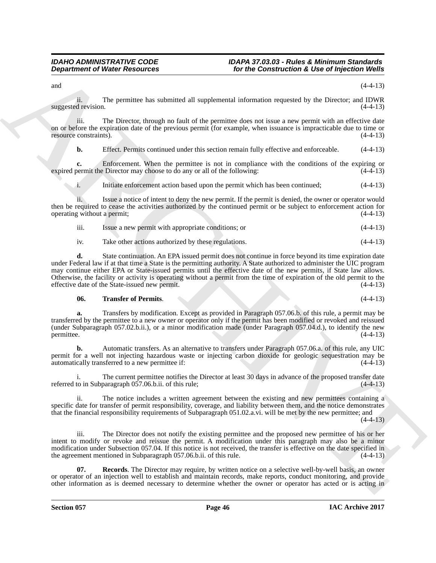and  $(4-4-13)$ 

ii. The permittee has submitted all supplemental information requested by the Director; and IDWR suggested revision.  $(4-4-13)$ 

iii. The Director, through no fault of the permittee does not issue a new permit with an effective date on or before the expiration date of the previous permit (for example, when issuance is impracticable due to time or resource constraints). (4-4-13)

**b.** Effect. Permits continued under this section remain fully effective and enforceable. (4-4-13)

**c.** Enforcement. When the permittee is not in compliance with the conditions of the expiring or permit the Director may choose to do any or all of the following: (4-4-13) expired permit the Director may choose to do any or all of the following:

i. Initiate enforcement action based upon the permit which has been continued; (4-4-13)

ii. Issue a notice of intent to deny the new permit. If the permit is denied, the owner or operator would then be required to cease the activities authorized by the continued permit or be subject to enforcement action for operating without a permit; (4-4-13)

| .<br>111. | Issue a new permit with appropriate conditions; or |  | $(4-4-13)$ |
|-----------|----------------------------------------------------|--|------------|
|           |                                                    |  |            |

iv. Take other actions authorized by these regulations. (4-4-13)

**Department of Niese Resources From the Construction & Use of hyperican Weights<br>
and the permission explores the substitute of the Construction & Use of hyperican Weights<br>
and the permission explores the substitute of the d.** State continuation. An EPA issued permit does not continue in force beyond its time expiration date under Federal law if at that time a State is the permitting authority. A State authorized to administer the UIC program may continue either EPA or State-issued permits until the effective date of the new permits, if State law allows. Otherwise, the facility or activity is operating without a permit from the time of expiration of the old permit to the effective date of the State-issued new permit. (4-4-13)

### <span id="page-45-1"></span>**06. Transfer of Permits**. (4-4-13)

**a.** Transfers by modification. Except as provided in Paragraph 057.06.b. of this rule, a permit may be transferred by the permittee to a new owner or operator only if the permit has been modified or revoked and reissued (under Subparagraph 057.02.b.ii.), or a minor modification made (under Paragraph 057.04.d.), to identify the new permittee. (4-4-13)

**b.** Automatic transfers. As an alternative to transfers under Paragraph 057.06.a. of this rule, any UIC permit for a well not injecting hazardous waste or injecting carbon dioxide for geologic sequestration may be automatically transferred to a new permittee if:

i. The current permittee notifies the Director at least 30 days in advance of the proposed transfer date referred to in Subparagraph 057.06.b.ii. of this rule; (4-4-13)

ii. The notice includes a written agreement between the existing and new permittees containing a specific date for transfer of permit responsibility, coverage, and liability between them, and the notice demonstrates that the financial responsibility requirements of Subparagraph 051.02.a.vi. will be met by the new permittee; and

 $(4-4-13)$ 

iii. The Director does not notify the existing permittee and the proposed new permittee of his or her intent to modify or revoke and reissue the permit. A modification under this paragraph may also be a minor modification under Subsection 057.04. If this notice is not received, the transfer is effective on the date specified in the agreement mentioned in Subparagraph 057.06.b.ii. of this rule. (4-4-13)

<span id="page-45-0"></span>**07. Records**. The Director may require, by written notice on a selective well-by-well basis, an owner or operator of an injection well to establish and maintain records, make reports, conduct monitoring, and provide other information as is deemed necessary to determine whether the owner or operator has acted or is acting in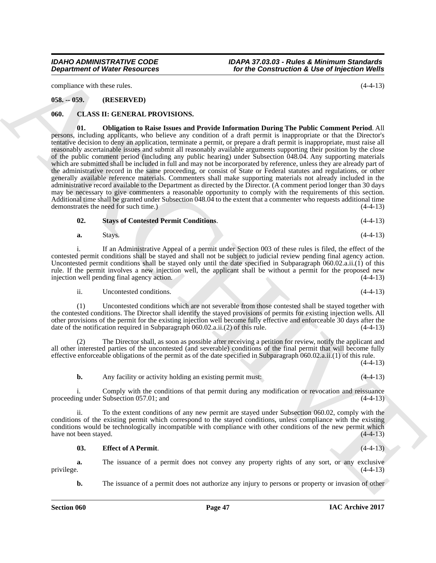compliance with these rules. (4-4-13)

### <span id="page-46-0"></span>**058. -- 059. (RESERVED)**

#### <span id="page-46-4"></span><span id="page-46-2"></span><span id="page-46-1"></span>**060. CLASS II: GENERAL PROVISIONS.**

**Department of Niese Resources For the Construction & Use of hydroxical velocity (+1-13)**<br>
consider a since  $x_1x_2x_3$  (see Figure 2). The Construction Burnel is the construction of the since  $\alpha$  is a construction but **01. Obligation to Raise Issues and Provide Information During The Public Comment Period**. All persons, including applicants, who believe any condition of a draft permit is inappropriate or that the Director's tentative decision to deny an application, terminate a permit, or prepare a draft permit is inappropriate, must raise all reasonably ascertainable issues and submit all reasonably available arguments supporting their position by the close of the public comment period (including any public hearing) under Subsection 048.04. Any supporting materials which are submitted shall be included in full and may not be incorporated by reference, unless they are already part of the administrative record in the same proceeding, or consist of State or Federal statutes and regulations, or other generally available reference materials. Commenters shall make supporting materials not already included in the administrative record available to the Department as directed by the Director. (A comment period longer than 30 days may be necessary to give commenters a reasonable opportunity to comply with the requirements of this section. Additional time shall be granted under Subsection 048.04 to the extent that a commenter who requests additional time demonstrates the need for such time.)  $(4-4-13)$ demonstrates the need for such time.)

<span id="page-46-5"></span>**02. Stays of Contested Permit Conditions**. (4-4-13)

$$
a. Stays.
$$
 (4-4-13)

i. If an Administrative Appeal of a permit under Section 003 of these rules is filed, the effect of the contested permit conditions shall be stayed and shall not be subject to judicial review pending final agency action. Uncontested permit conditions shall be stayed only until the date specified in Subparagraph 060.02.a.ii.(1) of this rule. If the permit involves a new injection well, the applicant shall be without a permit for the proposed new injection well pending final agency action. (4-4-13) injection well pending final agency action.

$$
ii. \tUncontested conditions. \t(4-4-13)
$$

(1) Uncontested conditions which are not severable from those contested shall be stayed together with the contested conditions. The Director shall identify the stayed provisions of permits for existing injection wells. All other provisions of the permit for the existing injection well become fully effective and enforceable 30 days after the date of the notification required in Subparagraph  $060.02$ .a.ii. $(2)$  of this rule.

The Director shall, as soon as possible after receiving a petition for review, notify the applicant and all other interested parties of the uncontested (and severable) conditions of the final permit that will become fully effective enforceable obligations of the permit as of the date specified in Subparagraph 060.02.a.ii.(1) of this rule. (4-4-13)

**b.** Any facility or activity holding an existing permit must: (4-4-13)

i. Comply with the conditions of that permit during any modification or revocation and reissuance ng under Subsection 057.01; and (4-4-13) proceeding under Subsection 057.01; and

ii. To the extent conditions of any new permit are stayed under Subsection 060.02, comply with the conditions of the existing permit which correspond to the stayed conditions, unless compliance with the existing conditions would be technologically incompatible with compliance with other conditions of the new permit which<br>have not been stayed. (4-4-13) have not been stayed.

#### <span id="page-46-3"></span>**03. Effect of A Permit**. (4-4-13)

**a.** The issuance of a permit does not convey any property rights of any sort, or any exclusive privilege.  $(4-4-13)$ privilege. (4-4-13)

**b.** The issuance of a permit does not authorize any injury to persons or property or invasion of other

*IDAHO ADMINISTRATIVE CODE IDAPA 37.03.03 - Rules & Minimum Standards For the Construction & Use of Injection Wells*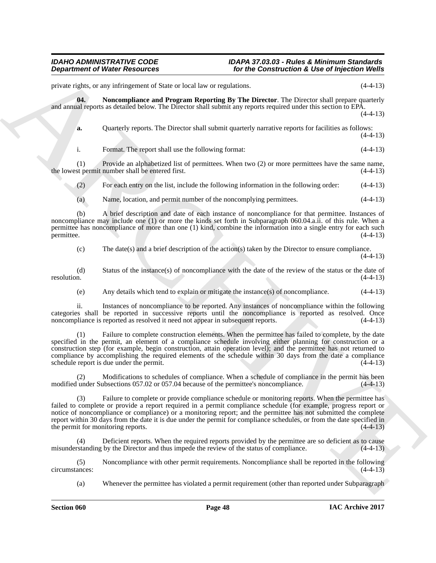private rights, or any infringement of State or local law or regulations. (4-4-13)

**04. Noncompliance and Program Reporting By The Director**. The Director shall prepare quarterly and annual reports as detailed below. The Director shall submit any reports required under this section to EPA.  $(4-4-13)$ 

<span id="page-47-0"></span>**a.** Quarterly reports. The Director shall submit quarterly narrative reports for facilities as follows:  $(4-4-13)$ 

i. Format. The report shall use the following format: (4-4-13)

(1) Provide an alphabetized list of permittees. When two (2) or more permittees have the same name, st permit number shall be entered first.  $(4-4-13)$ the lowest permit number shall be entered first.

(2) For each entry on the list, include the following information in the following order: (4-4-13)

(a) Name, location, and permit number of the noncomplying permittees. (4-4-13)

(b) A brief description and date of each instance of noncompliance for that permittee. Instances of noncompliance may include one (1) or more the kinds set forth in Subparagraph 060.04.a.ii. of this rule. When a permittee has noncompliance of more than one (1) kind, combine the information into a single entry for each such permittee. (4-4-13) permittee. (4-4-13)

(c) The date(s) and a brief description of the action(s) taken by the Director to ensure compliance. (4-4-13)

(d) Status of the instance(s) of noncompliance with the date of the review of the status or the date of resolution. (4-4-13)

(e) Any details which tend to explain or mitigate the instance(s) of noncompliance. (4-4-13)

ii. Instances of noncompliance to be reported. Any instances of noncompliance within the following categories shall be reported in successive reports until the noncompliance is reported as resolved. Once noncompliance is reported as resolved it need not appear in subsequent reports. (4-4-13)

**Department of Weise Resources**<br>
yields the state technique and the state and the state of the **Construction's Like of the Construction's Construction's**<br>
yields the state of the state of the state of the state of the sta (1) Failure to complete construction elements. When the permittee has failed to complete, by the date specified in the permit, an element of a compliance schedule involving either planning for construction or a construction step (for example, begin construction, attain operation level); and the permittee has not returned to compliance by accomplishing the required elements of the schedule within 30 days from the date a compliance schedule report is due under the permit. (4-4-13) schedule report is due under the permit.

(2) Modifications to schedules of compliance. When a schedule of compliance in the permit has been modified under Subsections 057.02 or 057.04 because of the permittee's noncompliance. (4-4-13)

(3) Failure to complete or provide compliance schedule or monitoring reports. When the permittee has failed to complete or provide a report required in a permit compliance schedule (for example, progress report or notice of noncompliance or compliance) or a monitoring report; and the permittee has not submitted the complete report within 30 days from the date it is due under the permit for compliance schedules, or from the date specified in the permit for monitoring reports.  $(4-4-13)$ the permit for monitoring reports.

(4) Deficient reports. When the required reports provided by the permittee are so deficient as to cause misunderstanding by the Director and thus impede the review of the status of compliance. (4-4-13)

(5) Noncompliance with other permit requirements. Noncompliance shall be reported in the following circumstances:

(a) Whenever the permittee has violated a permit requirement (other than reported under Subparagraph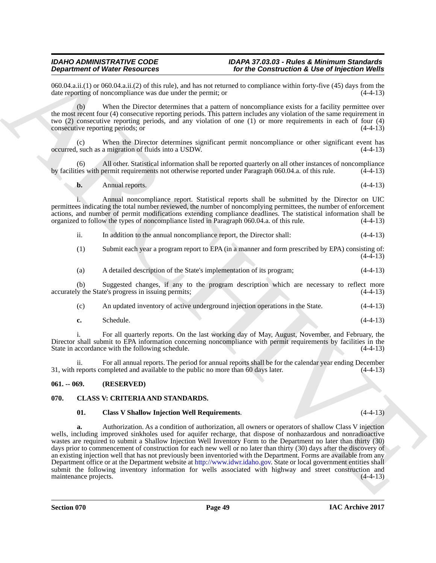$060.04$ .a.ii.(1) or  $060.04$ .a.ii.(2) of this rule), and has not returned to compliance within forty-five (45) days from the date reporting of noncompliance was due under the permit: or date reporting of noncompliance was due under the permit; or

(b) When the Director determines that a pattern of noncompliance exists for a facility permittee over the most recent four (4) consecutive reporting periods. This pattern includes any violation of the same requirement in two (2) consecutive reporting periods, and any violation of one (1) or more requirements in each of four (4) consecutive reporting periods; or

(c) When the Director determines significant permit noncompliance or other significant event has occurred, such as a migration of fluids into a USDW. (4-4-13)

All other. Statistical information shall be reported quarterly on all other instances of noncompliance bermit requirements not otherwise reported under Paragraph 060.04.a. of this rule. (4-4-13) by facilities with permit requirements not otherwise reported under Paragraph 060.04.a. of this rule.

$$
b. \qquad \text{Annual reports.} \tag{4-4-13}
$$

i. Annual noncompliance report. Statistical reports shall be submitted by the Director on UIC permittees indicating the total number reviewed, the number of noncomplying permittees, the number of enforcement actions, and number of permit modifications extending compliance deadlines. The statistical information shall be organized to follow the types of noncompliance listed in Paragraph 060.04.a. of this rule. (4-4-13)

- ii. In addition to the annual noncompliance report, the Director shall: (4-4-13)
- (1) Submit each year a program report to EPA (in a manner and form prescribed by EPA) consisting of:  $(4-4-13)$
- (a) A detailed description of the State's implementation of its program; (4-4-13)

(b) Suggested changes, if any to the program description which are necessary to reflect more accurately the State's progress in issuing permits;

- (c) An updated inventory of active underground injection operations in the State. (4-4-13)
- **c.** Schedule. (4-4-13)

i. For all quarterly reports. On the last working day of May, August, November, and February, the Director shall submit to EPA information concerning noncompliance with permit requirements by facilities in the State in accordance with the following schedule. (4-4-13)

ii. For all annual reports. The period for annual reports shall be for the calendar year ending December 31, with reports completed and available to the public no more than 60 days later. (4-4-13)

#### <span id="page-48-0"></span>**061. -- 069. (RESERVED)**

### <span id="page-48-1"></span>**070. CLASS V: CRITERIA AND STANDARDS.**

#### <span id="page-48-3"></span><span id="page-48-2"></span>**01. Class V Shallow Injection Well Requirements**. (4-4-13)

**Experiment of West Factures** Considerable and the transformation of the construction **K** Let of Procedure and the Construction of the Construction of the Construction of the Construction of the Construction of the Constr **a.** Authorization. As a condition of authorization, all owners or operators of shallow Class V injection wells, including improved sinkholes used for aquifer recharge, that dispose of nonhazardous and nonradioactive wastes are required to submit a Shallow Injection Well Inventory Form to the Department no later than thirty (30) days prior to commencement of construction for each new well or no later than thirty (30) days after the discovery of an existing injection well that has not previously been inventoried with the Department. Forms are available from any Department office or at the Department website at http://www.idwr.idaho.gov. State or local government entities shall submit the following inventory information for wells associated with highway and street construction and maintenance projects. (4-4-13) maintenance projects.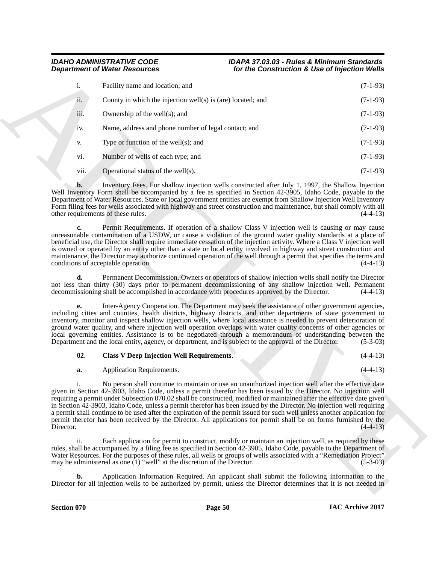|           | <b>Department of Water Resources</b>                                                                                                                                                                                                                                                                                                                                                                                                                                                                                                                                                                                                                                                                                          | for the Construction & Use of Injection Wells |            |
|-----------|-------------------------------------------------------------------------------------------------------------------------------------------------------------------------------------------------------------------------------------------------------------------------------------------------------------------------------------------------------------------------------------------------------------------------------------------------------------------------------------------------------------------------------------------------------------------------------------------------------------------------------------------------------------------------------------------------------------------------------|-----------------------------------------------|------------|
| i.        | Facility name and location; and                                                                                                                                                                                                                                                                                                                                                                                                                                                                                                                                                                                                                                                                                               |                                               | $(7-1-93)$ |
| ii.       | County in which the injection well(s) is (are) located; and                                                                                                                                                                                                                                                                                                                                                                                                                                                                                                                                                                                                                                                                   |                                               | $(7-1-93)$ |
| iii.      | Ownership of the well(s); and                                                                                                                                                                                                                                                                                                                                                                                                                                                                                                                                                                                                                                                                                                 |                                               | $(7-1-93)$ |
| iv.       | Name, address and phone number of legal contact; and                                                                                                                                                                                                                                                                                                                                                                                                                                                                                                                                                                                                                                                                          |                                               | $(7-1-93)$ |
| V.        | Type or function of the well $(s)$ ; and                                                                                                                                                                                                                                                                                                                                                                                                                                                                                                                                                                                                                                                                                      |                                               | $(7-1-93)$ |
| vi.       | Number of wells of each type; and                                                                                                                                                                                                                                                                                                                                                                                                                                                                                                                                                                                                                                                                                             |                                               | $(7-1-93)$ |
| vii.      | Operational status of the well(s).                                                                                                                                                                                                                                                                                                                                                                                                                                                                                                                                                                                                                                                                                            |                                               | $(7-1-93)$ |
| b.        | Inventory Fees. For shallow injection wells constructed after July 1, 1997, the Shallow Injection<br>Well Inventory Form shall be accompanied by a fee as specified in Section 42-3905, Idaho Code, payable to the<br>Department of Water Resources. State or local government entities are exempt from Shallow Injection Well Inventory<br>Form filing fees for wells associated with highway and street construction and maintenance, but shall comply with all<br>other requirements of these rules.                                                                                                                                                                                                                       |                                               | $(4-4-13)$ |
| c.        | Permit Requirements. If operation of a shallow Class V injection well is causing or may cause<br>unreasonable contamination of a USDW, or cause a violation of the ground water quality standards at a place of<br>beneficial use, the Director shall require immediate cessation of the injection activity. Where a Class V injection well<br>is owned or operated by an entity other than a state or local entity involved in highway and street construction and<br>maintenance, the Director may authorize continued operation of the well through a permit that specifies the terms and<br>conditions of acceptable operation.                                                                                           |                                               | $(4-4-13)$ |
| d.        | Permanent Decommission. Owners or operators of shallow injection wells shall notify the Director<br>not less than thirty (30) days prior to permanent decommissioning of any shallow injection well. Permanent<br>decommissioning shall be accomplished in accordance with procedures approved by the Director.                                                                                                                                                                                                                                                                                                                                                                                                               |                                               | $(4-4-13)$ |
| e.        | Inter-Agency Cooperation. The Department may seek the assistance of other government agencies,<br>including cities and counties, health districts, highway districts, and other departments of state government to<br>inventory, monitor and inspect shallow injection wells, where local assistance is needed to prevent deterioration of<br>ground water quality, and where injection well operation overlaps with water quality concerns of other agencies or<br>local governing entities. Assistance is to be negotiated through a memorandum of understanding between the<br>Department and the local entity, agency, or department, and is subject to the approval of the Director.                                     |                                               | $(5-3-03)$ |
| 02.       | <b>Class V Deep Injection Well Requirements.</b>                                                                                                                                                                                                                                                                                                                                                                                                                                                                                                                                                                                                                                                                              |                                               | $(4-4-13)$ |
| a.        | Application Requirements.                                                                                                                                                                                                                                                                                                                                                                                                                                                                                                                                                                                                                                                                                                     |                                               | $(4-4-13)$ |
| Director. | No person shall continue to maintain or use an unauthorized injection well after the effective date<br>given in Section 42-3903, Idaho Code, unless a permit therefor has been issued by the Director. No injection well<br>requiring a permit under Subsection 070.02 shall be constructed, modified or maintained after the effective date given<br>in Section 42-3903, Idaho Code, unless a permit therefor has been issued by the Director. No injection well requiring<br>a permit shall continue to be used after the expiration of the permit issued for such well unless another application for<br>permit therefor has been received by the Director. All applications for permit shall be on forms furnished by the |                                               | $(4-4-13)$ |
| ii.       | Each application for permit to construct, modify or maintain an injection well, as required by these<br>rules, shall be accompanied by a filing fee as specified in Section 42-3905, Idaho Code, payable to the Department of<br>Water Resources. For the purposes of these rules, all wells or groups of wells associated with a "Remediation Project"                                                                                                                                                                                                                                                                                                                                                                       |                                               |            |
|           | may be administered as one $(1)$ "well" at the discretion of the Director.                                                                                                                                                                                                                                                                                                                                                                                                                                                                                                                                                                                                                                                    |                                               | $(5-3-03)$ |

### <span id="page-49-5"></span><span id="page-49-4"></span><span id="page-49-3"></span><span id="page-49-2"></span><span id="page-49-1"></span><span id="page-49-0"></span>**02**. **Class V Deep Injection Well Requirements**. (4-4-13)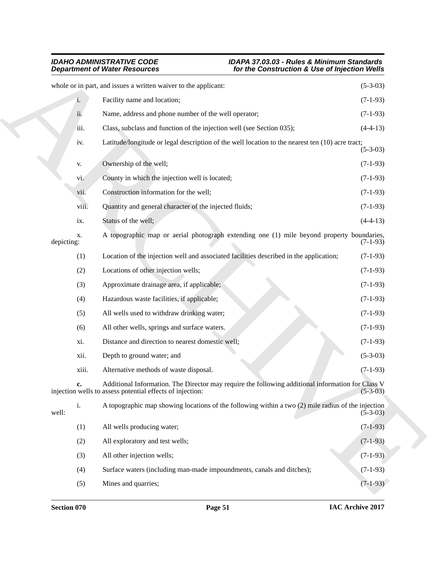#### <span id="page-50-0"></span>*IDAHO ADMINISTRATIVE CODE IDAPA 37.03.03 - Rules & Minimum Standards Department of Water Resources for the Construction & Use of Injection Wells*

|            | <b>Department of Water Resources</b>                            | for the Construction & Use of Injection Wells                                                      |            |
|------------|-----------------------------------------------------------------|----------------------------------------------------------------------------------------------------|------------|
|            | whole or in part, and issues a written waiver to the applicant: |                                                                                                    | $(5-3-03)$ |
|            | Facility name and location;<br>i.                               |                                                                                                    | $(7-1-93)$ |
|            | ii.<br>Name, address and phone number of the well operator;     |                                                                                                    | $(7-1-93)$ |
|            | iii.                                                            | Class, subclass and function of the injection well (see Section 035);                              | $(4-4-13)$ |
|            | iv.                                                             | Latitude/longitude or legal description of the well location to the nearest ten (10) acre tract;   | $(5-3-03)$ |
|            | Ownership of the well;<br>V.                                    |                                                                                                    | $(7-1-93)$ |
|            | County in which the injection well is located;<br>vi.           |                                                                                                    | $(7-1-93)$ |
|            | Construction information for the well;<br>vii.                  |                                                                                                    | $(7-1-93)$ |
|            | Quantity and general character of the injected fluids;<br>viii. |                                                                                                    | $(7-1-93)$ |
|            | Status of the well;<br>ix.                                      |                                                                                                    | $(4-4-13)$ |
| depicting: | Х.                                                              | A topographic map or aerial photograph extending one (1) mile beyond property boundaries,          | $(7-1-93)$ |
|            | (1)                                                             | Location of the injection well and associated facilities described in the application;             | $(7-1-93)$ |
|            | (2)<br>Locations of other injection wells;                      |                                                                                                    | $(7-1-93)$ |
|            | Approximate drainage area, if applicable;<br>(3)                |                                                                                                    | $(7-1-93)$ |
|            | (4)<br>Hazardous waste facilities, if applicable;               |                                                                                                    | $(7-1-93)$ |
|            | All wells used to withdraw drinking water;<br>(5)               |                                                                                                    | $(7-1-93)$ |
|            | (6)<br>All other wells, springs and surface waters.             |                                                                                                    | $(7-1-93)$ |
|            | Distance and direction to nearest domestic well;<br>xi.         |                                                                                                    | $(7-1-93)$ |
|            | Depth to ground water; and<br>xii.                              |                                                                                                    | $(5-3-03)$ |
|            | Alternative methods of waste disposal.<br>xiii.                 |                                                                                                    | $(7-1-93)$ |
|            | injection wells to assess potential effects of injection:       | Additional Information. The Director may require the following additional information for Class V  | $(5-3-03)$ |
| well:      | i.                                                              | A topographic map showing locations of the following within a two (2) mile radius of the injection | $(5-3-03)$ |
|            | All wells producing water;<br>(1)                               |                                                                                                    | $(7-1-93)$ |
|            | (2)<br>All exploratory and test wells;                          |                                                                                                    | $(7-1-93)$ |
|            | All other injection wells;<br>(3)                               |                                                                                                    | $(7-1-93)$ |
|            | (4)                                                             | Surface waters (including man-made impoundments, canals and ditches);                              | $(7-1-93)$ |
|            | Mines and quarries;<br>(5)                                      |                                                                                                    | $(7-1-93)$ |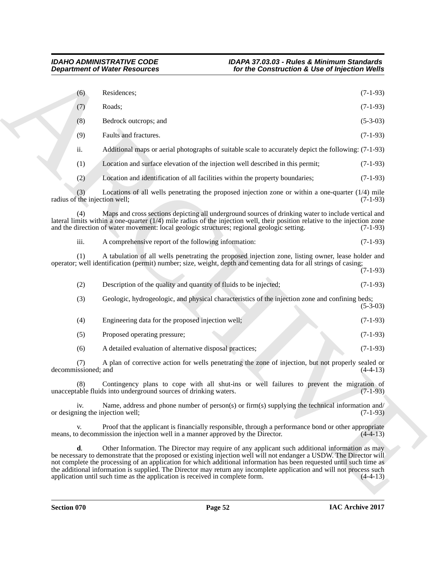<span id="page-51-0"></span>

| Residences;<br>(6)<br>Roads;<br>$(7-1-93)$<br>(7)<br>Bedrock outcrops; and<br>(8)<br>Faults and fractures.<br>(9)<br>ii.<br>Location and surface elevation of the injection well described in this permit;<br>(1)<br>(2)<br>Location and identification of all facilities within the property boundaries;<br>(3)<br>radius of the injection well;<br>(4)<br>and the direction of water movement: local geologic structures; regional geologic setting.<br>iii.<br>A comprehensive report of the following information:<br>(1)<br>operator; well identification (permit) number; size, weight, depth and cementing data for all strings of casing;<br>Description of the quality and quantity of fluids to be injected;<br>(2)<br>Geologic, hydrogeologic, and physical characteristics of the injection zone and confining beds;<br>(3)<br>Engineering data for the proposed injection well;<br>(4)<br>Proposed operating pressure;<br>(5)<br>A detailed evaluation of alternative disposal practices;<br>(6)<br>(7)<br>decommissioned; and<br>(8)<br>unacceptable fluids into underground sources of drinking waters.<br>iv.<br>or designing the injection well;<br>V.<br>means, to decommission the injection well in a manner approved by the Director.<br>d. | $(7-1-93)$                                                                                                                                                                                                                                                                                                                                                                                                                                                                                                                                                            |
|------------------------------------------------------------------------------------------------------------------------------------------------------------------------------------------------------------------------------------------------------------------------------------------------------------------------------------------------------------------------------------------------------------------------------------------------------------------------------------------------------------------------------------------------------------------------------------------------------------------------------------------------------------------------------------------------------------------------------------------------------------------------------------------------------------------------------------------------------------------------------------------------------------------------------------------------------------------------------------------------------------------------------------------------------------------------------------------------------------------------------------------------------------------------------------------------------------------------------------------------------------------|-----------------------------------------------------------------------------------------------------------------------------------------------------------------------------------------------------------------------------------------------------------------------------------------------------------------------------------------------------------------------------------------------------------------------------------------------------------------------------------------------------------------------------------------------------------------------|
|                                                                                                                                                                                                                                                                                                                                                                                                                                                                                                                                                                                                                                                                                                                                                                                                                                                                                                                                                                                                                                                                                                                                                                                                                                                                  |                                                                                                                                                                                                                                                                                                                                                                                                                                                                                                                                                                       |
|                                                                                                                                                                                                                                                                                                                                                                                                                                                                                                                                                                                                                                                                                                                                                                                                                                                                                                                                                                                                                                                                                                                                                                                                                                                                  |                                                                                                                                                                                                                                                                                                                                                                                                                                                                                                                                                                       |
|                                                                                                                                                                                                                                                                                                                                                                                                                                                                                                                                                                                                                                                                                                                                                                                                                                                                                                                                                                                                                                                                                                                                                                                                                                                                  | $(5-3-03)$                                                                                                                                                                                                                                                                                                                                                                                                                                                                                                                                                            |
|                                                                                                                                                                                                                                                                                                                                                                                                                                                                                                                                                                                                                                                                                                                                                                                                                                                                                                                                                                                                                                                                                                                                                                                                                                                                  | $(7-1-93)$                                                                                                                                                                                                                                                                                                                                                                                                                                                                                                                                                            |
|                                                                                                                                                                                                                                                                                                                                                                                                                                                                                                                                                                                                                                                                                                                                                                                                                                                                                                                                                                                                                                                                                                                                                                                                                                                                  | Additional maps or aerial photographs of suitable scale to accurately depict the following: (7-1-93)                                                                                                                                                                                                                                                                                                                                                                                                                                                                  |
|                                                                                                                                                                                                                                                                                                                                                                                                                                                                                                                                                                                                                                                                                                                                                                                                                                                                                                                                                                                                                                                                                                                                                                                                                                                                  | $(7-1-93)$                                                                                                                                                                                                                                                                                                                                                                                                                                                                                                                                                            |
|                                                                                                                                                                                                                                                                                                                                                                                                                                                                                                                                                                                                                                                                                                                                                                                                                                                                                                                                                                                                                                                                                                                                                                                                                                                                  | $(7-1-93)$                                                                                                                                                                                                                                                                                                                                                                                                                                                                                                                                                            |
|                                                                                                                                                                                                                                                                                                                                                                                                                                                                                                                                                                                                                                                                                                                                                                                                                                                                                                                                                                                                                                                                                                                                                                                                                                                                  | Locations of all wells penetrating the proposed injection zone or within a one-quarter $(1/4)$ mile<br>$(7-1-93)$                                                                                                                                                                                                                                                                                                                                                                                                                                                     |
|                                                                                                                                                                                                                                                                                                                                                                                                                                                                                                                                                                                                                                                                                                                                                                                                                                                                                                                                                                                                                                                                                                                                                                                                                                                                  | Maps and cross sections depicting all underground sources of drinking water to include vertical and<br>lateral limits within a one-quarter $(1/4)$ mile radius of the injection well, their position relative to the injection zone<br>$(7-1-93)$                                                                                                                                                                                                                                                                                                                     |
|                                                                                                                                                                                                                                                                                                                                                                                                                                                                                                                                                                                                                                                                                                                                                                                                                                                                                                                                                                                                                                                                                                                                                                                                                                                                  | $(7-1-93)$                                                                                                                                                                                                                                                                                                                                                                                                                                                                                                                                                            |
|                                                                                                                                                                                                                                                                                                                                                                                                                                                                                                                                                                                                                                                                                                                                                                                                                                                                                                                                                                                                                                                                                                                                                                                                                                                                  | A tabulation of all wells penetrating the proposed injection zone, listing owner, lease holder and<br>$(7-1-93)$                                                                                                                                                                                                                                                                                                                                                                                                                                                      |
|                                                                                                                                                                                                                                                                                                                                                                                                                                                                                                                                                                                                                                                                                                                                                                                                                                                                                                                                                                                                                                                                                                                                                                                                                                                                  | $(7-1-93)$                                                                                                                                                                                                                                                                                                                                                                                                                                                                                                                                                            |
|                                                                                                                                                                                                                                                                                                                                                                                                                                                                                                                                                                                                                                                                                                                                                                                                                                                                                                                                                                                                                                                                                                                                                                                                                                                                  | $(5-3-03)$                                                                                                                                                                                                                                                                                                                                                                                                                                                                                                                                                            |
|                                                                                                                                                                                                                                                                                                                                                                                                                                                                                                                                                                                                                                                                                                                                                                                                                                                                                                                                                                                                                                                                                                                                                                                                                                                                  | $(7-1-93)$                                                                                                                                                                                                                                                                                                                                                                                                                                                                                                                                                            |
|                                                                                                                                                                                                                                                                                                                                                                                                                                                                                                                                                                                                                                                                                                                                                                                                                                                                                                                                                                                                                                                                                                                                                                                                                                                                  | $(7-1-93)$                                                                                                                                                                                                                                                                                                                                                                                                                                                                                                                                                            |
|                                                                                                                                                                                                                                                                                                                                                                                                                                                                                                                                                                                                                                                                                                                                                                                                                                                                                                                                                                                                                                                                                                                                                                                                                                                                  | $(7-1-93)$                                                                                                                                                                                                                                                                                                                                                                                                                                                                                                                                                            |
|                                                                                                                                                                                                                                                                                                                                                                                                                                                                                                                                                                                                                                                                                                                                                                                                                                                                                                                                                                                                                                                                                                                                                                                                                                                                  | A plan of corrective action for wells penetrating the zone of injection, but not properly sealed or<br>$(4-4-13)$                                                                                                                                                                                                                                                                                                                                                                                                                                                     |
|                                                                                                                                                                                                                                                                                                                                                                                                                                                                                                                                                                                                                                                                                                                                                                                                                                                                                                                                                                                                                                                                                                                                                                                                                                                                  | Contingency plans to cope with all shut-ins or well failures to prevent the migration of<br>$(7-1-93)$                                                                                                                                                                                                                                                                                                                                                                                                                                                                |
|                                                                                                                                                                                                                                                                                                                                                                                                                                                                                                                                                                                                                                                                                                                                                                                                                                                                                                                                                                                                                                                                                                                                                                                                                                                                  | Name, address and phone number of person(s) or firm(s) supplying the technical information and/<br>$(7-1-93)$                                                                                                                                                                                                                                                                                                                                                                                                                                                         |
|                                                                                                                                                                                                                                                                                                                                                                                                                                                                                                                                                                                                                                                                                                                                                                                                                                                                                                                                                                                                                                                                                                                                                                                                                                                                  | Proof that the applicant is financially responsible, through a performance bond or other appropriate<br>$(4-4-13)$                                                                                                                                                                                                                                                                                                                                                                                                                                                    |
|                                                                                                                                                                                                                                                                                                                                                                                                                                                                                                                                                                                                                                                                                                                                                                                                                                                                                                                                                                                                                                                                                                                                                                                                                                                                  | Other Information. The Director may require of any applicant such additional information as may<br>be necessary to demonstrate that the proposed or existing injection well will not endanger a USDW. The Director will<br>not complete the processing of an application for which additional information has been requested until such time as<br>the additional information is supplied. The Director may return any incomplete application and will not process such<br>application until such time as the application is received in complete form.<br>$(4-4-13)$ |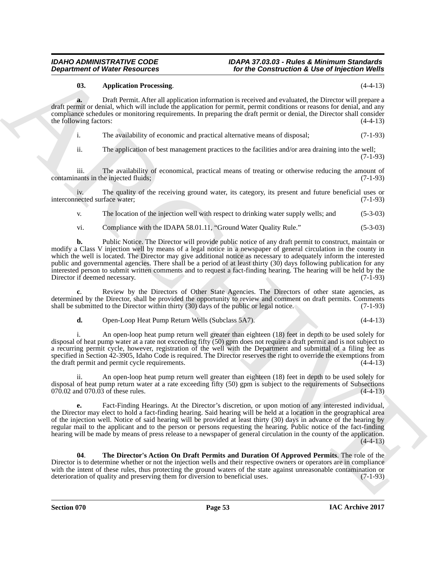### <span id="page-52-1"></span><span id="page-52-0"></span>**03. Application Processing**. (4-4-13)

**a.** Draft Permit. After all application information is received and evaluated, the Director will prepare a draft permit or denial, which will include the application for permit, permit conditions or reasons for denial, and any compliance schedules or monitoring requirements. In preparing the draft permit or denial, the Director shall consider the following factors: (4-4-13)

i. The availability of economic and practical alternative means of disposal; (7-1-93)

ii. The application of best management practices to the facilities and/or area draining into the well; (7-1-93)

iii. The availability of economical, practical means of treating or otherwise reducing the amount of contaminants in the injected fluids; (7-1-93)

iv. The quality of the receiving ground water, its category, its present and future beneficial uses or nected surface water; (7-1-93) interconnected surface water;

v. The location of the injection well with respect to drinking water supply wells; and (5-3-03)

<span id="page-52-4"></span>vi. Compliance with the IDAPA 58.01.11, "Ground Water Quality Rule." (5-3-03)

**Department of Niese Research 2011** (**or the Communities Construction & Use of Injection Worlds**<br> **ARCHIVENG PRODUCTS**<br>
ARCHIVENG PRODUCTS (**ARCHIVENG PRODUCTS**) (**ARCHIVENG PRODUCTS**) (**ARCHIVENG PRODUCTS**) (**ARCHIVENG P b.** Public Notice. The Director will provide public notice of any draft permit to construct, maintain or modify a Class V injection well by means of a legal notice in a newspaper of general circulation in the county in which the well is located. The Director may give additional notice as necessary to adequately inform the interested public and governmental agencies. There shall be a period of at least thirty (30) days following publication for any interested person to submit written comments and to request a fact-finding hearing. The hearing will be held by the Director if deemed necessary.

**c**. Review by the Directors of Other State Agencies. The Directors of other state agencies, as determined by the Director, shall be provided the opportunity to review and comment on draft permits. Comments shall be submitted to the Director within thirty (30) days of the public or legal notice. (7-1-93)

<span id="page-52-5"></span><span id="page-52-3"></span>**d.** Open-Loop Heat Pump Return Wells (Subclass 5A7). (4-4-13)

i. An open-loop heat pump return well greater than eighteen (18) feet in depth to be used solely for disposal of heat pump water at a rate not exceeding fifty (50) gpm does not require a draft permit and is not subject to a recurring permit cycle, however, registration of the well with the Department and submittal of a filing fee as specified in Section 42-3905, Idaho Code is required. The Director reserves the right to override the exemptions from<br>the draft permit and permit cycle requirements. the draft permit and permit cycle requirements.

ii. An open-loop heat pump return well greater than eighteen (18) feet in depth to be used solely for disposal of heat pump return water at a rate exceeding fifty (50) gpm is subject to the requirements of Subsections 070.02 and 070.03 of these rules. (4-4-13)  $070.02$  and  $070.03$  of these rules.

<span id="page-52-2"></span>**e.** Fact-Finding Hearings. At the Director's discretion, or upon motion of any interested individual, the Director may elect to hold a fact-finding hearing. Said hearing will be held at a location in the geographical area of the injection well. Notice of said hearing will be provided at least thirty (30) days in advance of the hearing by regular mail to the applicant and to the person or persons requesting the hearing. Public notice of the fact-finding hearing will be made by means of press release to a newspaper of general circulation in the county of the application.  $(4-4-13)$ 

<span id="page-52-6"></span>**04**. **The Director's Action On Draft Permits and Duration Of Approved Permits**. The role of the Director is to determine whether or not the injection wells and their respective owners or operators are in compliance with the intent of these rules, thus protecting the ground waters of the state against unreasonable contamination or deterioration of quality and preserving them for diversion to beneficial uses. (7-1-93)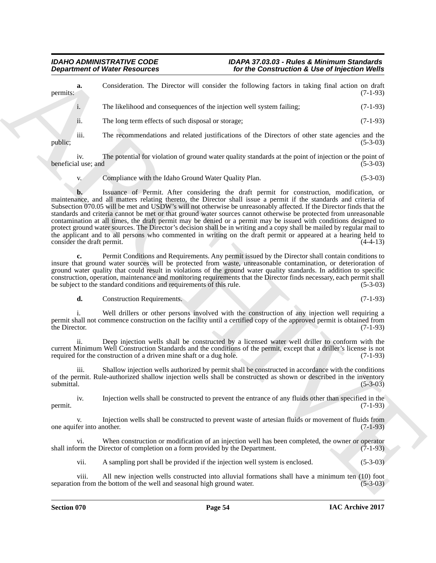<span id="page-53-3"></span><span id="page-53-2"></span><span id="page-53-1"></span><span id="page-53-0"></span>

|                                  | <b>Department of Water Resources</b>                                          | for the Construction & Use of Injection Wells                                                                                                                                                                                                                                                                                                                                                                                                                                                                                                                                                                                                                                                                                                                                                                                |            |
|----------------------------------|-------------------------------------------------------------------------------|------------------------------------------------------------------------------------------------------------------------------------------------------------------------------------------------------------------------------------------------------------------------------------------------------------------------------------------------------------------------------------------------------------------------------------------------------------------------------------------------------------------------------------------------------------------------------------------------------------------------------------------------------------------------------------------------------------------------------------------------------------------------------------------------------------------------------|------------|
| a.<br>permits:                   |                                                                               | Consideration. The Director will consider the following factors in taking final action on draft                                                                                                                                                                                                                                                                                                                                                                                                                                                                                                                                                                                                                                                                                                                              | $(7-1-93)$ |
| i.                               | The likelihood and consequences of the injection well system failing;         |                                                                                                                                                                                                                                                                                                                                                                                                                                                                                                                                                                                                                                                                                                                                                                                                                              | $(7-1-93)$ |
| ii.                              | The long term effects of such disposal or storage;                            |                                                                                                                                                                                                                                                                                                                                                                                                                                                                                                                                                                                                                                                                                                                                                                                                                              | $(7-1-93)$ |
| iii.<br>public;                  |                                                                               | The recommendations and related justifications of the Directors of other state agencies and the                                                                                                                                                                                                                                                                                                                                                                                                                                                                                                                                                                                                                                                                                                                              | $(5-3-03)$ |
| iv.<br>beneficial use; and       |                                                                               | The potential for violation of ground water quality standards at the point of injection or the point of                                                                                                                                                                                                                                                                                                                                                                                                                                                                                                                                                                                                                                                                                                                      | $(5-3-03)$ |
| V.                               | Compliance with the Idaho Ground Water Quality Plan.                          |                                                                                                                                                                                                                                                                                                                                                                                                                                                                                                                                                                                                                                                                                                                                                                                                                              | $(5-3-03)$ |
| b.<br>consider the draft permit. |                                                                               | Issuance of Permit. After considering the draft permit for construction, modification, or<br>maintenance, and all matters relating thereto, the Director shall issue a permit if the standards and criteria of<br>Subsection 070.05 will be met and USDW's will not otherwise be unreasonably affected. If the Director finds that the<br>standards and criteria cannot be met or that ground water sources cannot otherwise be protected from unreasonable<br>contamination at all times, the draft permit may be denied or a permit may be issued with conditions designed to<br>protect ground water sources. The Director's decision shall be in writing and a copy shall be mailed by regular mail to<br>the applicant and to all persons who commented in writing on the draft permit or appeared at a hearing held to | $(4-4-13)$ |
| c.                               | be subject to the standard conditions and requirements of this rule.          | Permit Conditions and Requirements. Any permit issued by the Director shall contain conditions to<br>insure that ground water sources will be protected from waste, unreasonable contamination, or deterioration of<br>ground water quality that could result in violations of the ground water quality standards. In addition to specific<br>construction, operation, maintenance and monitoring requirements that the Director finds necessary, each permit shall                                                                                                                                                                                                                                                                                                                                                          | $(5-3-03)$ |
| d.                               | <b>Construction Requirements.</b>                                             |                                                                                                                                                                                                                                                                                                                                                                                                                                                                                                                                                                                                                                                                                                                                                                                                                              | $(7-1-93)$ |
| 1.<br>the Director.              |                                                                               | Well drillers or other persons involved with the construction of any injection well requiring a<br>permit shall not commence construction on the facility until a certified copy of the approved permit is obtained from                                                                                                                                                                                                                                                                                                                                                                                                                                                                                                                                                                                                     | $(7-1-93)$ |
| ii.                              | required for the construction of a driven mine shaft or a dug hole.           | Deep injection wells shall be constructed by a licensed water well driller to conform with the<br>current Minimum Well Construction Standards and the conditions of the permit, except that a driller's license is not                                                                                                                                                                                                                                                                                                                                                                                                                                                                                                                                                                                                       | $(7-1-93)$ |
| <i>iii.</i><br>submittal.        |                                                                               | Shallow injection wells authorized by permit shall be constructed in accordance with the conditions<br>of the permit. Rule-authorized shallow injection wells shall be constructed as shown or described in the inventory                                                                                                                                                                                                                                                                                                                                                                                                                                                                                                                                                                                                    | $(5-3-03)$ |
| iv.<br>permit.                   |                                                                               | Injection wells shall be constructed to prevent the entrance of any fluids other than specified in the                                                                                                                                                                                                                                                                                                                                                                                                                                                                                                                                                                                                                                                                                                                       | $(7-1-93)$ |
| V.<br>one aquifer into another.  |                                                                               | Injection wells shall be constructed to prevent waste of artesian fluids or movement of fluids from                                                                                                                                                                                                                                                                                                                                                                                                                                                                                                                                                                                                                                                                                                                          | $(7-1-93)$ |
| vi.                              | shall inform the Director of completion on a form provided by the Department. | When construction or modification of an injection well has been completed, the owner or operator                                                                                                                                                                                                                                                                                                                                                                                                                                                                                                                                                                                                                                                                                                                             | $(7-1-93)$ |
| vii.                             |                                                                               | A sampling port shall be provided if the injection well system is enclosed.                                                                                                                                                                                                                                                                                                                                                                                                                                                                                                                                                                                                                                                                                                                                                  | $(5-3-03)$ |
|                                  |                                                                               |                                                                                                                                                                                                                                                                                                                                                                                                                                                                                                                                                                                                                                                                                                                                                                                                                              |            |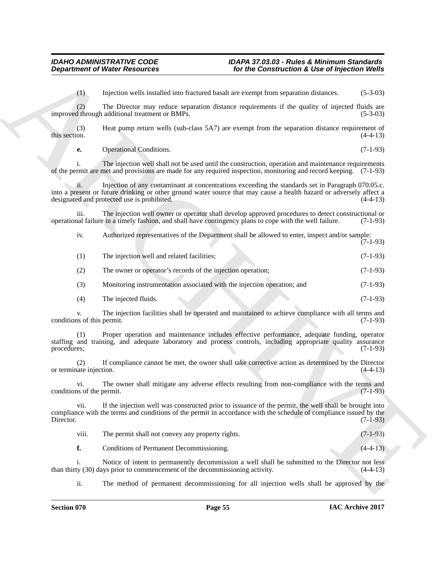<span id="page-54-1"></span><span id="page-54-0"></span>

| <b>Department of Water Resources</b> |                                                                                                          | for the Construction & Use of Injection Wells                                                                                                                                                                               |            |
|--------------------------------------|----------------------------------------------------------------------------------------------------------|-----------------------------------------------------------------------------------------------------------------------------------------------------------------------------------------------------------------------------|------------|
| (1)                                  | Injection wells installed into fractured basalt are exempt from separation distances.                    |                                                                                                                                                                                                                             | $(5-3-03)$ |
| (2)                                  | improved through additional treatment or BMPs.                                                           | The Director may reduce separation distance requirements if the quality of injected fluids are                                                                                                                              | $(5-3-03)$ |
| (3)<br>this section.                 |                                                                                                          | Heat pump return wells (sub-class 5A7) are exempt from the separation distance requirement of                                                                                                                               | $(4-4-13)$ |
| е.                                   | Operational Conditions.                                                                                  |                                                                                                                                                                                                                             | $(7-1-93)$ |
| i.                                   |                                                                                                          | The injection well shall not be used until the construction, operation and maintenance requirements<br>of the permit are met and provisions are made for any required inspection, monitoring and record keeping. (7-1-93)   |            |
| ii.                                  | designated and protected use is prohibited.                                                              | Injection of any contaminant at concentrations exceeding the standards set in Paragraph 070.05.c.<br>into a present or future drinking or other ground water source that may cause a health hazard or adversely affect a    | $(4-4-13)$ |
| iii.                                 | operational failure in a timely fashion, and shall have contingency plans to cope with the well failure. | The injection well owner or operator shall develop approved procedures to detect constructional or                                                                                                                          | $(7-1-93)$ |
| iv.                                  |                                                                                                          | Authorized representatives of the Department shall be allowed to enter, inspect and/or sample:                                                                                                                              | $(7-1-93)$ |
| (1)                                  | The injection well and related facilities;                                                               |                                                                                                                                                                                                                             | $(7-1-93)$ |
| (2)                                  | The owner or operator's records of the injection operation;                                              |                                                                                                                                                                                                                             | $(7-1-93)$ |
| (3)                                  | Monitoring instrumentation associated with the injection operation; and                                  |                                                                                                                                                                                                                             | $(7-1-93)$ |
| (4)                                  | The injected fluids.                                                                                     |                                                                                                                                                                                                                             | $(7-1-93)$ |
| V.<br>conditions of this permit.     |                                                                                                          | The injection facilities shall be operated and maintained to achieve compliance with all terms and                                                                                                                          | $(7-1-93)$ |
| (1)<br>procedures;                   |                                                                                                          | Proper operation and maintenance includes effective performance, adequate funding, operator<br>staffing and training, and adequate laboratory and process controls, including appropriate quality assurance                 | $(7-1-93)$ |
| (2)<br>or terminate injection.       |                                                                                                          | If compliance cannot be met, the owner shall take corrective action as determined by the Director                                                                                                                           | $(4-4-13)$ |
| vi.<br>conditions of the permit.     |                                                                                                          | The owner shall mitigate any adverse effects resulting from non-compliance with the terms and                                                                                                                               | $(7-1-93)$ |
| vii.<br>Director.                    |                                                                                                          | If the injection well was constructed prior to issuance of the permit, the well shall be brought into<br>compliance with the terms and conditions of the permit in accordance with the schedule of compliance issued by the | $(7-1-93)$ |
| viii.                                | The permit shall not convey any property rights.                                                         |                                                                                                                                                                                                                             | $(7-1-93)$ |
| f.                                   | Conditions of Permanent Decommissioning.                                                                 |                                                                                                                                                                                                                             | $(4-4-13)$ |
| 1.                                   | than thirty (30) days prior to commencement of the decommissioning activity.                             | Notice of intent to permanently decommission a well shall be submitted to the Director not less                                                                                                                             | $(4-4-13)$ |
| ii.                                  |                                                                                                          | The method of permanent decommissioning for all injection wells shall be approved by the                                                                                                                                    |            |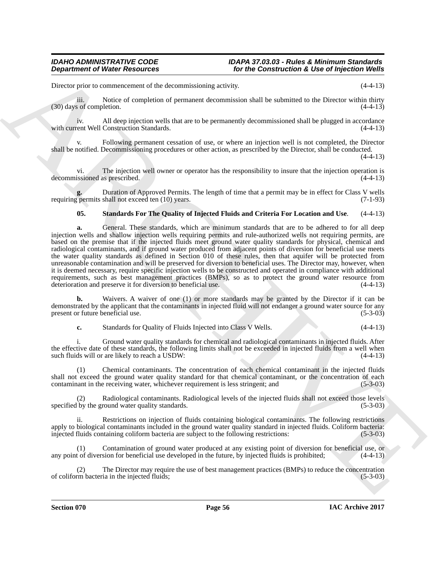Director prior to commencement of the decommissioning activity. (4-4-13)

iii. Notice of completion of permanent decommission shall be submitted to the Director within thirty  $(30)$  days of completion.  $(4-4-13)$ 

iv. All deep injection wells that are to be permanently decommissioned shall be plugged in accordance with current Well Construction Standards.

v. Following permanent cessation of use, or where an injection well is not completed, the Director shall be notified. Decommissioning procedures or other action, as prescribed by the Director, shall be conducted.

 $(4-4-13)$ 

vi. The injection well owner or operator has the responsibility to insure that the injection operation is decommissioned as prescribed. (4-4-13)

**g.** Duration of Approved Permits. The length of time that a permit may be in effect for Class V wells requiring permits shall not exceed ten (10) years.

### <span id="page-55-2"></span><span id="page-55-0"></span>**05. Standards For The Quality of Injected Fluids and Criteria For Location and Use**. (4-4-13)

**Department of Niese Resources**<br>
Distribute the theoretical interactions and the Communication & Use of the Communication & Use of the Communication<br>
Distribute the state of terms in the second decreases and the material **a.** General. These standards, which are minimum standards that are to be adhered to for all deep injection wells and shallow injection wells requiring permits and rule-authorized wells not requiring permits, are based on the premise that if the injected fluids meet ground water quality standards for physical, chemical and radiological contaminants, and if ground water produced from adjacent points of diversion for beneficial use meets the water quality standards as defined in Section 010 of these rules, then that aquifer will be protected from unreasonable contamination and will be preserved for diversion to beneficial uses. The Director may, however, when it is deemed necessary, require specific injection wells to be constructed and operated in compliance with additional requirements, such as best management practices (BMPs), so as to protect the ground water resource from deterioration and preserve it for diversion to beneficial use. (4-4-13) deterioration and preserve it for diversion to beneficial use.

**b.** Waivers. A waiver of one (1) or more standards may be granted by the Director if it can be demonstrated by the applicant that the contaminants in injected fluid will not endanger a ground water source for any present or future beneficial use. (5-3-03)

<span id="page-55-1"></span>**c.** Standards for Quality of Fluids Injected into Class V Wells. (4-4-13)

i. Ground water quality standards for chemical and radiological contaminants in injected fluids. After the effective date of these standards, the following limits shall not be exceeded in injected fluids from a well when such fluids will or are likely to reach a USDW: (4-4-13)

(1) Chemical contaminants. The concentration of each chemical contaminant in the injected fluids shall not exceed the ground water quality standard for that chemical contaminant, or the concentration of each contaminant in the receiving water, whichever requirement is less stringent; and (5-3-03)

(2) Radiological contaminants. Radiological levels of the injected fluids shall not exceed those levels specified by the ground water quality standards.

Restrictions on injection of fluids containing biological contaminants. The following restrictions apply to biological contaminants included in the ground water quality standard in injected fluids. Coliform bacteria:<br>injected fluids containing coliform bacteria are subject to the following restrictions: (5-3-03) injected fluids containing coliform bacteria are subject to the following restrictions:

(1) Contamination of ground water produced at any existing point of diversion for beneficial use, or any point of diversion for beneficial use developed in the future, by injected fluids is prohibited; (4-4-13)

(2) The Director may require the use of best management practices (BMPs) to reduce the concentration rm bacteria in the injected fluids; (5-3-03) of coliform bacteria in the injected fluids;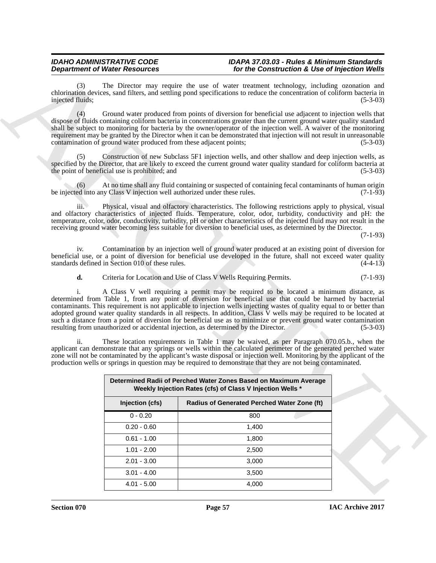<span id="page-56-0"></span>

|                         | <b>Department of Water Resources</b>                               |                                                                                                                                                                                                                                                                                                                                                                                                                                                                                                                                                                                                                                                                                                                                                                                                                                                                                                                                                                                                                                                                                                                                                                                                    | for the Construction & Use of Injection Wells |
|-------------------------|--------------------------------------------------------------------|----------------------------------------------------------------------------------------------------------------------------------------------------------------------------------------------------------------------------------------------------------------------------------------------------------------------------------------------------------------------------------------------------------------------------------------------------------------------------------------------------------------------------------------------------------------------------------------------------------------------------------------------------------------------------------------------------------------------------------------------------------------------------------------------------------------------------------------------------------------------------------------------------------------------------------------------------------------------------------------------------------------------------------------------------------------------------------------------------------------------------------------------------------------------------------------------------|-----------------------------------------------|
| (3)<br>injected fluids; |                                                                    | The Director may require the use of water treatment technology, including ozonation and<br>chlorination devices, sand filters, and settling pond specifications to reduce the concentration of coliform bacteria in                                                                                                                                                                                                                                                                                                                                                                                                                                                                                                                                                                                                                                                                                                                                                                                                                                                                                                                                                                                | $(5-3-03)$                                    |
| (4)                     | contamination of ground water produced from these adjacent points; | Ground water produced from points of diversion for beneficial use adjacent to injection wells that<br>dispose of fluids containing coliform bacteria in concentrations greater than the current ground water quality standard<br>shall be subject to monitoring for bacteria by the owner/operator of the injection well. A waiver of the monitoring<br>requirement may be granted by the Director when it can be demonstrated that injection will not result in unreasonable                                                                                                                                                                                                                                                                                                                                                                                                                                                                                                                                                                                                                                                                                                                      | $(5-3-03)$                                    |
| (5)                     | the point of beneficial use is prohibited; and                     | Construction of new Subclass 5F1 injection wells, and other shallow and deep injection wells, as<br>specified by the Director, that are likely to exceed the current ground water quality standard for coliform bacteria at                                                                                                                                                                                                                                                                                                                                                                                                                                                                                                                                                                                                                                                                                                                                                                                                                                                                                                                                                                        | $(5-3-03)$                                    |
| (6)                     |                                                                    | At no time shall any fluid containing or suspected of containing fecal contaminants of human origin<br>be injected into any Class V injection well authorized under these rules.                                                                                                                                                                                                                                                                                                                                                                                                                                                                                                                                                                                                                                                                                                                                                                                                                                                                                                                                                                                                                   | $(7-1-93)$                                    |
| iii.                    |                                                                    | Physical, visual and olfactory characteristics. The following restrictions apply to physical, visual<br>and olfactory characteristics of injected fluids. Temperature, color, odor, turbidity, conductivity and pH: the<br>temperature, color, odor, conductivity, turbidity, pH or other characteristics of the injected fluid may not result in the<br>receiving ground water becoming less suitable for diversion to beneficial uses, as determined by the Director.                                                                                                                                                                                                                                                                                                                                                                                                                                                                                                                                                                                                                                                                                                                            | $(7-1-93)$                                    |
| 1V <sub>1</sub>         | standards defined in Section 010 of these rules.                   | Contamination by an injection well of ground water produced at an existing point of diversion for<br>beneficial use, or a point of diversion for beneficial use developed in the future, shall not exceed water quality                                                                                                                                                                                                                                                                                                                                                                                                                                                                                                                                                                                                                                                                                                                                                                                                                                                                                                                                                                            | $(4-4-13)$                                    |
| d.                      |                                                                    | Criteria for Location and Use of Class V Wells Requiring Permits.                                                                                                                                                                                                                                                                                                                                                                                                                                                                                                                                                                                                                                                                                                                                                                                                                                                                                                                                                                                                                                                                                                                                  | $(7-1-93)$                                    |
| ii.                     |                                                                    | A Class V well requiring a permit may be required to be located a minimum distance, as<br>determined from Table 1, from any point of diversion for beneficial use that could be harmed by bacterial<br>contaminants. This requirement is not applicable to injection wells injecting wastes of quality equal to or better than<br>adopted ground water quality standards in all respects. In addition, Class V wells may be required to be located at<br>such a distance from a point of diversion for beneficial use as to minimize or prevent ground water contamination<br>resulting from unauthorized or accidental injection, as determined by the Director.<br>These location requirements in Table 1 may be waived, as per Paragraph 070.05.b., when the<br>applicant can demonstrate that any springs or wells within the calculated perimeter of the generated perched water<br>zone will not be contaminated by the applicant's waste disposal or injection well. Monitoring by the applicant of the<br>production wells or springs in question may be required to demonstrate that they are not being contaminated.<br>Determined Radii of Perched Water Zones Based on Maximum Average | $(5-3-03)$                                    |
|                         |                                                                    | Weekly Injection Rates (cfs) of Class V Injection Wells *                                                                                                                                                                                                                                                                                                                                                                                                                                                                                                                                                                                                                                                                                                                                                                                                                                                                                                                                                                                                                                                                                                                                          |                                               |
|                         | Injection (cfs)                                                    | Radius of Generated Perched Water Zone (ft)                                                                                                                                                                                                                                                                                                                                                                                                                                                                                                                                                                                                                                                                                                                                                                                                                                                                                                                                                                                                                                                                                                                                                        |                                               |
|                         | $0 - 0.20$                                                         | 800                                                                                                                                                                                                                                                                                                                                                                                                                                                                                                                                                                                                                                                                                                                                                                                                                                                                                                                                                                                                                                                                                                                                                                                                |                                               |
|                         | $0.20 - 0.60$                                                      | 1,400                                                                                                                                                                                                                                                                                                                                                                                                                                                                                                                                                                                                                                                                                                                                                                                                                                                                                                                                                                                                                                                                                                                                                                                              |                                               |
|                         | $0.61 - 1.00$                                                      | 1,800                                                                                                                                                                                                                                                                                                                                                                                                                                                                                                                                                                                                                                                                                                                                                                                                                                                                                                                                                                                                                                                                                                                                                                                              |                                               |
|                         | $1.01 - 2.00$                                                      | 2,500                                                                                                                                                                                                                                                                                                                                                                                                                                                                                                                                                                                                                                                                                                                                                                                                                                                                                                                                                                                                                                                                                                                                                                                              |                                               |
|                         | $2.01 - 3.00$                                                      | 3,000                                                                                                                                                                                                                                                                                                                                                                                                                                                                                                                                                                                                                                                                                                                                                                                                                                                                                                                                                                                                                                                                                                                                                                                              |                                               |
|                         |                                                                    |                                                                                                                                                                                                                                                                                                                                                                                                                                                                                                                                                                                                                                                                                                                                                                                                                                                                                                                                                                                                                                                                                                                                                                                                    |                                               |
|                         | $3.01 - 4.00$                                                      | 3,500                                                                                                                                                                                                                                                                                                                                                                                                                                                                                                                                                                                                                                                                                                                                                                                                                                                                                                                                                                                                                                                                                                                                                                                              |                                               |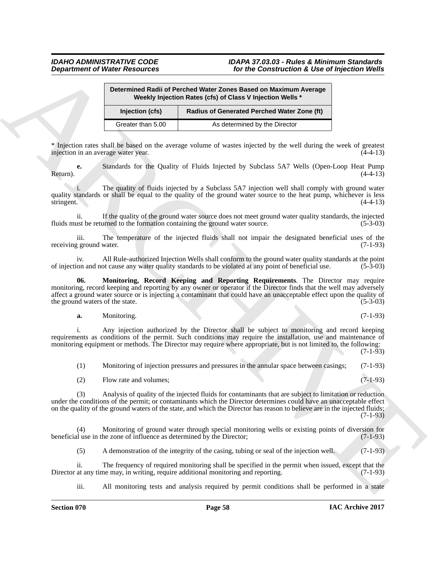<span id="page-57-1"></span>

|                                        |                        | Determined Radii of Perched Water Zones Based on Maximum Average<br>Weekly Injection Rates (cfs) of Class V Injection Wells *                                                                                                                                                                                                                                |            |
|----------------------------------------|------------------------|--------------------------------------------------------------------------------------------------------------------------------------------------------------------------------------------------------------------------------------------------------------------------------------------------------------------------------------------------------------|------------|
|                                        | Injection (cfs)        | Radius of Generated Perched Water Zone (ft)                                                                                                                                                                                                                                                                                                                  |            |
|                                        | Greater than 5.00      | As determined by the Director                                                                                                                                                                                                                                                                                                                                |            |
| injection in an average water year.    |                        | * Injection rates shall be based on the average volume of wastes injected by the well during the week of greatest                                                                                                                                                                                                                                            | $(4-4-13)$ |
| e.<br>Return).                         |                        | Standards for the Quality of Fluids Injected by Subclass 5A7 Wells (Open-Loop Heat Pump                                                                                                                                                                                                                                                                      | $(4-4-13)$ |
| stringent.                             |                        | The quality of fluids injected by a Subclass 5A7 injection well shall comply with ground water<br>quality standards or shall be equal to the quality of the ground water source to the heat pump, whichever is less                                                                                                                                          | $(4-4-13)$ |
| ii.                                    |                        | If the quality of the ground water source does not meet ground water quality standards, the injected<br>fluids must be returned to the formation containing the ground water source.                                                                                                                                                                         | $(5-3-03)$ |
| iii.<br>receiving ground water.        |                        | The temperature of the injected fluids shall not impair the designated beneficial uses of the                                                                                                                                                                                                                                                                | $(7-1-93)$ |
| 1V <sub>1</sub>                        |                        | All Rule-authorized Injection Wells shall conform to the ground water quality standards at the point<br>of injection and not cause any water quality standards to be violated at any point of beneficial use.                                                                                                                                                | $(5-3-03)$ |
| 06.<br>the ground waters of the state. |                        | Monitoring, Record Keeping and Reporting Requirements. The Director may require<br>monitoring, record keeping and reporting by any owner or operator if the Director finds that the well may adversely<br>affect a ground water source or is injecting a contaminant that could have an unacceptable effect upon the quality of                              | $(5-3-03)$ |
| a.                                     | Monitoring.            |                                                                                                                                                                                                                                                                                                                                                              | $(7-1-93)$ |
|                                        |                        | Any injection authorized by the Director shall be subject to monitoring and record keeping<br>requirements as conditions of the permit. Such conditions may require the installation, use and maintenance of<br>monitoring equipment or methods. The Director may require where appropriate, but is not limited to, the following:                           | $(7-1-93)$ |
| (1)                                    |                        | Monitoring of injection pressures and pressures in the annular space between casings;                                                                                                                                                                                                                                                                        | $(7-1-93)$ |
| (2)                                    | Flow rate and volumes; |                                                                                                                                                                                                                                                                                                                                                              | $(7-1-93)$ |
| (3)                                    |                        | Analysis of quality of the injected fluids for contaminants that are subject to limitation or reduction<br>under the conditions of the permit; or contaminants which the Director determines could have an unacceptable effect<br>on the quality of the ground waters of the state, and which the Director has reason to believe are in the injected fluids; | $(7-1-93)$ |
| (4)                                    |                        | Monitoring of ground water through special monitoring wells or existing points of diversion for<br>beneficial use in the zone of influence as determined by the Director;                                                                                                                                                                                    | $(7-1-93)$ |
| (5)                                    |                        | A demonstration of the integrity of the casing, tubing or seal of the injection well.                                                                                                                                                                                                                                                                        | $(7-1-93)$ |
| ii.                                    |                        | The frequency of required monitoring shall be specified in the permit when issued, except that the                                                                                                                                                                                                                                                           |            |

#### <span id="page-57-0"></span>**a.** Monitoring. (7-1-93)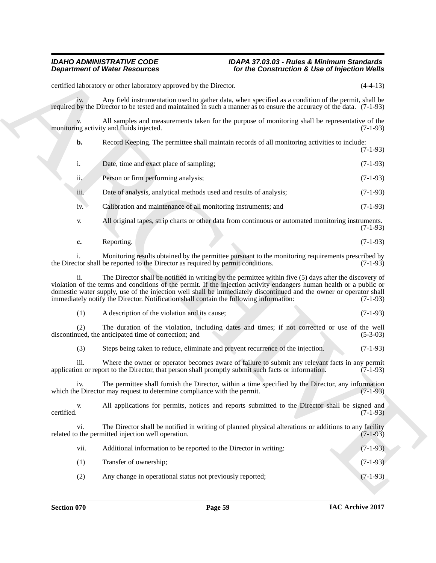**Department of Weiler Resolution**<br>
Yor the Commute Construction & Use of Injection Weiler<br>
constitute the computer of the computer of the computer of the principal<br>
Section 1980 of the computer of the computer of the comp iv. Any field instrumentation used to gather data, when specified as a condition of the permit, shall be required by the Director to be tested and maintained in such a manner as to ensure the accuracy of the data. (7-1-93) v. All samples and measurements taken for the purpose of monitoring shall be representative of the ng activity and fluids injected. (7-1-93) monitoring activity and fluids injected. **b.** Record Keeping. The permittee shall maintain records of all monitoring activities to include: (7-1-93) i. Date, time and exact place of sampling; (7-1-93) ii. Person or firm performing analysis; (7-1-93) iii. Date of analysis, analytical methods used and results of analysis; (7-1-93) iv. Calibration and maintenance of all monitoring instruments; and (7-1-93) v. All original tapes, strip charts or other data from continuous or automated monitoring instruments. (7-1-93) **c.** Reporting. (7-1-93) i. Monitoring results obtained by the permittee pursuant to the monitoring requirements prescribed by tor shall be reported to the Director as required by permit conditions. (7-1-93) the Director shall be reported to the Director as required by permit conditions. ii. The Director shall be notified in writing by the permittee within five (5) days after the discovery of violation of the terms and conditions of the permit. If the injection activity endangers human health or a public or domestic water supply, use of the injection well shall be immediately discontinued and the owner or operator shall<br>immediately notify the Director. Notification shall contain the following information: (7-1-93) immediately notify the Director. Notification shall contain the following information: (1) A description of the violation and its cause; (7-1-93) (2) The duration of the violation, including dates and times; if not corrected or use of the well discontinued, the anticipated time of correction; and (3) Steps being taken to reduce, eliminate and prevent recurrence of the injection. (7-1-93) iii. Where the owner or operator becomes aware of failure to submit any relevant facts in any permit<br>on or report to the Director, that person shall promptly submit such facts or information. (7-1-93) application or report to the Director, that person shall promptly submit such facts or information. iv. The permittee shall furnish the Director, within a time specified by the Director, any information e Director may request to determine compliance with the permit. (7-1-93) which the Director may request to determine compliance with the permit. v. All applications for permits, notices and reports submitted to the Director shall be signed and certified. (7-1-93) certified. (7-1-93) vi. The Director shall be notified in writing of planned physical alterations or additions to any facility of the permitted injection well operation. related to the permitted injection well operation. vii. Additional information to be reported to the Director in writing: (7-1-93) (1) Transfer of ownership; (7-1-93) (2) Any change in operational status not previously reported; (7-1-93)

certified laboratory or other laboratory approved by the Director. (4-4-13)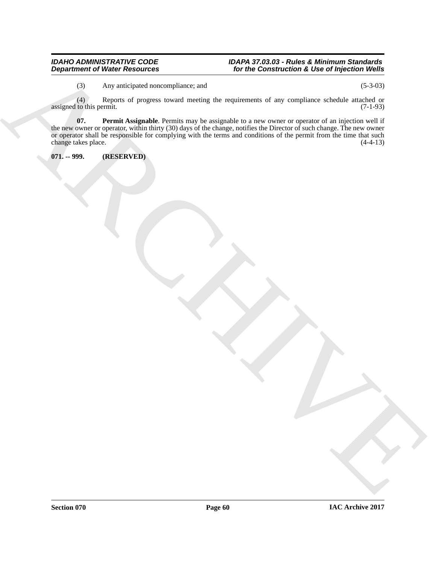#### *IDAHO ADMINISTRATIVE CODE IDAPA 37.03.03 - Rules & Minimum Standards Department of Water Resources for the Construction & Use of Injection Wells*

<span id="page-59-1"></span>(3) Any anticipated noncompliance; and (5-3-03)

(4) Reports of progress toward meeting the requirements of any compliance schedule attached or assigned to this permit.

 $\frac{A}{2}$ <br>  $\frac{A}{2}$ <br>  $\frac{A}{2}$ <br>  $\frac{A}{2}$ <br>  $\frac{A}{2}$ <br>  $\frac{A}{2}$ <br>  $\frac{A}{2}$ <br>  $\frac{A}{2}$ <br>  $\frac{A}{2}$ <br>  $\frac{A}{2}$ <br>  $\frac{A}{2}$ <br>  $\frac{A}{2}$ <br>  $\frac{A}{2}$ <br>  $\frac{A}{2}$ <br>  $\frac{A}{2}$ <br>  $\frac{A}{2}$ <br>  $\frac{A}{2}$ <br>  $\frac{A}{2}$ <br>  $\frac{A}{2}$ <br>  $\frac{A}{2}$ <br> **07. Permit Assignable**. Permits may be assignable to a new owner or operator of an injection well if the new owner or operator, within thirty (30) days of the change, notifies the Director of such change. The new owner or operator shall be responsible for complying with the terms and conditions of the permit from the time that such change takes place. (4-4-13) change takes place.

<span id="page-59-0"></span>**071. -- 999. (RESERVED)**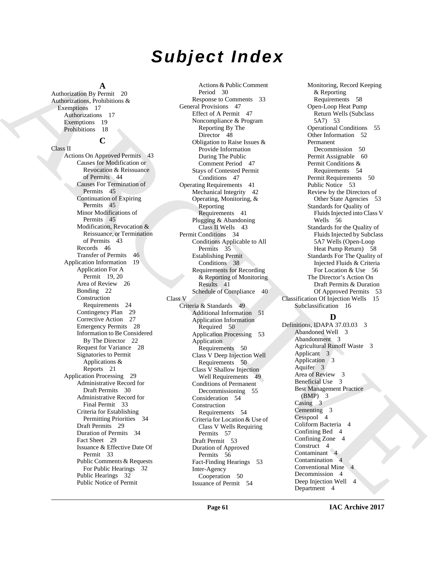## *Subject Index*

### **A**

**C**

Authorization By Permit 20 Authorizations, Prohibitions & Exemptions 17 Authorizations 17 Exemptions 19 Prohibitions 18

#### Class II

Actions On Approved Permits 43 Causes for Modification or Revocation & Reissuance of Permits 44 Causes For Termination of Permits 45 Continuation of Expiring Permits 45 Minor Modifications of Permits 45 Modification, Revocation & Reissuance, or Termination of Permits 43 Records 46 Transfer of Permits 46 Application Information 19 Application For A Permit 19, 20 Area of Review 26 Bonding 22 Construction Requirements 24 Contingency Plan 29 Corrective Action 27 Emergency Permits 28 Information to Be Considered By The Director 22 Request for Variance 28 Signatories to Permit Applications & Reports 21 Application Processing 29 Administrative Record for Draft Permits 30 Administrative Record for Final Permit 33 Criteria for Establishing Permitting Priorities 34 Draft Permits 29 Duration of Permits 34 Fact Sheet 29 Issuance & Effective Date Of Permit 33 Public Comments & Requests For Public Hearings 32 Public Hearings 32 Public Notice of Permit

Analogist Sp<sup>2</sup>, and 21 Action 2 Agents A Maleix [C](#page-40-3)ountries in the spin of the priori Countries of the spin of the spin of the spin of the spin of the spin of the spin of the spin of the spin of the spin of the spin of the Actions & Public Comment Period 30 Response to Comments 33 General Provisions 47 Effect of A Permit 47 Noncompliance & Program Reporting By The Director 48 Obligation to Raise Issues & Provide Information During The Public Comment Period 47 Stays of Contested Permit Conditions 47 Operating Requirements 41 Mechanical Integrity 42 Operating, Monitoring, & Reporting Requirements 41 Plugging & Abandoning Class II Wells 43 Permit Conditions 34 Conditions Applicable to All Permits 35 Establishing Permit Conditions 38 Requirements for Recording & Reporting of Monitoring Results 41 Schedule of Compliance 40 Class V Criteria & Standards 49 Additional Information 51 Application Information Required 50 Application Processing 53 Application Requirements 50 Class V Deep Injection Well Requirements 50 Class V Shallow Injection Well Requirements 49 Conditions of Permanent Decommissioning 55 Consideration 54 Construction Requirements 54 Criteria for Location & Use of Class V Wells Requiring Permits 57 Draft Permit 53 Duration of Approved Permits 56 Fact-Finding Hearings 53 Inter-Agency Cooperation 50 Issuance of Permit 54

Monitoring, Record Keeping & Reporting Requirements 58 Open-Loop Heat Pump Return Wells (Subclass 5A7) 53 Operational Conditions 55 Other Information 52 Permanent Decommission 50 Permit Assignable 60 Permit Conditions & Requirements 54 Permit Requirements 50 Public Notice 53 Review by the Directors of Other State Agencies 53 Standards for Quality of Fluids Injected into Class V Wells 56 Standards for the Quality of Fluids Injected by Subclass 5A7 Wells (Open-Loop Heat Pump Return) 58 Standards For The Quality of Injected Fluids & Criteria For Location & Use 56 The Director's Action On Draft Permits & Duration Of Approved Permits 53 Classification Of Injection Wells 15 Subclassification 16

### **D**

Definitions, IDAPA 37.03.03 3 Abandoned Well 3 Abandonment 3 Agricultural Runoff Waste 3 Applicant 3 Application 3 Aquifer 3 Area of Review 3 Beneficial Use 3 Best Management Practice (BMP) 3 Casing 3 Cementing 3 Cesspool 4 Coliform Bacteria 4 Confining Bed 4 Confining Zone 4 Construct 4 Contaminant 4 Contamination 4 Conventional Mine 4 Decommission 4 Deep Injection Well 4 Department 4